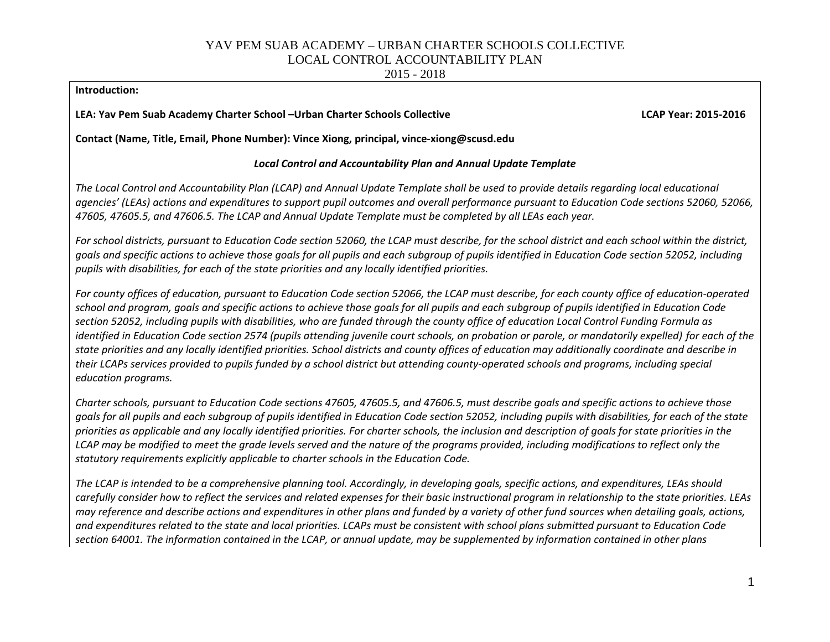2015 - 2018

#### **Introduction:**

**LEA: Yav Pem Suab Academy Charter School –Urban Charter Schools Collective LCAP Year: 2015-2016**

**Contact (Name, Title, Email, Phone Number): Vince Xiong, principal, vince-xiong@scusd.edu** 

### *Local Control and Accountability Plan and Annual Update Template*

*The Local Control and Accountability Plan (LCAP) and Annual Update Template shall be used to provide details regarding local educational agencies' (LEAs) actions and expenditures to support pupil outcomes and overall performance pursuant to Education Code sections 52060, 52066, 47605, 47605.5, and 47606.5. The LCAP and Annual Update Template must be completed by all LEAs each year.*

For school districts, pursuant to Education Code section 52060, the LCAP must describe, for the school district and each school within the district, *goals and specific actions to achieve those goals for all pupils and each subgroup of pupils identified in Education Code section 52052, including pupils with disabilities, for each of the state priorities and any locally identified priorities.*

*For county offices of education, pursuant to Education Code section 52066, the LCAP must describe, for each county office of education-operated school and program, goals and specific actions to achieve those goals for all pupils and each subgroup of pupils identified in Education Code section 52052, including pupils with disabilities, who are funded through the county office of education Local Control Funding Formula as identified in Education Code section 2574 (pupils attending juvenile court schools, on probation or parole, or mandatorily expelled) for each of the state priorities and any locally identified priorities. School districts and county offices of education may additionally coordinate and describe in their LCAPs services provided to pupils funded by a school district but attending county-operated schools and programs, including special education programs.*

*Charter schools, pursuant to Education Code sections 47605, 47605.5, and 47606.5, must describe goals and specific actions to achieve those goals for all pupils and each subgroup of pupils identified in Education Code section 52052, including pupils with disabilities, for each of the state priorities as applicable and any locally identified priorities. For charter schools, the inclusion and description of goals for state priorities in the LCAP may be modified to meet the grade levels served and the nature of the programs provided, including modifications to reflect only the statutory requirements explicitly applicable to charter schools in the Education Code.*

*The LCAP is intended to be a comprehensive planning tool. Accordingly, in developing goals, specific actions, and expenditures, LEAs should carefully consider how to reflect the services and related expenses for their basic instructional program in relationship to the state priorities. LEAs may reference and describe actions and expenditures in other plans and funded by a variety of other fund sources when detailing goals, actions, and expenditures related to the state and local priorities. LCAPs must be consistent with school plans submitted pursuant to Education Code section 64001. The information contained in the LCAP, or annual update, may be supplemented by information contained in other plans*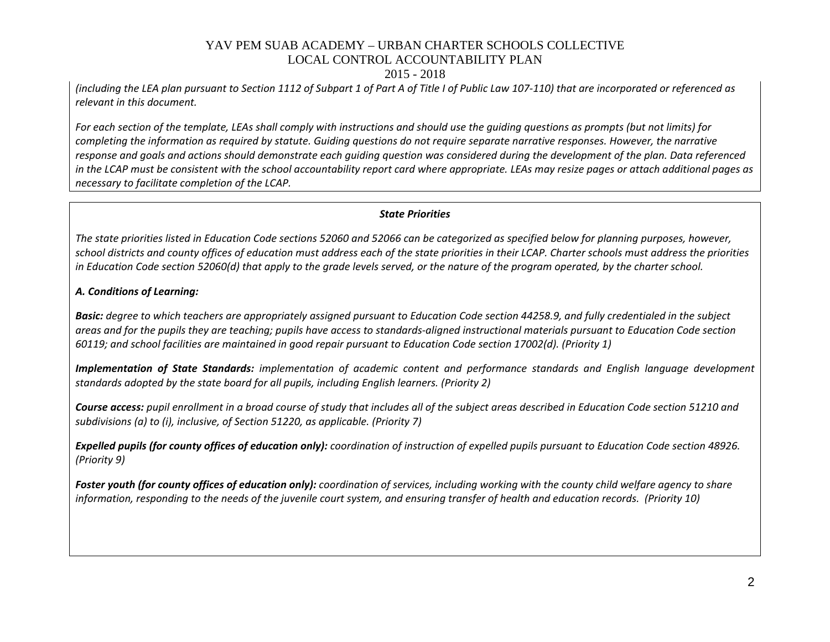#### 2015 - 2018

*(including the LEA plan pursuant to Section 1112 of Subpart 1 of Part A of Title I of Public Law 107-110) that are incorporated or referenced as relevant in this document.* 

*For each section of the template, LEAs shall comply with instructions and should use the guiding questions as prompts (but not limits) for completing the information as required by statute. Guiding questions do not require separate narrative responses. However, the narrative response and goals and actions should demonstrate each guiding question was considered during the development of the plan. Data referenced in the LCAP must be consistent with the school accountability report card where appropriate. LEAs may resize pages or attach additional pages as necessary to facilitate completion of the LCAP.*

#### *State Priorities*

*The state priorities listed in Education Code sections 52060 and 52066 can be categorized as specified below for planning purposes, however, school districts and county offices of education must address each of the state priorities in their LCAP. Charter schools must address the priorities in Education Code section 52060(d) that apply to the grade levels served, or the nature of the program operated, by the charter school.*

### *A. Conditions of Learning:*

*Basic: degree to which teachers are appropriately assigned pursuant to Education Code section 44258.9, and fully credentialed in the subject areas and for the pupils they are teaching; pupils have access to standards-aligned instructional materials pursuant to Education Code section 60119; and school facilities are maintained in good repair pursuant to Education Code section 17002(d). (Priority 1)*

*Implementation of State Standards: implementation of academic content and performance standards and English language development standards adopted by the state board for all pupils, including English learners. (Priority 2)*

*Course access: pupil enrollment in a broad course of study that includes all of the subject areas described in Education Code section 51210 and subdivisions (a) to (i), inclusive, of Section 51220, as applicable. (Priority 7)*

*Expelled pupils (for county offices of education only): coordination of instruction of expelled pupils pursuant to Education Code section 48926. (Priority 9)*

*Foster youth (for county offices of education only): coordination of services, including working with the county child welfare agency to share information, responding to the needs of the juvenile court system, and ensuring transfer of health and education records. (Priority 10)*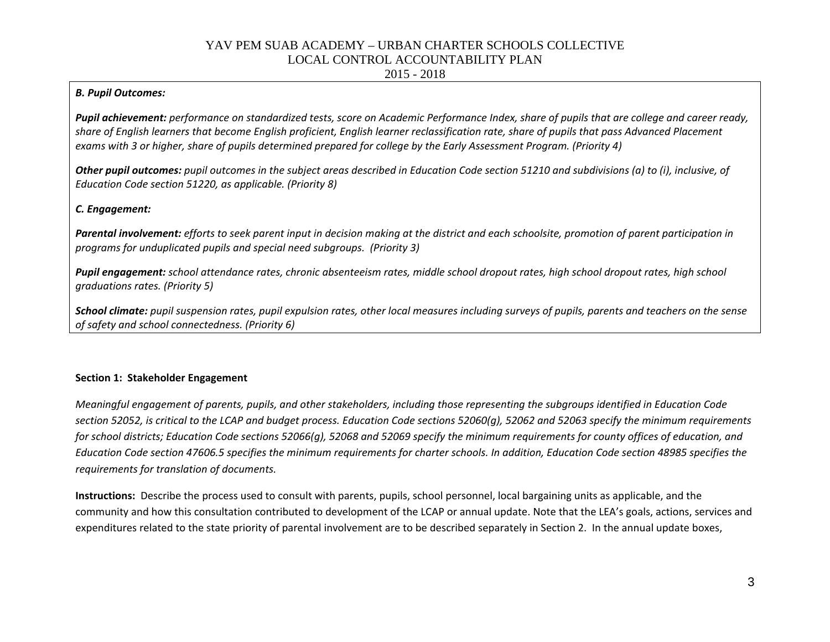2015 - 2018

### *B. Pupil Outcomes:*

*Pupil achievement: performance on standardized tests, score on Academic Performance Index, share of pupils that are college and career ready, share of English learners that become English proficient, English learner reclassification rate, share of pupils that pass Advanced Placement exams with 3 or higher, share of pupils determined prepared for college by the Early Assessment Program. (Priority 4)*

*Other pupil outcomes: pupil outcomes in the subject areas described in Education Code section 51210 and subdivisions (a) to (i), inclusive, of Education Code section 51220, as applicable. (Priority 8)* 

### *C. Engagement:*

*Parental involvement: efforts to seek parent input in decision making at the district and each schoolsite, promotion of parent participation in programs for unduplicated pupils and special need subgroups. (Priority 3)*

*Pupil engagement: school attendance rates, chronic absenteeism rates, middle school dropout rates, high school dropout rates, high school graduations rates. (Priority 5)*

*School climate: pupil suspension rates, pupil expulsion rates, other local measures including surveys of pupils, parents and teachers on the sense of safety and school connectedness. (Priority 6)*

### **Section 1: Stakeholder Engagement**

*Meaningful engagement of parents, pupils, and other stakeholders, including those representing the subgroups identified in Education Code section 52052, is critical to the LCAP and budget process. Education Code sections 52060(g), 52062 and 52063 specify the minimum requirements for school districts; Education Code sections 52066(g), 52068 and 52069 specify the minimum requirements for county offices of education, and Education Code section 47606.5 specifies the minimum requirements for charter schools. In addition, Education Code section 48985 specifies the requirements for translation of documents.*

**Instructions:** Describe the process used to consult with parents, pupils, school personnel, local bargaining units as applicable, and the community and how this consultation contributed to development of the LCAP or annual update. Note that the LEA's goals, actions, services and expenditures related to the state priority of parental involvement are to be described separately in Section 2. In the annual update boxes,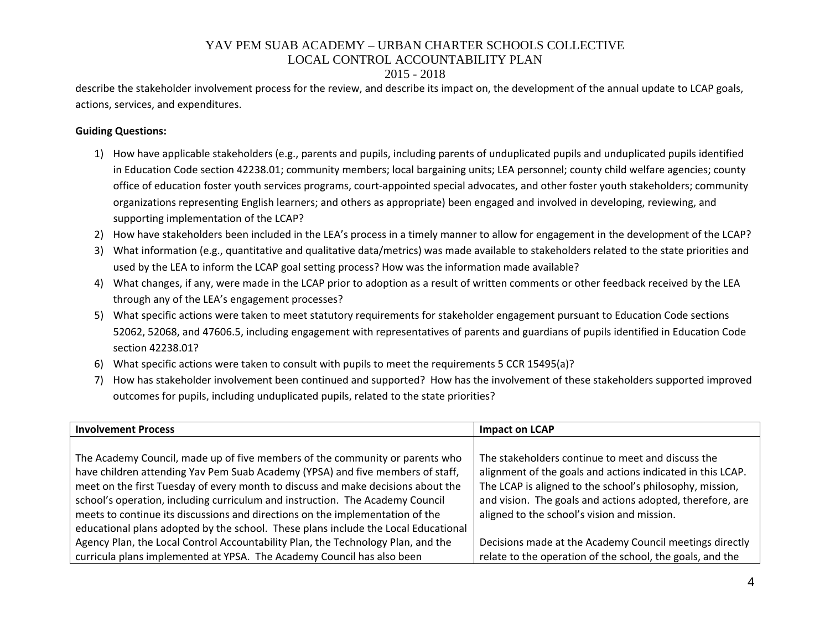### 2015 - 2018

describe the stakeholder involvement process for the review, and describe its impact on, the development of the annual update to LCAP goals, actions, services, and expenditures.

### **Guiding Questions:**

- 1) How have applicable stakeholders (e.g., parents and pupils, including parents of unduplicated pupils and unduplicated pupils identified in Education Code section 42238.01; community members; local bargaining units; LEA personnel; county child welfare agencies; county office of education foster youth services programs, court-appointed special advocates, and other foster youth stakeholders; community organizations representing English learners; and others as appropriate) been engaged and involved in developing, reviewing, and supporting implementation of the LCAP?
- 2) How have stakeholders been included in the LEA's process in a timely manner to allow for engagement in the development of the LCAP?
- 3) What information (e.g., quantitative and qualitative data/metrics) was made available to stakeholders related to the state priorities and used by the LEA to inform the LCAP goal setting process? How was the information made available?
- 4) What changes, if any, were made in the LCAP prior to adoption as a result of written comments or other feedback received by the LEA through any of the LEA's engagement processes?
- 5) What specific actions were taken to meet statutory requirements for stakeholder engagement pursuant to Education Code sections 52062, 52068, and 47606.5, including engagement with representatives of parents and guardians of pupils identified in Education Code section 42238.01?
- 6) What specific actions were taken to consult with pupils to meet the requirements 5 CCR 15495(a)?
- 7) How has stakeholder involvement been continued and supported? How has the involvement of these stakeholders supported improved outcomes for pupils, including unduplicated pupils, related to the state priorities?

| <b>Involvement Process</b>                                                         | <b>Impact on LCAP</b>                                      |
|------------------------------------------------------------------------------------|------------------------------------------------------------|
|                                                                                    |                                                            |
| The Academy Council, made up of five members of the community or parents who       | The stakeholders continue to meet and discuss the          |
| have children attending Yav Pem Suab Academy (YPSA) and five members of staff,     | alignment of the goals and actions indicated in this LCAP. |
| meet on the first Tuesday of every month to discuss and make decisions about the   | The LCAP is aligned to the school's philosophy, mission,   |
| school's operation, including curriculum and instruction. The Academy Council      | and vision. The goals and actions adopted, therefore, are  |
| meets to continue its discussions and directions on the implementation of the      | aligned to the school's vision and mission.                |
| educational plans adopted by the school. These plans include the Local Educational |                                                            |
| Agency Plan, the Local Control Accountability Plan, the Technology Plan, and the   | Decisions made at the Academy Council meetings directly    |
| curricula plans implemented at YPSA. The Academy Council has also been             | relate to the operation of the school, the goals, and the  |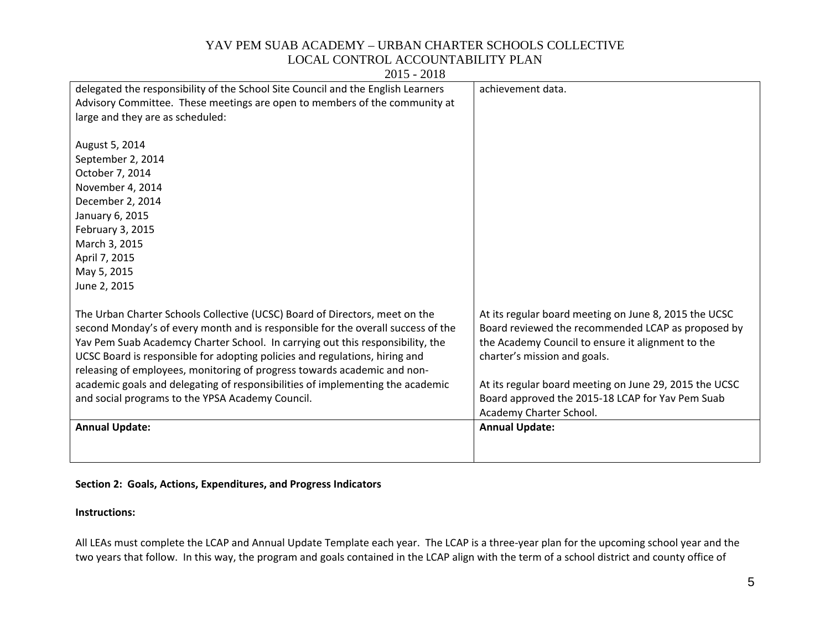| delegated the responsibility of the School Site Council and the English Learners | achievement data.                                      |
|----------------------------------------------------------------------------------|--------------------------------------------------------|
| Advisory Committee. These meetings are open to members of the community at       |                                                        |
| large and they are as scheduled:                                                 |                                                        |
|                                                                                  |                                                        |
| August 5, 2014                                                                   |                                                        |
| September 2, 2014                                                                |                                                        |
| October 7, 2014                                                                  |                                                        |
| November 4, 2014                                                                 |                                                        |
| December 2, 2014                                                                 |                                                        |
| January 6, 2015                                                                  |                                                        |
| February 3, 2015                                                                 |                                                        |
| March 3, 2015                                                                    |                                                        |
| April 7, 2015                                                                    |                                                        |
| May 5, 2015                                                                      |                                                        |
| June 2, 2015                                                                     |                                                        |
|                                                                                  |                                                        |
| The Urban Charter Schools Collective (UCSC) Board of Directors, meet on the      | At its regular board meeting on June 8, 2015 the UCSC  |
| second Monday's of every month and is responsible for the overall success of the | Board reviewed the recommended LCAP as proposed by     |
| Yav Pem Suab Academcy Charter School. In carrying out this responsibility, the   | the Academy Council to ensure it alignment to the      |
| UCSC Board is responsible for adopting policies and regulations, hiring and      | charter's mission and goals.                           |
| releasing of employees, monitoring of progress towards academic and non-         |                                                        |
| academic goals and delegating of responsibilities of implementing the academic   | At its regular board meeting on June 29, 2015 the UCSC |
| and social programs to the YPSA Academy Council.                                 | Board approved the 2015-18 LCAP for Yav Pem Suab       |
|                                                                                  | Academy Charter School.                                |
| <b>Annual Update:</b>                                                            | <b>Annual Update:</b>                                  |
|                                                                                  |                                                        |
|                                                                                  |                                                        |

2015 - 2018

### **Section 2: Goals, Actions, Expenditures, and Progress Indicators**

#### **Instructions:**

All LEAs must complete the LCAP and Annual Update Template each year. The LCAP is a three-year plan for the upcoming school year and the two years that follow. In this way, the program and goals contained in the LCAP align with the term of a school district and county office of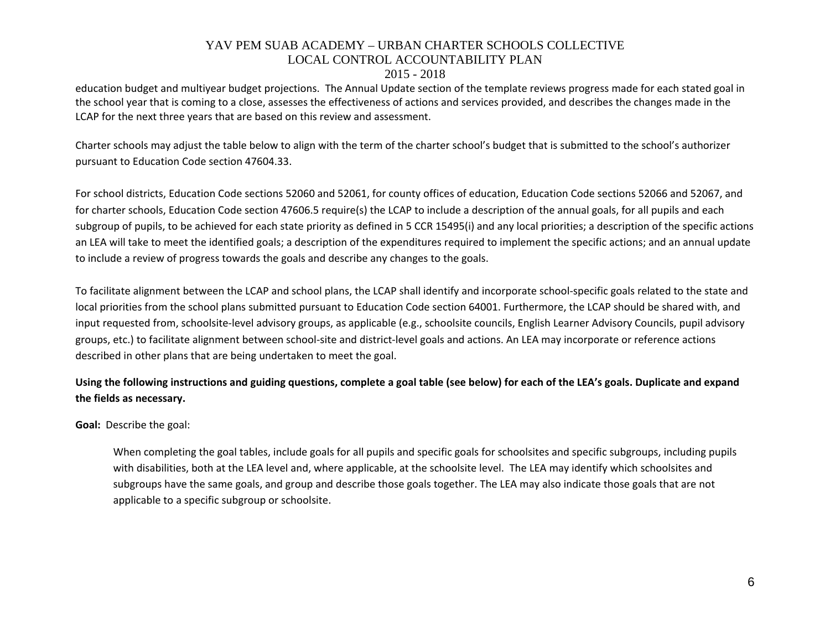#### 2015 - 2018

education budget and multiyear budget projections. The Annual Update section of the template reviews progress made for each stated goal in the school year that is coming to a close, assesses the effectiveness of actions and services provided, and describes the changes made in the LCAP for the next three years that are based on this review and assessment.

Charter schools may adjust the table below to align with the term of the charter school's budget that is submitted to the school's authorizer pursuant to Education Code section 47604.33.

For school districts, Education Code sections 52060 and 52061, for county offices of education, Education Code sections 52066 and 52067, and for charter schools, Education Code section 47606.5 require(s) the LCAP to include a description of the annual goals, for all pupils and each subgroup of pupils, to be achieved for each state priority as defined in 5 CCR 15495(i) and any local priorities; a description of the specific actions an LEA will take to meet the identified goals; a description of the expenditures required to implement the specific actions; and an annual update to include a review of progress towards the goals and describe any changes to the goals.

To facilitate alignment between the LCAP and school plans, the LCAP shall identify and incorporate school-specific goals related to the state and local priorities from the school plans submitted pursuant to Education Code section 64001. Furthermore, the LCAP should be shared with, and input requested from, schoolsite-level advisory groups, as applicable (e.g., schoolsite councils, English Learner Advisory Councils, pupil advisory groups, etc.) to facilitate alignment between school-site and district-level goals and actions. An LEA may incorporate or reference actions described in other plans that are being undertaken to meet the goal.

## **Using the following instructions and guiding questions, complete a goal table (see below) for each of the LEA's goals. Duplicate and expand the fields as necessary.**

**Goal:** Describe the goal:

When completing the goal tables, include goals for all pupils and specific goals for schoolsites and specific subgroups, including pupils with disabilities, both at the LEA level and, where applicable, at the schoolsite level. The LEA may identify which schoolsites and subgroups have the same goals, and group and describe those goals together. The LEA may also indicate those goals that are not applicable to a specific subgroup or schoolsite.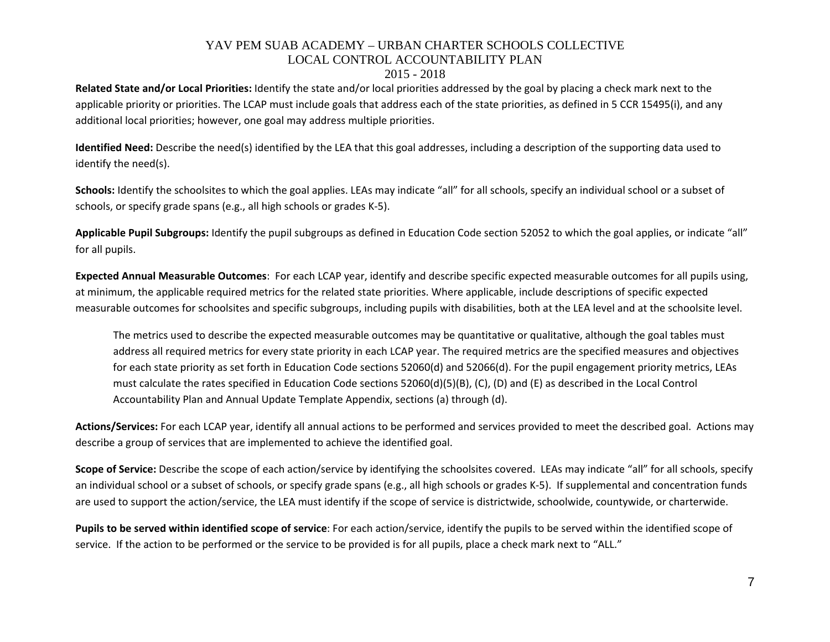#### 2015 - 2018

**Related State and/or Local Priorities:** Identify the state and/or local priorities addressed by the goal by placing a check mark next to the applicable priority or priorities. The LCAP must include goals that address each of the state priorities, as defined in 5 CCR 15495(i), and any additional local priorities; however, one goal may address multiple priorities.

**Identified Need:** Describe the need(s) identified by the LEA that this goal addresses, including a description of the supporting data used to identify the need(s).

**Schools:** Identify the schoolsites to which the goal applies. LEAs may indicate "all" for all schools, specify an individual school or a subset of schools, or specify grade spans (e.g., all high schools or grades K-5).

**Applicable Pupil Subgroups:** Identify the pupil subgroups as defined in Education Code section 52052 to which the goal applies, or indicate "all" for all pupils.

**Expected Annual Measurable Outcomes**: For each LCAP year, identify and describe specific expected measurable outcomes for all pupils using, at minimum, the applicable required metrics for the related state priorities. Where applicable, include descriptions of specific expected measurable outcomes for schoolsites and specific subgroups, including pupils with disabilities, both at the LEA level and at the schoolsite level.

The metrics used to describe the expected measurable outcomes may be quantitative or qualitative, although the goal tables must address all required metrics for every state priority in each LCAP year. The required metrics are the specified measures and objectives for each state priority as set forth in Education Code sections 52060(d) and 52066(d). For the pupil engagement priority metrics, LEAs must calculate the rates specified in Education Code sections 52060(d)(5)(B), (C), (D) and (E) as described in the Local Control Accountability Plan and Annual Update Template Appendix, sections (a) through (d).

**Actions/Services:** For each LCAP year, identify all annual actions to be performed and services provided to meet the described goal. Actions may describe a group of services that are implemented to achieve the identified goal.

**Scope of Service:** Describe the scope of each action/service by identifying the schoolsites covered. LEAs may indicate "all" for all schools, specify an individual school or a subset of schools, or specify grade spans (e.g., all high schools or grades K-5). If supplemental and concentration funds are used to support the action/service, the LEA must identify if the scope of service is districtwide, schoolwide, countywide, or charterwide.

**Pupils to be served within identified scope of service**: For each action/service, identify the pupils to be served within the identified scope of service. If the action to be performed or the service to be provided is for all pupils, place a check mark next to "ALL."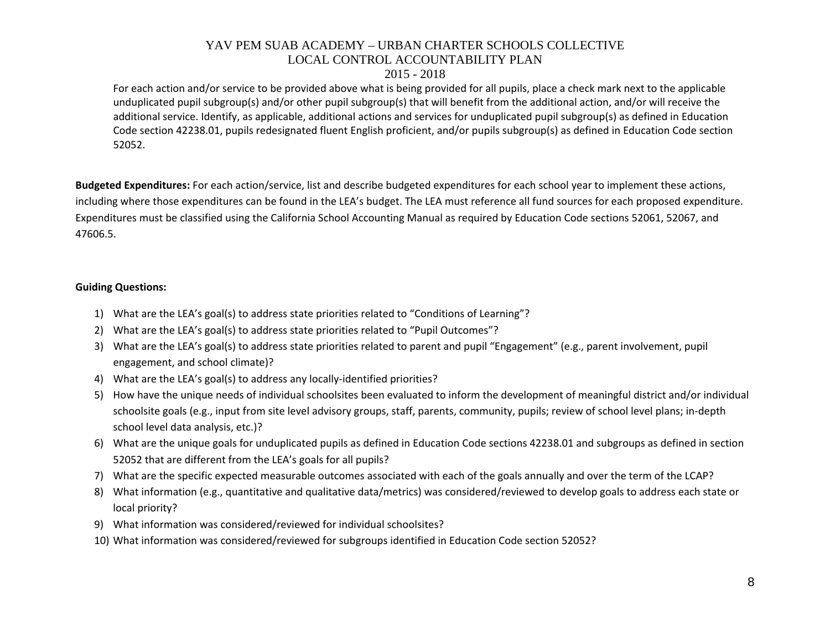#### 2015 - 2018

For each action and/or service to be provided above what is being provided for all pupils, place a check mark next to the applicable unduplicated pupil subgroup(s) and/or other pupil subgroup(s) that will benefit from the additional action, and/or will receive the additional service. Identify, as applicable, additional actions and services for unduplicated pupil subgroup(s) as defined in Education Code section 42238.01, pupils redesignated fluent English proficient, and/or pupils subgroup(s) as defined in Education Code section 52052.

**Budgeted Expenditures:** For each action/service, list and describe budgeted expenditures for each school year to implement these actions, including where those expenditures can be found in the LEA's budget. The LEA must reference all fund sources for each proposed expenditure. Expenditures must be classified using the California School Accounting Manual as required by Education Code sections 52061, 52067, and 47606.5.

#### **Guiding Questions:**

- 1) What are the LEA's goal(s) to address state priorities related to "Conditions of Learning"?
- 2) What are the LEA's goal(s) to address state priorities related to "Pupil Outcomes"?
- 3) What are the LEA's goal(s) to address state priorities related to parent and pupil "Engagement" (e.g., parent involvement, pupil engagement, and school climate)?
- 4) What are the LEA's goal(s) to address any locally-identified priorities?
- 5) How have the unique needs of individual schoolsites been evaluated to inform the development of meaningful district and/or individual schoolsite goals (e.g., input from site level advisory groups, staff, parents, community, pupils; review of school level plans; in-depth school level data analysis, etc.)?
- 6) What are the unique goals for unduplicated pupils as defined in Education Code sections 42238.01 and subgroups as defined in section 52052 that are different from the LEA's goals for all pupils?
- 7) What are the specific expected measurable outcomes associated with each of the goals annually and over the term of the LCAP?
- 8) What information (e.g., quantitative and qualitative data/metrics) was considered/reviewed to develop goals to address each state or local priority?
- 9) What information was considered/reviewed for individual schoolsites?
- 10) What information was considered/reviewed for subgroups identified in Education Code section 52052?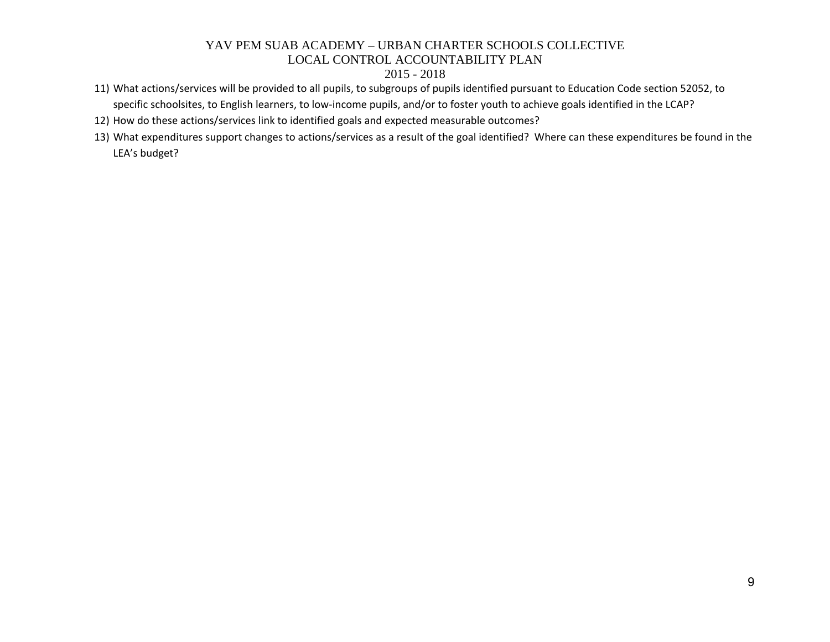- 11) What actions/services will be provided to all pupils, to subgroups of pupils identified pursuant to Education Code section 52052, to specific schoolsites, to English learners, to low-income pupils, and/or to foster youth to achieve goals identified in the LCAP?
- 12) How do these actions/services link to identified goals and expected measurable outcomes?
- 13) What expenditures support changes to actions/services as a result of the goal identified? Where can these expenditures be found in the LEA's budget?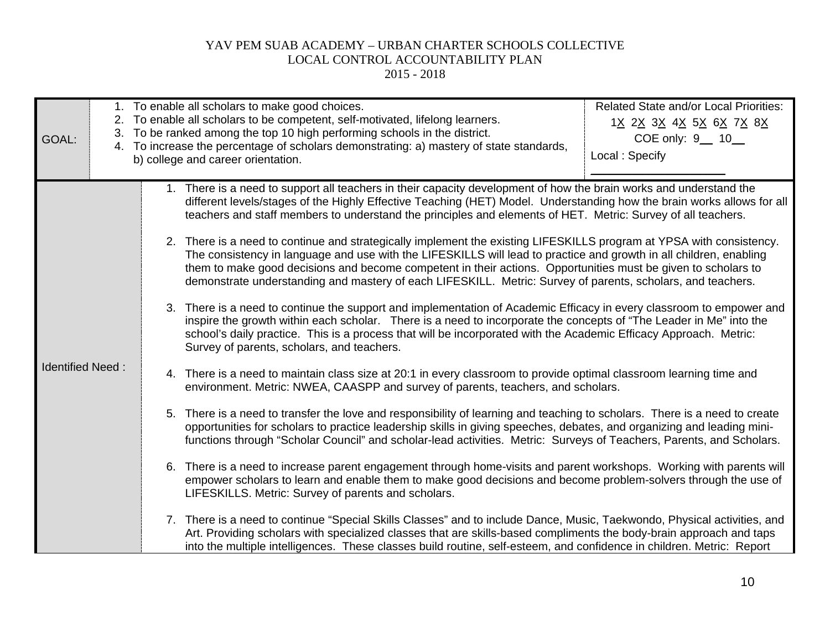| GOAL:                   | <b>Related State and/or Local Priorities:</b><br>1. To enable all scholars to make good choices.<br>2. To enable all scholars to be competent, self-motivated, lifelong learners.<br>1 <u>X 2X 3X 4X 5X 6X 7X 8X</u><br>3. To be ranked among the top 10 high performing schools in the district.<br>COE only: 9_ 10_<br>4. To increase the percentage of scholars demonstrating: a) mastery of state standards,<br>Local: Specify<br>b) college and career orientation.                                                                                                                                                                                                                                                                                                                                                                                                                                                                                                                                                                                                                                                                                                                                                                                                                                                                                                                                                                                                                                                                                                                                                                                                                                                                                                                                                                                                                                                                                                                                                                                                                                                                                                                                                                                                                                                                                                                                                                                                                                                            |  |
|-------------------------|-------------------------------------------------------------------------------------------------------------------------------------------------------------------------------------------------------------------------------------------------------------------------------------------------------------------------------------------------------------------------------------------------------------------------------------------------------------------------------------------------------------------------------------------------------------------------------------------------------------------------------------------------------------------------------------------------------------------------------------------------------------------------------------------------------------------------------------------------------------------------------------------------------------------------------------------------------------------------------------------------------------------------------------------------------------------------------------------------------------------------------------------------------------------------------------------------------------------------------------------------------------------------------------------------------------------------------------------------------------------------------------------------------------------------------------------------------------------------------------------------------------------------------------------------------------------------------------------------------------------------------------------------------------------------------------------------------------------------------------------------------------------------------------------------------------------------------------------------------------------------------------------------------------------------------------------------------------------------------------------------------------------------------------------------------------------------------------------------------------------------------------------------------------------------------------------------------------------------------------------------------------------------------------------------------------------------------------------------------------------------------------------------------------------------------------------------------------------------------------------------------------------------------------|--|
| <b>Identified Need:</b> | 1. There is a need to support all teachers in their capacity development of how the brain works and understand the<br>different levels/stages of the Highly Effective Teaching (HET) Model. Understanding how the brain works allows for all<br>teachers and staff members to understand the principles and elements of HET. Metric: Survey of all teachers.<br>2. There is a need to continue and strategically implement the existing LIFESKILLS program at YPSA with consistency.<br>The consistency in language and use with the LIFESKILLS will lead to practice and growth in all children, enabling<br>them to make good decisions and become competent in their actions. Opportunities must be given to scholars to<br>demonstrate understanding and mastery of each LIFESKILL. Metric: Survey of parents, scholars, and teachers.<br>3. There is a need to continue the support and implementation of Academic Efficacy in every classroom to empower and<br>inspire the growth within each scholar. There is a need to incorporate the concepts of "The Leader in Me" into the<br>school's daily practice. This is a process that will be incorporated with the Academic Efficacy Approach. Metric:<br>Survey of parents, scholars, and teachers.<br>4. There is a need to maintain class size at 20:1 in every classroom to provide optimal classroom learning time and<br>environment. Metric: NWEA, CAASPP and survey of parents, teachers, and scholars.<br>5. There is a need to transfer the love and responsibility of learning and teaching to scholars. There is a need to create<br>opportunities for scholars to practice leadership skills in giving speeches, debates, and organizing and leading mini-<br>functions through "Scholar Council" and scholar-lead activities. Metric: Surveys of Teachers, Parents, and Scholars.<br>6. There is a need to increase parent engagement through home-visits and parent workshops. Working with parents will<br>empower scholars to learn and enable them to make good decisions and become problem-solvers through the use of<br>LIFESKILLS. Metric: Survey of parents and scholars.<br>7. There is a need to continue "Special Skills Classes" and to include Dance, Music, Taekwondo, Physical activities, and<br>Art. Providing scholars with specialized classes that are skills-based compliments the body-brain approach and taps<br>into the multiple intelligences. These classes build routine, self-esteem, and confidence in children. Metric: Report |  |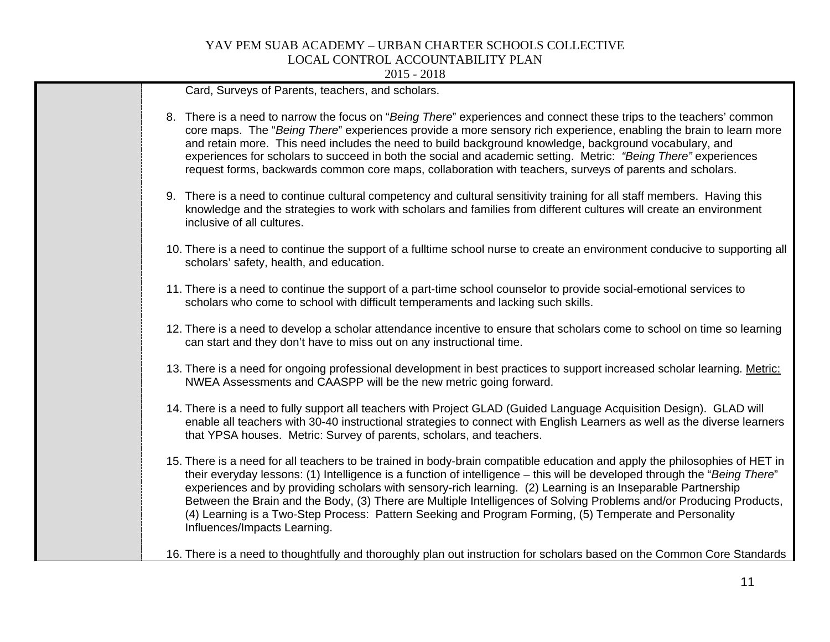| Card, Surveys of Parents, teachers, and scholars.                                                                                                                                                                                                                                                                                                                                                                                                                                                                                                                                                                                        |
|------------------------------------------------------------------------------------------------------------------------------------------------------------------------------------------------------------------------------------------------------------------------------------------------------------------------------------------------------------------------------------------------------------------------------------------------------------------------------------------------------------------------------------------------------------------------------------------------------------------------------------------|
| 8. There is a need to narrow the focus on "Being There" experiences and connect these trips to the teachers' common<br>core maps. The "Being There" experiences provide a more sensory rich experience, enabling the brain to learn more<br>and retain more. This need includes the need to build background knowledge, background vocabulary, and<br>experiences for scholars to succeed in both the social and academic setting. Metric: "Being There" experiences<br>request forms, backwards common core maps, collaboration with teachers, surveys of parents and scholars.                                                         |
| 9. There is a need to continue cultural competency and cultural sensitivity training for all staff members. Having this<br>knowledge and the strategies to work with scholars and families from different cultures will create an environment<br>inclusive of all cultures.                                                                                                                                                                                                                                                                                                                                                              |
| 10. There is a need to continue the support of a fulltime school nurse to create an environment conducive to supporting all<br>scholars' safety, health, and education.                                                                                                                                                                                                                                                                                                                                                                                                                                                                  |
| 11. There is a need to continue the support of a part-time school counselor to provide social-emotional services to<br>scholars who come to school with difficult temperaments and lacking such skills.                                                                                                                                                                                                                                                                                                                                                                                                                                  |
| 12. There is a need to develop a scholar attendance incentive to ensure that scholars come to school on time so learning<br>can start and they don't have to miss out on any instructional time.                                                                                                                                                                                                                                                                                                                                                                                                                                         |
| 13. There is a need for ongoing professional development in best practices to support increased scholar learning. Metric:<br>NWEA Assessments and CAASPP will be the new metric going forward.                                                                                                                                                                                                                                                                                                                                                                                                                                           |
| 14. There is a need to fully support all teachers with Project GLAD (Guided Language Acquisition Design). GLAD will<br>enable all teachers with 30-40 instructional strategies to connect with English Learners as well as the diverse learners<br>that YPSA houses. Metric: Survey of parents, scholars, and teachers.                                                                                                                                                                                                                                                                                                                  |
| 15. There is a need for all teachers to be trained in body-brain compatible education and apply the philosophies of HET in<br>their everyday lessons: (1) Intelligence is a function of intelligence - this will be developed through the "Being There"<br>experiences and by providing scholars with sensory-rich learning. (2) Learning is an Inseparable Partnership<br>Between the Brain and the Body, (3) There are Multiple Intelligences of Solving Problems and/or Producing Products,<br>(4) Learning is a Two-Step Process: Pattern Seeking and Program Forming, (5) Temperate and Personality<br>Influences/Impacts Learning. |
| 16. There is a need to thoughtfully and thoroughly plan out instruction for scholars based on the Common Core Standards                                                                                                                                                                                                                                                                                                                                                                                                                                                                                                                  |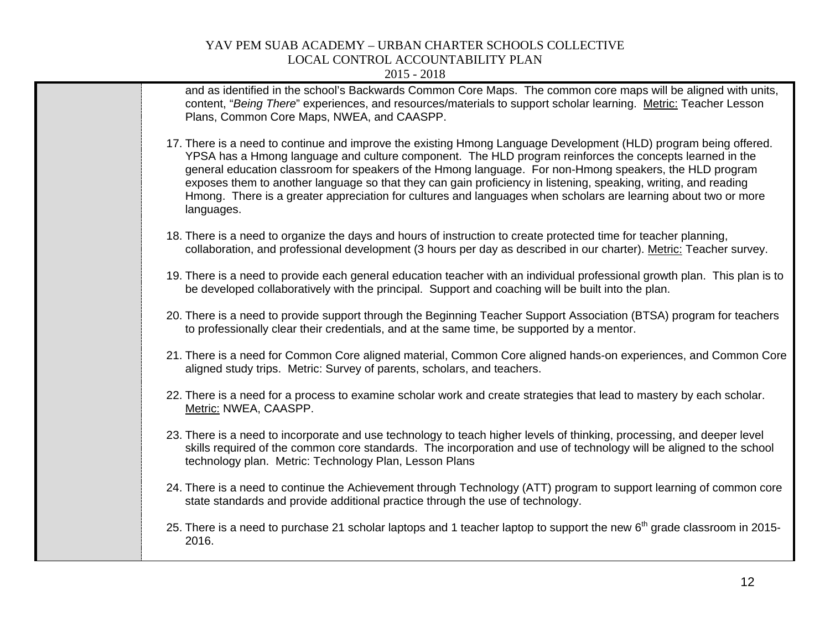| 17. There is a need to continue and improve the existing Hmong Language Development (HLD) program being offered.<br>YPSA has a Hmong language and culture component. The HLD program reinforces the concepts learned in the<br>general education classroom for speakers of the Hmong language. For non-Hmong speakers, the HLD program<br>exposes them to another language so that they can gain proficiency in listening, speaking, writing, and reading<br>Hmong. There is a greater appreciation for cultures and languages when scholars are learning about two or more<br>languages.<br>18. There is a need to organize the days and hours of instruction to create protected time for teacher planning,<br>collaboration, and professional development (3 hours per day as described in our charter). Metric: Teacher survey.<br>19. There is a need to provide each general education teacher with an individual professional growth plan. This plan is to<br>be developed collaboratively with the principal. Support and coaching will be built into the plan.<br>20. There is a need to provide support through the Beginning Teacher Support Association (BTSA) program for teachers<br>to professionally clear their credentials, and at the same time, be supported by a mentor.<br>21. There is a need for Common Core aligned material, Common Core aligned hands-on experiences, and Common Core<br>aligned study trips. Metric: Survey of parents, scholars, and teachers.<br>22. There is a need for a process to examine scholar work and create strategies that lead to mastery by each scholar.<br>Metric: NWEA, CAASPP.<br>23. There is a need to incorporate and use technology to teach higher levels of thinking, processing, and deeper level<br>skills required of the common core standards. The incorporation and use of technology will be aligned to the school<br>technology plan. Metric: Technology Plan, Lesson Plans<br>24. There is a need to continue the Achievement through Technology (ATT) program to support learning of common core<br>state standards and provide additional practice through the use of technology.<br>25. There is a need to purchase 21 scholar laptops and 1 teacher laptop to support the new 6 <sup>th</sup> grade classroom in 2015-<br>2016. | and as identified in the school's Backwards Common Core Maps. The common core maps will be aligned with units,<br>content, "Being There" experiences, and resources/materials to support scholar learning. Metric: Teacher Lesson<br>Plans, Common Core Maps, NWEA, and CAASPP. |
|-------------------------------------------------------------------------------------------------------------------------------------------------------------------------------------------------------------------------------------------------------------------------------------------------------------------------------------------------------------------------------------------------------------------------------------------------------------------------------------------------------------------------------------------------------------------------------------------------------------------------------------------------------------------------------------------------------------------------------------------------------------------------------------------------------------------------------------------------------------------------------------------------------------------------------------------------------------------------------------------------------------------------------------------------------------------------------------------------------------------------------------------------------------------------------------------------------------------------------------------------------------------------------------------------------------------------------------------------------------------------------------------------------------------------------------------------------------------------------------------------------------------------------------------------------------------------------------------------------------------------------------------------------------------------------------------------------------------------------------------------------------------------------------------------------------------------------------------------------------------------------------------------------------------------------------------------------------------------------------------------------------------------------------------------------------------------------------------------------------------------------------------------------------------------------------------------------------------------------------------------------------------------------------------------------------------|---------------------------------------------------------------------------------------------------------------------------------------------------------------------------------------------------------------------------------------------------------------------------------|
|                                                                                                                                                                                                                                                                                                                                                                                                                                                                                                                                                                                                                                                                                                                                                                                                                                                                                                                                                                                                                                                                                                                                                                                                                                                                                                                                                                                                                                                                                                                                                                                                                                                                                                                                                                                                                                                                                                                                                                                                                                                                                                                                                                                                                                                                                                                   |                                                                                                                                                                                                                                                                                 |
|                                                                                                                                                                                                                                                                                                                                                                                                                                                                                                                                                                                                                                                                                                                                                                                                                                                                                                                                                                                                                                                                                                                                                                                                                                                                                                                                                                                                                                                                                                                                                                                                                                                                                                                                                                                                                                                                                                                                                                                                                                                                                                                                                                                                                                                                                                                   |                                                                                                                                                                                                                                                                                 |
|                                                                                                                                                                                                                                                                                                                                                                                                                                                                                                                                                                                                                                                                                                                                                                                                                                                                                                                                                                                                                                                                                                                                                                                                                                                                                                                                                                                                                                                                                                                                                                                                                                                                                                                                                                                                                                                                                                                                                                                                                                                                                                                                                                                                                                                                                                                   |                                                                                                                                                                                                                                                                                 |
|                                                                                                                                                                                                                                                                                                                                                                                                                                                                                                                                                                                                                                                                                                                                                                                                                                                                                                                                                                                                                                                                                                                                                                                                                                                                                                                                                                                                                                                                                                                                                                                                                                                                                                                                                                                                                                                                                                                                                                                                                                                                                                                                                                                                                                                                                                                   |                                                                                                                                                                                                                                                                                 |
|                                                                                                                                                                                                                                                                                                                                                                                                                                                                                                                                                                                                                                                                                                                                                                                                                                                                                                                                                                                                                                                                                                                                                                                                                                                                                                                                                                                                                                                                                                                                                                                                                                                                                                                                                                                                                                                                                                                                                                                                                                                                                                                                                                                                                                                                                                                   |                                                                                                                                                                                                                                                                                 |
|                                                                                                                                                                                                                                                                                                                                                                                                                                                                                                                                                                                                                                                                                                                                                                                                                                                                                                                                                                                                                                                                                                                                                                                                                                                                                                                                                                                                                                                                                                                                                                                                                                                                                                                                                                                                                                                                                                                                                                                                                                                                                                                                                                                                                                                                                                                   |                                                                                                                                                                                                                                                                                 |
|                                                                                                                                                                                                                                                                                                                                                                                                                                                                                                                                                                                                                                                                                                                                                                                                                                                                                                                                                                                                                                                                                                                                                                                                                                                                                                                                                                                                                                                                                                                                                                                                                                                                                                                                                                                                                                                                                                                                                                                                                                                                                                                                                                                                                                                                                                                   |                                                                                                                                                                                                                                                                                 |
|                                                                                                                                                                                                                                                                                                                                                                                                                                                                                                                                                                                                                                                                                                                                                                                                                                                                                                                                                                                                                                                                                                                                                                                                                                                                                                                                                                                                                                                                                                                                                                                                                                                                                                                                                                                                                                                                                                                                                                                                                                                                                                                                                                                                                                                                                                                   |                                                                                                                                                                                                                                                                                 |
|                                                                                                                                                                                                                                                                                                                                                                                                                                                                                                                                                                                                                                                                                                                                                                                                                                                                                                                                                                                                                                                                                                                                                                                                                                                                                                                                                                                                                                                                                                                                                                                                                                                                                                                                                                                                                                                                                                                                                                                                                                                                                                                                                                                                                                                                                                                   |                                                                                                                                                                                                                                                                                 |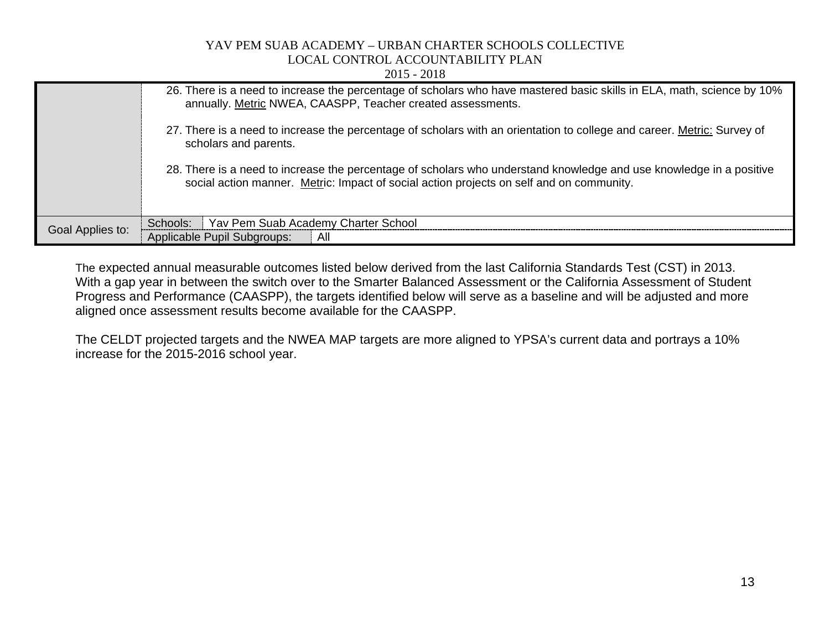2015 - 2018

|                  | 26. There is a need to increase the percentage of scholars who have mastered basic skills in ELA, math, science by 10%<br>annually. Metric NWEA, CAASPP, Teacher created assessments.                           |
|------------------|-----------------------------------------------------------------------------------------------------------------------------------------------------------------------------------------------------------------|
|                  | 27. There is a need to increase the percentage of scholars with an orientation to college and career. Metric: Survey of<br>scholars and parents.                                                                |
|                  | 28. There is a need to increase the percentage of scholars who understand knowledge and use knowledge in a positive<br>social action manner. Metric: Impact of social action projects on self and on community. |
|                  | Yav Pem Suab Academy Charter School<br>Schools:                                                                                                                                                                 |
| Goal Applies to: | Applicable Pupil Subgroups:<br>All                                                                                                                                                                              |

The expected annual measurable outcomes listed below derived from the last California Standards Test (CST) in 2013. With a gap year in between the switch over to the Smarter Balanced Assessment or the California Assessment of Student Progress and Performance (CAASPP), the targets identified below will serve as a baseline and will be adjusted and more aligned once assessment results become available for the CAASPP.

The CELDT projected targets and the NWEA MAP targets are more aligned to YPSA's current data and portrays a 10% increase for the 2015-2016 school year.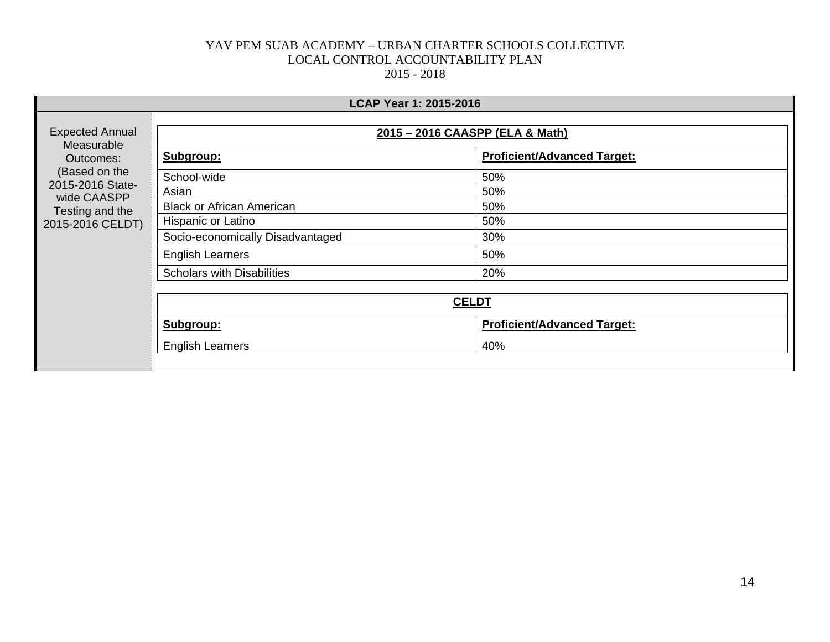|                                      | LCAP Year 1: 2015-2016            |                                    |  |  |  |
|--------------------------------------|-----------------------------------|------------------------------------|--|--|--|
| <b>Expected Annual</b><br>Measurable | 2015 - 2016 CAASPP (ELA & Math)   |                                    |  |  |  |
| Outcomes:                            | Subgroup:                         | <b>Proficient/Advanced Target:</b> |  |  |  |
| (Based on the<br>2015-2016 State-    | School-wide                       | 50%                                |  |  |  |
| wide CAASPP                          | Asian                             | 50%                                |  |  |  |
| Testing and the                      | <b>Black or African American</b>  | 50%                                |  |  |  |
| 2015-2016 CELDT)                     | Hispanic or Latino                | 50%                                |  |  |  |
|                                      | Socio-economically Disadvantaged  | 30%                                |  |  |  |
|                                      | <b>English Learners</b>           | 50%                                |  |  |  |
|                                      | <b>Scholars with Disabilities</b> | 20%                                |  |  |  |
|                                      |                                   |                                    |  |  |  |
|                                      | <b>CELDT</b>                      |                                    |  |  |  |
|                                      | Subgroup:                         | <b>Proficient/Advanced Target:</b> |  |  |  |
|                                      | <b>English Learners</b>           | 40%                                |  |  |  |
|                                      |                                   |                                    |  |  |  |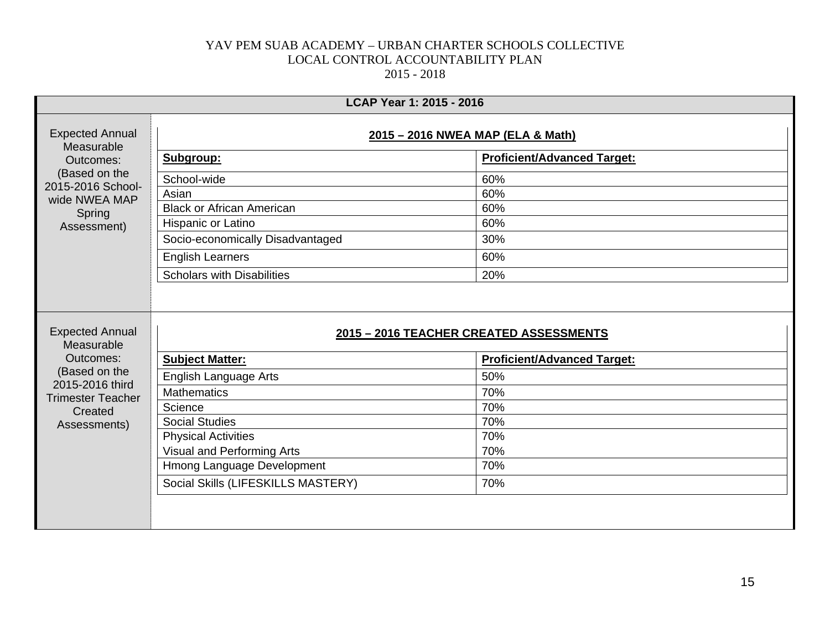|                                             | LCAP Year 1: 2015 - 2016                |                                    |  |
|---------------------------------------------|-----------------------------------------|------------------------------------|--|
| <b>Expected Annual</b><br>Measurable        | 2015 - 2016 NWEA MAP (ELA & Math)       |                                    |  |
| Outcomes:                                   | Subgroup:                               | <b>Proficient/Advanced Target:</b> |  |
| (Based on the<br>2015-2016 School-          | School-wide                             | 60%                                |  |
| wide NWEA MAP                               | Asian                                   | 60%                                |  |
| Spring                                      | <b>Black or African American</b>        | 60%                                |  |
| Assessment)                                 | Hispanic or Latino                      | 60%                                |  |
|                                             | Socio-economically Disadvantaged        | 30%                                |  |
|                                             | <b>English Learners</b>                 | 60%                                |  |
|                                             | <b>Scholars with Disabilities</b>       | 20%                                |  |
| <b>Expected Annual</b><br>Measurable        | 2015 - 2016 TEACHER CREATED ASSESSMENTS |                                    |  |
| Outcomes:<br>(Based on the                  | <b>Subject Matter:</b>                  | <b>Proficient/Advanced Target:</b> |  |
|                                             | English Language Arts                   | 50%                                |  |
| 2015-2016 third<br><b>Trimester Teacher</b> | <b>Mathematics</b>                      | 70%                                |  |
| Created                                     | Science                                 | 70%                                |  |
| Assessments)                                | <b>Social Studies</b>                   | 70%                                |  |
|                                             | <b>Physical Activities</b>              | 70%                                |  |
|                                             | Visual and Performing Arts              | 70%                                |  |
|                                             | Hmong Language Development              | 70%                                |  |
|                                             | Social Skills (LIFESKILLS MASTERY)      | 70%                                |  |
|                                             |                                         |                                    |  |
|                                             |                                         |                                    |  |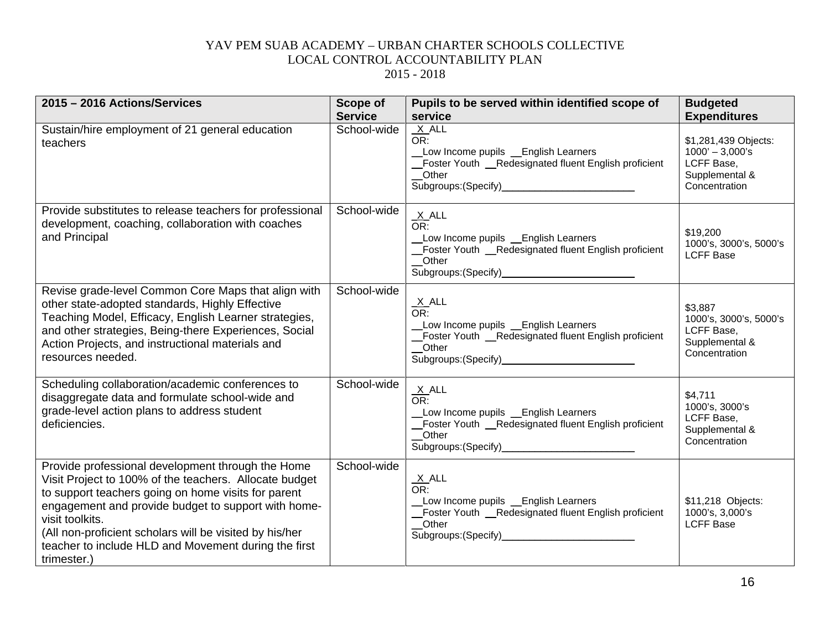| 2015 - 2016 Actions/Services                                                                                                                                                                                                                                                                                                                                                   | Scope of<br><b>Service</b> | Pupils to be served within identified scope of<br>service                                                                                                     | <b>Budgeted</b><br><b>Expenditures</b>                                                     |
|--------------------------------------------------------------------------------------------------------------------------------------------------------------------------------------------------------------------------------------------------------------------------------------------------------------------------------------------------------------------------------|----------------------------|---------------------------------------------------------------------------------------------------------------------------------------------------------------|--------------------------------------------------------------------------------------------|
| Sustain/hire employment of 21 general education<br>teachers                                                                                                                                                                                                                                                                                                                    | School-wide                | $X$ $ALL$<br>OR:<br>_Low Income pupils _English Learners<br>_Foster Youth __Redesignated fluent English proficient<br>Other                                   | \$1,281,439 Objects:<br>$1000' - 3,000's$<br>LCFF Base,<br>Supplemental &<br>Concentration |
| Provide substitutes to release teachers for professional<br>development, coaching, collaboration with coaches<br>and Principal                                                                                                                                                                                                                                                 | School-wide                | $\frac{X}{OR}$ .<br>Low Income pupils _ English Learners<br>_Foster Youth _Redesignated fluent English proficient<br>Other                                    | \$19,200<br>1000's, 3000's, 5000's<br><b>LCFF Base</b>                                     |
| Revise grade-level Common Core Maps that align with<br>other state-adopted standards, Highly Effective<br>Teaching Model, Efficacy, English Learner strategies,<br>and other strategies, Being-there Experiences, Social<br>Action Projects, and instructional materials and<br>resources needed.                                                                              | School-wide                | $\frac{X}{OR}$ .<br>Low Income pupils Lenglish Learners<br>Foster Youth _Redesignated fluent English proficient<br>_Other                                     | \$3,887<br>1000's, 3000's, 5000's<br>LCFF Base,<br>Supplemental &<br>Concentration         |
| Scheduling collaboration/academic conferences to<br>disaggregate data and formulate school-wide and<br>grade-level action plans to address student<br>deficiencies.                                                                                                                                                                                                            | School-wide                | $\frac{X}{OR}$ .<br>Low Income pupils _ English Learners<br>Foster Youth _Redesignated fluent English proficient<br>_Other                                    | \$4,711<br>1000's, 3000's<br>LCFF Base,<br>Supplemental &<br>Concentration                 |
| Provide professional development through the Home<br>Visit Project to 100% of the teachers. Allocate budget<br>to support teachers going on home visits for parent<br>engagement and provide budget to support with home-<br>visit toolkits.<br>(All non-proficient scholars will be visited by his/her<br>teacher to include HLD and Movement during the first<br>trimester.) | School-wide                | <u>X</u> _ALL<br>$\overline{\overline{\text{OR}}}$ :<br>Low Income pupils _ English Learners<br>Foster Youth _Redesignated fluent English proficient<br>Other | \$11,218 Objects:<br>1000's, 3,000's<br><b>LCFF Base</b>                                   |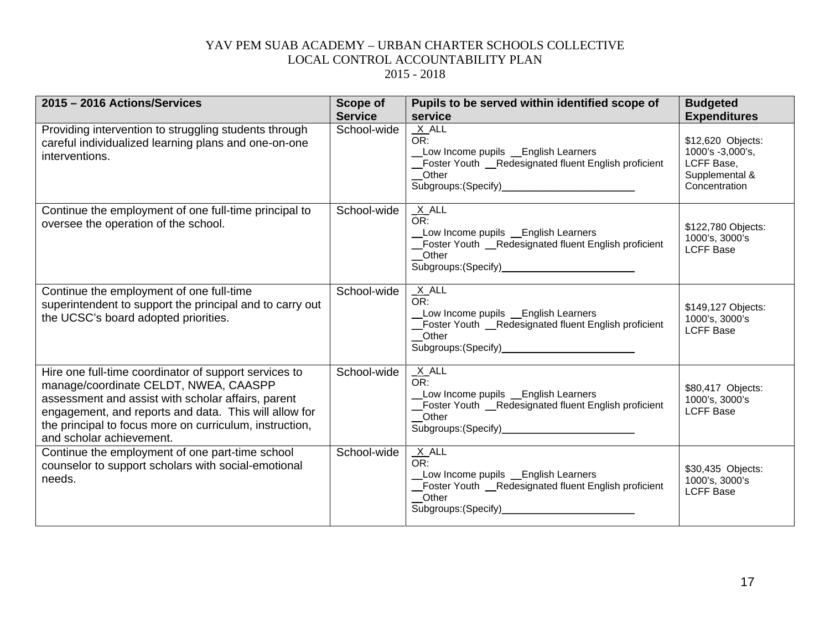| 2015 - 2016 Actions/Services                                                                                                                                                                                                                                                                         | <b>Scope of</b><br><b>Service</b> | Pupils to be served within identified scope of<br>service                                                                                                                           | <b>Budgeted</b><br><b>Expenditures</b>                                                 |
|------------------------------------------------------------------------------------------------------------------------------------------------------------------------------------------------------------------------------------------------------------------------------------------------------|-----------------------------------|-------------------------------------------------------------------------------------------------------------------------------------------------------------------------------------|----------------------------------------------------------------------------------------|
| Providing intervention to struggling students through<br>careful individualized learning plans and one-on-one<br>interventions.                                                                                                                                                                      | School-wide                       | $X$ ALL<br>OR:<br>Low Income pupils _ English Learners<br>Foster Youth _Redesignated fluent English proficient<br>$\_$ Other<br>Subgroups: (Specify)<br><u>Subgroups:</u> (Specify) | \$12,620 Objects:<br>1000's -3,000's,<br>LCFF Base,<br>Supplemental &<br>Concentration |
| Continue the employment of one full-time principal to<br>oversee the operation of the school.                                                                                                                                                                                                        | School-wide                       | $X$ ALL<br>OR:<br>Low Income pupils _English Learners<br>Foster Youth _Redesignated fluent English proficient<br>_Other                                                             | \$122,780 Objects:<br>1000's, 3000's<br><b>LCFF Base</b>                               |
| Continue the employment of one full-time<br>superintendent to support the principal and to carry out<br>the UCSC's board adopted priorities.                                                                                                                                                         | School-wide                       | $X$ ALL<br>OR:<br>Low Income pupils _ English Learners<br>Foster Youth _Redesignated fluent English proficient<br>__Other                                                           | \$149,127 Objects:<br>1000's, 3000's<br><b>LCFF Base</b>                               |
| Hire one full-time coordinator of support services to<br>manage/coordinate CELDT, NWEA, CAASPP<br>assessment and assist with scholar affairs, parent<br>engagement, and reports and data. This will allow for<br>the principal to focus more on curriculum, instruction,<br>and scholar achievement. | School-wide                       | $X$ ALL<br>OR:<br>Low Income pupils _English Learners<br>Foster Youth _Redesignated fluent English proficient<br>_Other<br>Subgroups: (Specify)______________________________       | \$80,417 Objects:<br>1000's, 3000's<br><b>LCFF Base</b>                                |
| Continue the employment of one part-time school<br>counselor to support scholars with social-emotional<br>needs.                                                                                                                                                                                     | School-wide                       | $X$ ALL<br>OR:<br>Low Income pupils _ English Learners<br>Foster Youth _Redesignated fluent English proficient<br>Other<br>Subgroups: (Specify)                                     | \$30,435 Objects:<br>1000's, 3000's<br><b>LCFF Base</b>                                |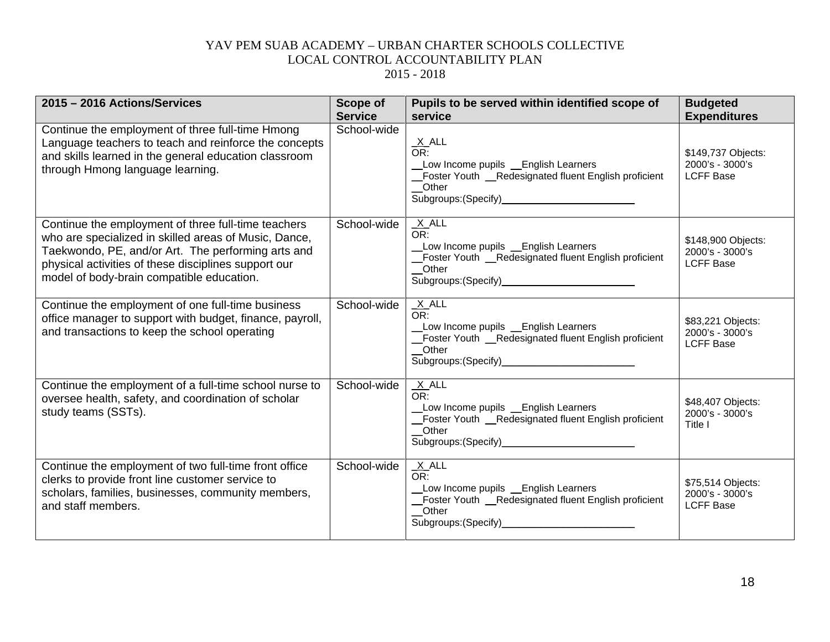| 2015 - 2016 Actions/Services                                                                                                                                                                                                                                            | <b>Scope of</b><br><b>Service</b> | Pupils to be served within identified scope of<br>service                                                                                                                      | <b>Budgeted</b><br><b>Expenditures</b>                    |
|-------------------------------------------------------------------------------------------------------------------------------------------------------------------------------------------------------------------------------------------------------------------------|-----------------------------------|--------------------------------------------------------------------------------------------------------------------------------------------------------------------------------|-----------------------------------------------------------|
| Continue the employment of three full-time Hmong<br>Language teachers to teach and reinforce the concepts<br>and skills learned in the general education classroom<br>through Hmong language learning.                                                                  | School-wide                       | $\frac{X}{OR}$ .<br>Low Income pupils _English Learners<br>Foster Youth _Redesignated fluent English proficient<br>_Other                                                      | \$149,737 Objects:<br>2000's - 3000's<br><b>LCFF Base</b> |
| Continue the employment of three full-time teachers<br>who are specialized in skilled areas of Music, Dance,<br>Taekwondo, PE, and/or Art. The performing arts and<br>physical activities of these disciplines support our<br>model of body-brain compatible education. | School-wide                       | $X$ ALL<br>OR:<br>Low Income pupils _ English Learners<br>Foster Youth __Redesignated fluent English proficient<br>$O$ ther                                                    | \$148,900 Objects:<br>2000's - 3000's<br><b>LCFF Base</b> |
| Continue the employment of one full-time business<br>office manager to support with budget, finance, payroll,<br>and transactions to keep the school operating                                                                                                          | School-wide                       | $X$ ALL<br>OR:<br>Low Income pupils _ English Learners<br>Foster Youth __Redesignated fluent English proficient<br>Other                                                       | \$83,221 Objects:<br>2000's - 3000's<br><b>LCFF Base</b>  |
| Continue the employment of a full-time school nurse to<br>oversee health, safety, and coordination of scholar<br>study teams (SSTs).                                                                                                                                    | School-wide                       | $X$ ALL<br>OR:<br>Low Income pupils Lenglish Learners<br>_Foster Youth __Redesignated fluent English proficient<br>Other<br>Subgroups: (Specify)______________________________ | \$48,407 Objects:<br>2000's - 3000's<br>Title I           |
| Continue the employment of two full-time front office<br>clerks to provide front line customer service to<br>scholars, families, businesses, community members,<br>and staff members.                                                                                   | School-wide                       | X ALL<br>OR:<br>Low Income pupils Lenglish Learners<br>Foster Youth _Redesignated fluent English proficient<br>Other<br>Subgroups: (Specify)_                                  | \$75,514 Objects:<br>2000's - 3000's<br><b>LCFF Base</b>  |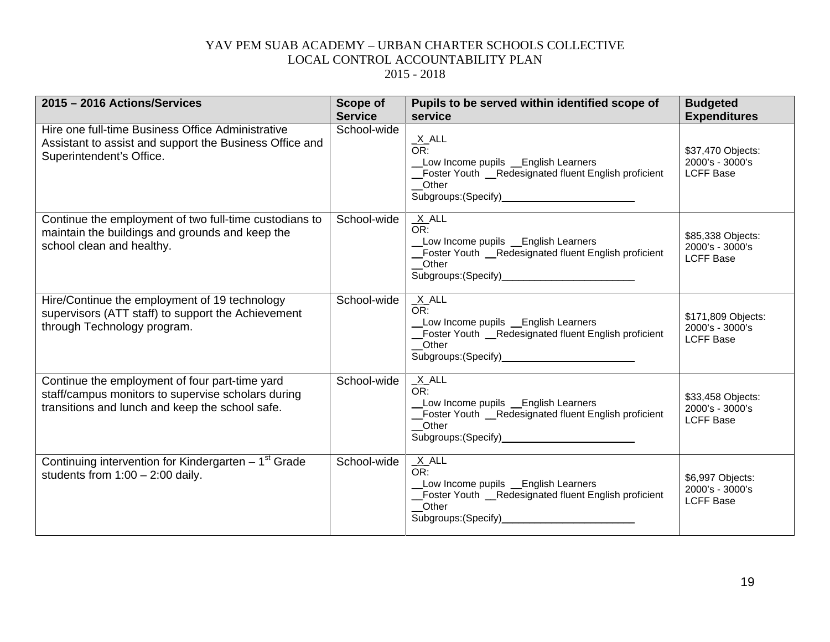| 2015 - 2016 Actions/Services                                                                                                                            | <b>Scope of</b><br><b>Service</b> | Pupils to be served within identified scope of<br>service                                                                                                                      | <b>Budgeted</b><br><b>Expenditures</b>                    |
|---------------------------------------------------------------------------------------------------------------------------------------------------------|-----------------------------------|--------------------------------------------------------------------------------------------------------------------------------------------------------------------------------|-----------------------------------------------------------|
| Hire one full-time Business Office Administrative<br>Assistant to assist and support the Business Office and<br>Superintendent's Office.                | School-wide                       | $\frac{X}{OR}$ .<br>Low Income pupils _English Learners<br>Foster Youth _Redesignated fluent English proficient<br>Other<br>Subgroups: (Specify)<br>Subgroups: (Specify)       | \$37,470 Objects:<br>2000's - 3000's<br><b>LCFF Base</b>  |
| Continue the employment of two full-time custodians to<br>maintain the buildings and grounds and keep the<br>school clean and healthy.                  | School-wide                       | $X$ ALL<br>OR:<br>Low Income pupils Lenglish Learners<br>Foster Youth _Redesignated fluent English proficient<br>Other<br>Subgroups: (Specify)<br><u>Subgroups:</u> (Specify)  | \$85,338 Objects:<br>2000's - 3000's<br><b>LCFF Base</b>  |
| Hire/Continue the employment of 19 technology<br>supervisors (ATT staff) to support the Achievement<br>through Technology program.                      | School-wide                       | $X$ ALL<br>OR:<br>Low Income pupils _ English Learners<br>Foster Youth _Redesignated fluent English proficient<br>Other<br>Subgroups: (Specify)_______________________________ | \$171,809 Objects:<br>2000's - 3000's<br><b>LCFF Base</b> |
| Continue the employment of four part-time yard<br>staff/campus monitors to supervise scholars during<br>transitions and lunch and keep the school safe. | School-wide                       | $X$ ALL<br>OR:<br>Low Income pupils __English Learners<br>Foster Youth __Redesignated fluent English proficient<br>Other<br>Subgroups: (Specify)______________________________ | \$33,458 Objects:<br>2000's - 3000's<br><b>LCFF Base</b>  |
| Continuing intervention for Kindergarten $-1st$ Grade<br>students from $1:00 - 2:00$ daily.                                                             | School-wide                       | $X$ ALL<br>OR:<br>Low Income pupils _English Learners<br>Foster Youth _Redesignated fluent English proficient<br>Other<br>Subgroups: (Specify)_                                | \$6,997 Objects:<br>2000's - 3000's<br><b>LCFF Base</b>   |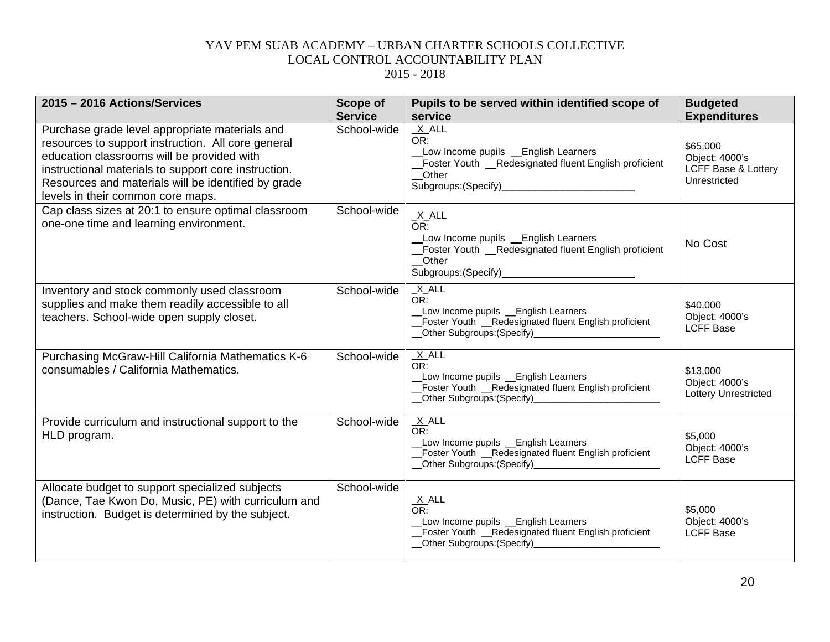| 2015 - 2016 Actions/Services                                                                                                                                                                                                                                                                           | <b>Scope of</b> | Pupils to be served within identified scope of                                                                                                                                                                                                                                                                                                         | <b>Budgeted</b>                                                   |
|--------------------------------------------------------------------------------------------------------------------------------------------------------------------------------------------------------------------------------------------------------------------------------------------------------|-----------------|--------------------------------------------------------------------------------------------------------------------------------------------------------------------------------------------------------------------------------------------------------------------------------------------------------------------------------------------------------|-------------------------------------------------------------------|
|                                                                                                                                                                                                                                                                                                        | <b>Service</b>  | service                                                                                                                                                                                                                                                                                                                                                | <b>Expenditures</b>                                               |
| Purchase grade level appropriate materials and<br>resources to support instruction. All core general<br>education classrooms will be provided with<br>instructional materials to support core instruction.<br>Resources and materials will be identified by grade<br>levels in their common core maps. | School-wide     | $X$ ALL<br>OR:<br>Low Income pupils _English Learners<br>Foster Youth _Redesignated fluent English proficient<br>Other                                                                                                                                                                                                                                 | \$65,000<br>Object: 4000's<br>LCFF Base & Lottery<br>Unrestricted |
| Cap class sizes at 20:1 to ensure optimal classroom<br>one-one time and learning environment.                                                                                                                                                                                                          | School-wide     | $\frac{X}{OR}$ .<br>Low Income pupils _ English Learners<br>Foster Youth _Redesignated fluent English proficient<br>Other<br>Subgroups:(Specify)_                                                                                                                                                                                                      | No Cost                                                           |
| Inventory and stock commonly used classroom<br>supplies and make them readily accessible to all<br>teachers. School-wide open supply closet.                                                                                                                                                           | School-wide     | $X$ ALL<br>OR:<br>Low Income pupils _English Learners<br>_Foster Youth _Redesignated fluent English proficient                                                                                                                                                                                                                                         | \$40,000<br>Object: 4000's<br><b>LCFF Base</b>                    |
| Purchasing McGraw-Hill California Mathematics K-6<br>consumables / California Mathematics.                                                                                                                                                                                                             | School-wide     | $X$ ALL<br>OR:<br>Low Income pupils Lenglish Learners<br>Foster Youth _Redesignated fluent English proficient<br>Other Subgroups: (Specify)____________________                                                                                                                                                                                        | \$13,000<br>Object: 4000's<br>Lottery Unrestricted                |
| Provide curriculum and instructional support to the<br>HLD program.                                                                                                                                                                                                                                    | School-wide     | $X$ ALL<br>OR:<br>Low Income pupils _English Learners<br>Foster Youth _Redesignated fluent English proficient<br>Other Subgroups: (Specify)<br><u>Community</u> Contract Contract Contract Contract Contract Contract Contract Contract Contract Contract Contract Contract Contract Contract Contract Contract Contract Contract Contract Contract Co | \$5,000<br>Object: 4000's<br><b>LCFF Base</b>                     |
| Allocate budget to support specialized subjects<br>(Dance, Tae Kwon Do, Music, PE) with curriculum and<br>instruction. Budget is determined by the subject.                                                                                                                                            | School-wide     | $X$ ALL<br>OR:<br>Low Income pupils _English Learners<br>Foster Youth _Redesignated fluent English proficient<br>_Other Subgroups:(Specify)__________________________                                                                                                                                                                                  | \$5,000<br>Object: 4000's<br><b>LCFF Base</b>                     |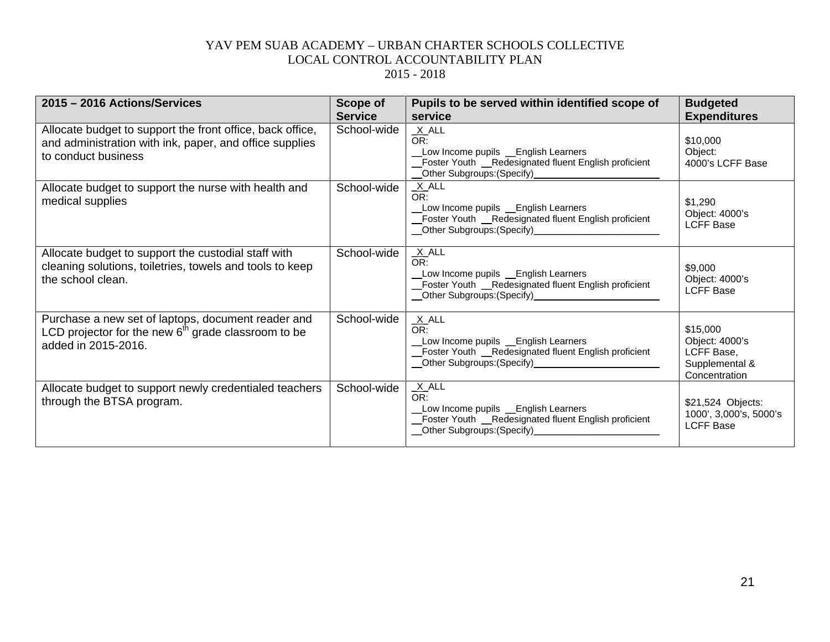| 2015 - 2016 Actions/Services                                                                                                                | <b>Scope of</b> | Pupils to be served within identified scope of                                                                                                                                                                                                                                                                                                         | <b>Budgeted</b>                                                             |
|---------------------------------------------------------------------------------------------------------------------------------------------|-----------------|--------------------------------------------------------------------------------------------------------------------------------------------------------------------------------------------------------------------------------------------------------------------------------------------------------------------------------------------------------|-----------------------------------------------------------------------------|
|                                                                                                                                             | <b>Service</b>  | service                                                                                                                                                                                                                                                                                                                                                | <b>Expenditures</b>                                                         |
| Allocate budget to support the front office, back office,<br>and administration with ink, paper, and office supplies<br>to conduct business | School-wide     | $X$ ALL<br>OR:<br>Low Income pupils _English Learners<br>Foster Youth _Redesignated fluent English proficient<br>_Other Subgroups:(Specify)_                                                                                                                                                                                                           | \$10,000<br>Object:<br>4000's LCFF Base                                     |
| Allocate budget to support the nurse with health and<br>medical supplies                                                                    | School-wide     | X ALL<br>OR:<br>Low Income pupils Learners<br>_Foster Youth _Redesignated fluent English proficient                                                                                                                                                                                                                                                    | \$1,290<br>Object: 4000's<br><b>LCFF Base</b>                               |
| Allocate budget to support the custodial staff with<br>cleaning solutions, toiletries, towels and tools to keep<br>the school clean.        | School-wide     | $X$ ALL<br>OR:<br>Low Income pupils _English Learners<br>Foster Youth _Redesignated fluent English proficient<br>Other Subgroups: (Specify)<br><u>Community</u>                                                                                                                                                                                        | \$9,000<br>Object: 4000's<br><b>LCFF Base</b>                               |
| Purchase a new set of laptops, document reader and<br>LCD projector for the new $6th$ grade classroom to be<br>added in 2015-2016.          | School-wide     | X ALL<br>OR:<br>Low Income pupils Lenglish Learners<br>_Foster Youth _Redesignated fluent English proficient<br>__Other Subgroups:(Specify)_________________________                                                                                                                                                                                   | \$15,000<br>Object: 4000's<br>LCFF Base,<br>Supplemental &<br>Concentration |
| Allocate budget to support newly credentialed teachers<br>through the BTSA program.                                                         | School-wide     | $X$ ALL<br>OR:<br>Low Income pupils Lenglish Learners<br>Foster Youth _Redesignated fluent English proficient<br>Other Subgroups: (Specify)<br><u>Community</u> Contract Contract Contract Contract Contract Contract Contract Contract Contract Contract Contract Contract Contract Contract Contract Contract Contract Contract Contract Contract Co | \$21,524 Objects:<br>1000', 3,000's, 5000's<br><b>LCFF Base</b>             |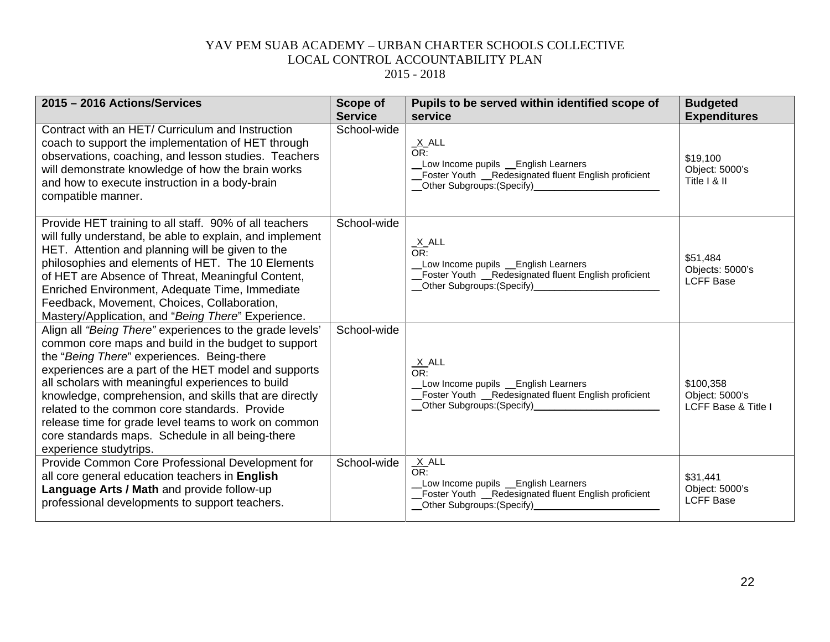| 2015 - 2016 Actions/Services                                                                                                                                                                                                                                                                                                                                                                                                                                                                                                | <b>Scope of</b><br><b>Service</b> | Pupils to be served within identified scope of<br>service                                                                                            | <b>Budgeted</b><br><b>Expenditures</b>                        |
|-----------------------------------------------------------------------------------------------------------------------------------------------------------------------------------------------------------------------------------------------------------------------------------------------------------------------------------------------------------------------------------------------------------------------------------------------------------------------------------------------------------------------------|-----------------------------------|------------------------------------------------------------------------------------------------------------------------------------------------------|---------------------------------------------------------------|
| Contract with an HET/ Curriculum and Instruction<br>coach to support the implementation of HET through<br>observations, coaching, and lesson studies. Teachers<br>will demonstrate knowledge of how the brain works<br>and how to execute instruction in a body-brain<br>compatible manner.                                                                                                                                                                                                                                 | School-wide                       | $\frac{X}{OR}$ .<br>Low Income pupils _English Learners<br>_Foster Youth _Redesignated fluent English proficient                                     | \$19,100<br>Object: 5000's<br>Title I & II                    |
| Provide HET training to all staff. 90% of all teachers<br>will fully understand, be able to explain, and implement<br>HET. Attention and planning will be given to the<br>philosophies and elements of HET. The 10 Elements<br>of HET are Absence of Threat, Meaningful Content,<br>Enriched Environment, Adequate Time, Immediate<br>Feedback, Movement, Choices, Collaboration,<br>Mastery/Application, and "Being There" Experience.                                                                                     | School-wide                       | $\frac{X}{OR}$ .<br>Low Income pupils _ English Learners<br>Foster Youth _Redesignated fluent English proficient<br>_Other Subgroups:(Specify)______ | \$51,484<br>Objects: 5000's<br><b>LCFF Base</b>               |
| Align all "Being There" experiences to the grade levels'<br>common core maps and build in the budget to support<br>the "Being There" experiences. Being-there<br>experiences are a part of the HET model and supports<br>all scholars with meaningful experiences to build<br>knowledge, comprehension, and skills that are directly<br>related to the common core standards. Provide<br>release time for grade level teams to work on common<br>core standards maps. Schedule in all being-there<br>experience studytrips. | School-wide                       | $\frac{X}{OR}$ .<br>Low Income pupils _English Learners<br>Foster Youth _Redesignated fluent English proficient                                      | \$100,358<br>Object: 5000's<br><b>LCFF Base &amp; Title I</b> |
| Provide Common Core Professional Development for<br>all core general education teachers in English<br>Language Arts / Math and provide follow-up<br>professional developments to support teachers.                                                                                                                                                                                                                                                                                                                          | School-wide                       | $X$ ALL<br>OR:<br>Low Income pupils _ English Learners<br>Foster Youth _Redesignated fluent English proficient<br>_Other Subgroups: (Specify)_       | \$31,441<br>Object: 5000's<br><b>LCFF Base</b>                |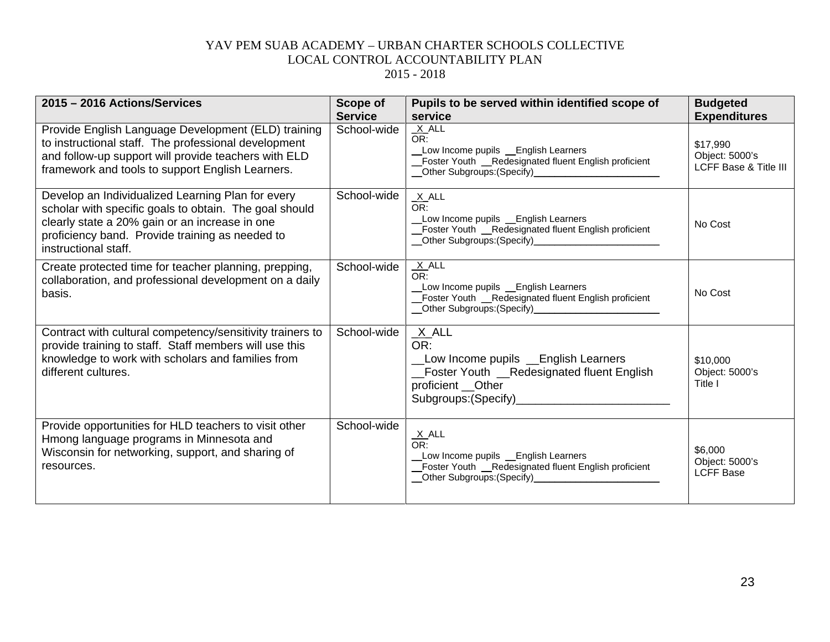| 2015 - 2016 Actions/Services                                                                                                                                                                                                             | Scope of<br><b>Service</b> | Pupils to be served within identified scope of<br>service                                                                  | <b>Budgeted</b><br><b>Expenditures</b>              |
|------------------------------------------------------------------------------------------------------------------------------------------------------------------------------------------------------------------------------------------|----------------------------|----------------------------------------------------------------------------------------------------------------------------|-----------------------------------------------------|
| Provide English Language Development (ELD) training<br>to instructional staff. The professional development<br>and follow-up support will provide teachers with ELD<br>framework and tools to support English Learners.                  | School-wide                | X ALL<br>OR:<br>Low Income pupils _English Learners<br>Foster Youth _Redesignated fluent English proficient                | \$17.990<br>Object: 5000's<br>LCFF Base & Title III |
| Develop an Individualized Learning Plan for every<br>scholar with specific goals to obtain. The goal should<br>clearly state a 20% gain or an increase in one<br>proficiency band. Provide training as needed to<br>instructional staff. | School-wide                | $X$ ALL<br>OR:<br>Low Income pupils Lenglish Learners<br>Foster Youth _Redesignated fluent English proficient              | No Cost                                             |
| Create protected time for teacher planning, prepping,<br>collaboration, and professional development on a daily<br>basis.                                                                                                                | School-wide                | $X$ ALL<br>OR:<br>Low Income pupils _ English Learners<br>Foster Youth _Redesignated fluent English proficient             | No Cost                                             |
| Contract with cultural competency/sensitivity trainers to<br>provide training to staff. Staff members will use this<br>knowledge to work with scholars and families from<br>different cultures.                                          | School-wide                | $X$ ALL<br>OR:<br>Low Income pupils Lenglish Learners<br>_Foster Youth __Redesignated fluent English<br>proficient __Other | \$10,000<br>Object: 5000's<br>Title I               |
| Provide opportunities for HLD teachers to visit other<br>Hmong language programs in Minnesota and<br>Wisconsin for networking, support, and sharing of<br>resources.                                                                     | School-wide                | $X$ ALL<br>OR:<br>Low Income pupils Lenglish Learners<br>_Foster Youth _Redesignated fluent English proficient             | \$6,000<br>Object: 5000's<br><b>LCFF Base</b>       |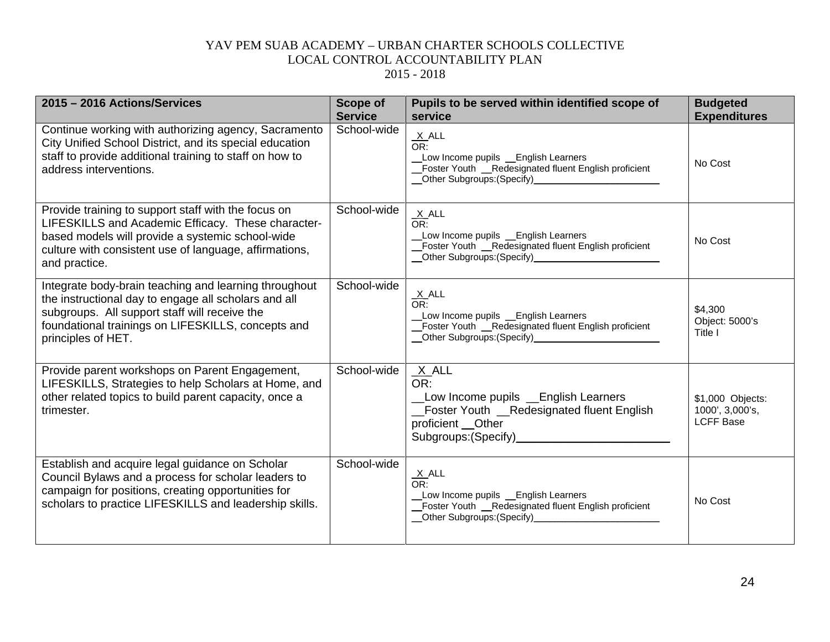| 2015 - 2016 Actions/Services                                                                                                                                                                                                               | <b>Scope of</b><br><b>Service</b> | Pupils to be served within identified scope of<br>service                                                                                                                                | <b>Budgeted</b><br><b>Expenditures</b>                  |
|--------------------------------------------------------------------------------------------------------------------------------------------------------------------------------------------------------------------------------------------|-----------------------------------|------------------------------------------------------------------------------------------------------------------------------------------------------------------------------------------|---------------------------------------------------------|
| Continue working with authorizing agency, Sacramento<br>City Unified School District, and its special education<br>staff to provide additional training to staff on how to<br>address interventions.                                       | School-wide                       | $\frac{X}{OR}$ .<br>Low Income pupils _English Learners<br>_Foster Youth _Redesignated fluent English proficient<br>Other Subgroups: (Specify)<br><u>Communication</u>                   | No Cost                                                 |
| Provide training to support staff with the focus on<br>LIFESKILLS and Academic Efficacy. These character-<br>based models will provide a systemic school-wide<br>culture with consistent use of language, affirmations,<br>and practice.   | School-wide                       | $X$ ALL<br>OR:<br>Low Income pupils _English Learners<br>Foster Youth __Redesignated fluent English proficient                                                                           | No Cost                                                 |
| Integrate body-brain teaching and learning throughout<br>the instructional day to engage all scholars and all<br>subgroups. All support staff will receive the<br>foundational trainings on LIFESKILLS, concepts and<br>principles of HET. | School-wide                       | $\frac{X}{OR}$ ALL<br>Low Income pupils _English Learners<br>Foster Youth _Redesignated fluent English proficient<br>__Other Subgroups:(Specify)____________________                     | \$4,300<br>Object: 5000's<br>Title I                    |
| Provide parent workshops on Parent Engagement,<br>LIFESKILLS, Strategies to help Scholars at Home, and<br>other related topics to build parent capacity, once a<br>trimester.                                                              | School-wide                       | $X$ ALL<br>OR:<br>Low Income pupils Lenglish Learners<br><b>Example 1</b> Foster Youth Redesignated fluent English<br>proficient __Other<br>Subgroups: (Specify)<br>Subgroups: (Specify) | \$1,000 Objects:<br>1000', 3,000's,<br><b>LCFF Base</b> |
| Establish and acquire legal guidance on Scholar<br>Council Bylaws and a process for scholar leaders to<br>campaign for positions, creating opportunities for<br>scholars to practice LIFESKILLS and leadership skills.                     | School-wide                       | $\frac{X}{OR}$ .<br>Low Income pupils _English Learners<br>Foster Youth __ Redesignated fluent English proficient                                                                        | No Cost                                                 |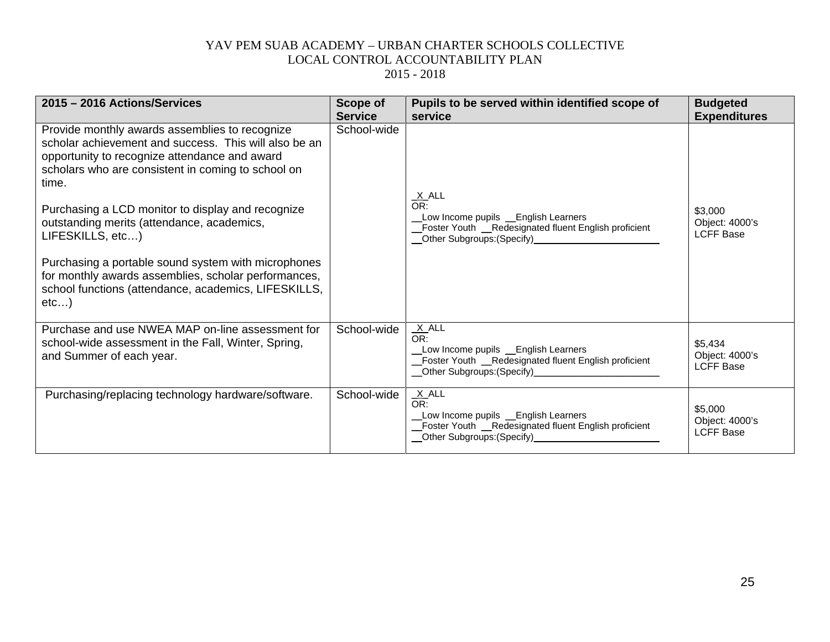| 2015 - 2016 Actions/Services                                                                                                                                                                                                                                                                                                                                                                                                                                                                                                  | Scope of       | Pupils to be served within identified scope of                                                                                                                        | <b>Budgeted</b>                               |
|-------------------------------------------------------------------------------------------------------------------------------------------------------------------------------------------------------------------------------------------------------------------------------------------------------------------------------------------------------------------------------------------------------------------------------------------------------------------------------------------------------------------------------|----------------|-----------------------------------------------------------------------------------------------------------------------------------------------------------------------|-----------------------------------------------|
|                                                                                                                                                                                                                                                                                                                                                                                                                                                                                                                               | <b>Service</b> | service                                                                                                                                                               | <b>Expenditures</b>                           |
| Provide monthly awards assemblies to recognize<br>scholar achievement and success. This will also be an<br>opportunity to recognize attendance and award<br>scholars who are consistent in coming to school on<br>time.<br>Purchasing a LCD monitor to display and recognize<br>outstanding merits (attendance, academics,<br>LIFESKILLS, etc)<br>Purchasing a portable sound system with microphones<br>for monthly awards assemblies, scholar performances,<br>school functions (attendance, academics, LIFESKILLS,<br>etc) | School-wide    | $\frac{X}{OR}$ .<br>Low Income pupils _English Learners<br>Foster Youth _Redesignated fluent English proficient<br>Other Subgroups: (Specify)<br><u>Communicative</u> | \$3,000<br>Object: 4000's<br><b>LCFF Base</b> |
| Purchase and use NWEA MAP on-line assessment for<br>school-wide assessment in the Fall, Winter, Spring,<br>and Summer of each year.                                                                                                                                                                                                                                                                                                                                                                                           | School-wide    | X ALL<br>OR:<br>Low Income pupils _English Learners<br>Foster Youth _Redesignated fluent English proficient<br>__Other Subgroups:(Specify)_________________________   | \$5,434<br>Object: 4000's<br><b>LCFF Base</b> |
| Purchasing/replacing technology hardware/software.                                                                                                                                                                                                                                                                                                                                                                                                                                                                            | School-wide    | $X$ ALL<br>OR:<br>Low Income pupils _English Learners<br>Foster Youth _Redesignated fluent English proficient<br>_Other Subgroups:(Specify)__                         | \$5,000<br>Object: 4000's<br><b>LCFF Base</b> |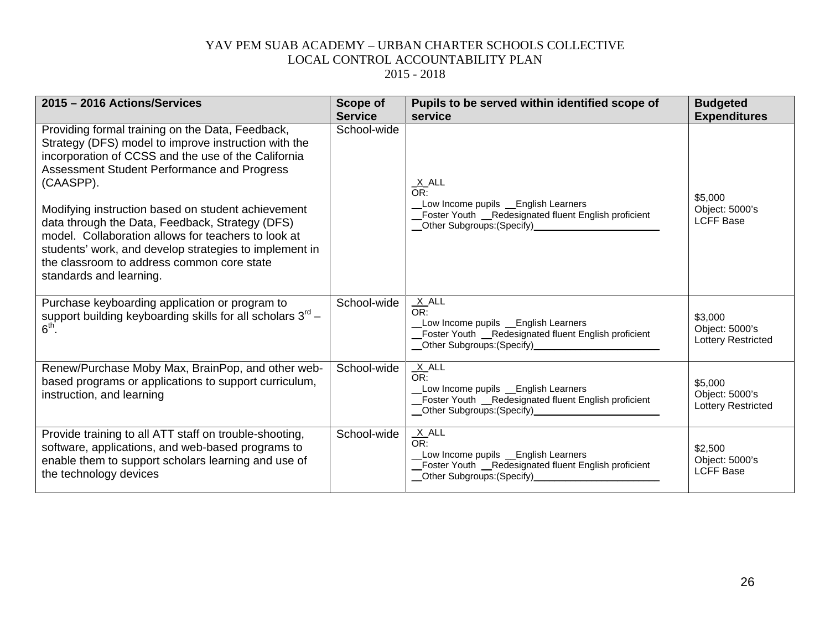| 2015 - 2016 Actions/Services                                                                                                                                                                                                                                                                    | Scope of<br><b>Service</b> | Pupils to be served within identified scope of<br>service                                                                                                                                                                                                                                                                                                  | <b>Budgeted</b><br><b>Expenditures</b>                 |
|-------------------------------------------------------------------------------------------------------------------------------------------------------------------------------------------------------------------------------------------------------------------------------------------------|----------------------------|------------------------------------------------------------------------------------------------------------------------------------------------------------------------------------------------------------------------------------------------------------------------------------------------------------------------------------------------------------|--------------------------------------------------------|
| Providing formal training on the Data, Feedback,<br>Strategy (DFS) model to improve instruction with the<br>incorporation of CCSS and the use of the California<br>Assessment Student Performance and Progress<br>(CAASPP).                                                                     | School-wide                | <u>X</u> ALL<br>$\overline{\overline{\text{OR}}}$<br>Low Income pupils _English Learners                                                                                                                                                                                                                                                                   | \$5,000                                                |
| Modifying instruction based on student achievement<br>data through the Data, Feedback, Strategy (DFS)<br>model. Collaboration allows for teachers to look at<br>students' work, and develop strategies to implement in<br>the classroom to address common core state<br>standards and learning. |                            | Foster Youth _Redesignated fluent English proficient                                                                                                                                                                                                                                                                                                       | Object: 5000's<br><b>LCFF Base</b>                     |
| Purchase keyboarding application or program to<br>support building keyboarding skills for all scholars $3rd$ –<br>6 <sup>th</sup>                                                                                                                                                               | School-wide                | $X$ ALL<br>OR:<br>_Low Income    pupils __English Learners<br>_Foster Youth __Redesignated fluent English proficient                                                                                                                                                                                                                                       | \$3,000<br>Object: 5000's<br><b>Lottery Restricted</b> |
| Renew/Purchase Moby Max, BrainPop, and other web-<br>based programs or applications to support curriculum,<br>instruction, and learning                                                                                                                                                         | School-wide                | $X$ ALL<br>OR:<br>Low Income pupils _English Learners<br>Foster Youth _Redesignated fluent English proficient                                                                                                                                                                                                                                              | \$5,000<br>Object: 5000's<br><b>Lottery Restricted</b> |
| Provide training to all ATT staff on trouble-shooting,<br>software, applications, and web-based programs to<br>enable them to support scholars learning and use of<br>the technology devices                                                                                                    | School-wide                | $\frac{X}{OR}$ ALL<br>Low Income pupils _English Learners<br>Foster Youth _Redesignated fluent English proficient<br>Other Subgroups: (Specify)<br><u>Community</u> Contract Contract Contract Contract Contract Contract Contract Contract Contract Contract Contract Contract Contract Contract Contract Contract Contract Contract Contract Contract Co | \$2,500<br>Object: 5000's<br><b>LCFF Base</b>          |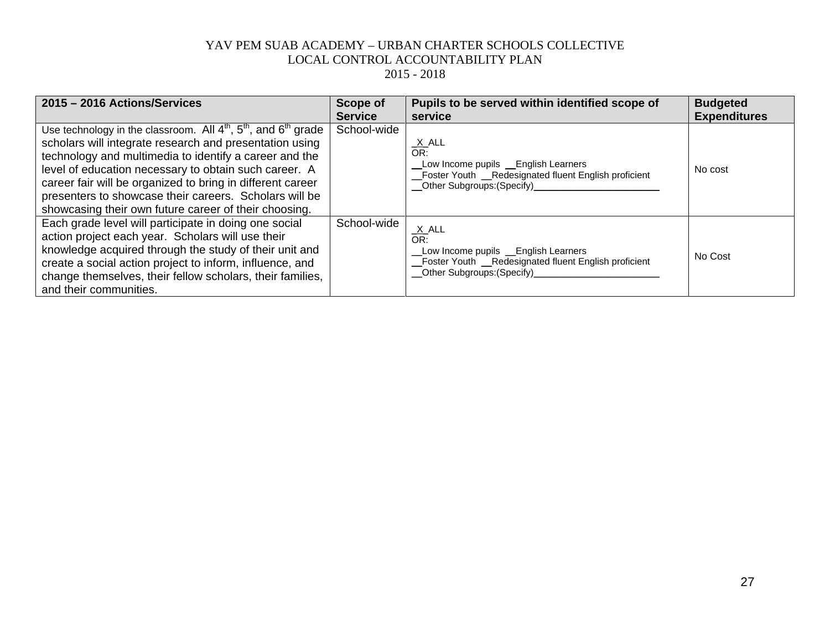| 2015 - 2016 Actions/Services                                                                                                                                                                                                                                                                                                                                                                                                        | Scope of       | Pupils to be served within identified scope of                                                                                                                        | <b>Budgeted</b>     |
|-------------------------------------------------------------------------------------------------------------------------------------------------------------------------------------------------------------------------------------------------------------------------------------------------------------------------------------------------------------------------------------------------------------------------------------|----------------|-----------------------------------------------------------------------------------------------------------------------------------------------------------------------|---------------------|
|                                                                                                                                                                                                                                                                                                                                                                                                                                     | <b>Service</b> | service                                                                                                                                                               | <b>Expenditures</b> |
| Use technology in the classroom. All $4th$ , $5th$ , and $6th$ grade<br>scholars will integrate research and presentation using<br>technology and multimedia to identify a career and the<br>level of education necessary to obtain such career. A<br>career fair will be organized to bring in different career<br>presenters to showcase their careers. Scholars will be<br>showcasing their own future career of their choosing. | School-wide    | <u>_X_</u> ALL<br>OR:<br>_Low Income pupils _English Learners<br>Foster Youth _Redesignated fluent English proficient<br>__Other Subgroups:(Specify)_________________ | No cost             |
| Each grade level will participate in doing one social<br>action project each year. Scholars will use their<br>knowledge acquired through the study of their unit and<br>create a social action project to inform, influence, and<br>change themselves, their fellow scholars, their families,<br>and their communities.                                                                                                             | School-wide    | $X$ ALL<br>OR:<br>Low Income pupils _English Learners<br>Foster Youth _Redesignated fluent English proficient<br>Other Subgroups: (Specify)                           | No Cost             |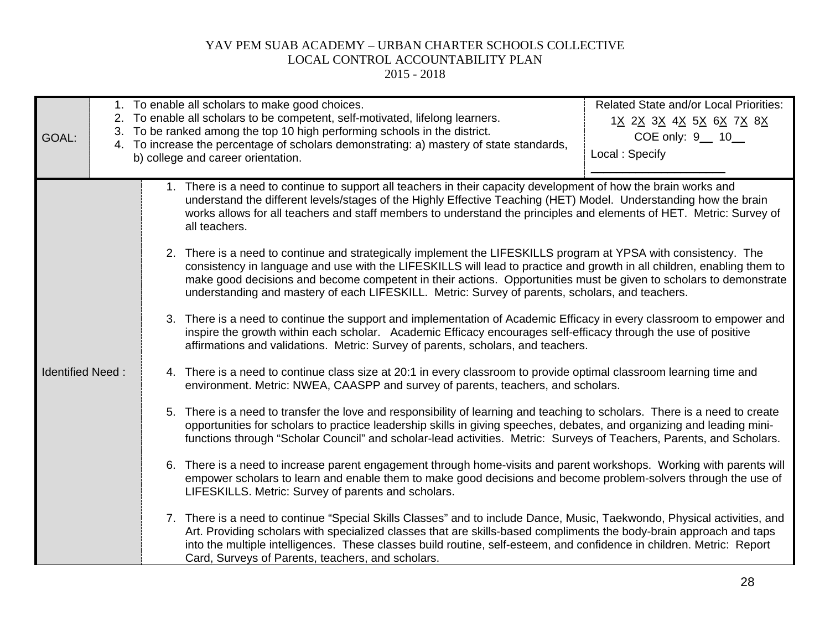| GOAL:                                                                                                                                                                                                                                                                                                                                                                        |                                                                                                                                                                                                                                    | <b>Related State and/or Local Priorities:</b><br>1. To enable all scholars to make good choices.<br>2. To enable all scholars to be competent, self-motivated, lifelong learners.<br>1 <u>X 2X 3X 4X 5X 6X 7X 8X</u><br>3. To be ranked among the top 10 high performing schools in the district.<br>COE only: 9 10<br>4. To increase the percentage of scholars demonstrating: a) mastery of state standards,<br>Local: Specify<br>b) college and career orientation. |  |  |
|------------------------------------------------------------------------------------------------------------------------------------------------------------------------------------------------------------------------------------------------------------------------------------------------------------------------------------------------------------------------------|------------------------------------------------------------------------------------------------------------------------------------------------------------------------------------------------------------------------------------|------------------------------------------------------------------------------------------------------------------------------------------------------------------------------------------------------------------------------------------------------------------------------------------------------------------------------------------------------------------------------------------------------------------------------------------------------------------------|--|--|
|                                                                                                                                                                                                                                                                                                                                                                              |                                                                                                                                                                                                                                    | 1. There is a need to continue to support all teachers in their capacity development of how the brain works and<br>understand the different levels/stages of the Highly Effective Teaching (HET) Model. Understanding how the brain<br>works allows for all teachers and staff members to understand the principles and elements of HET. Metric: Survey of<br>all teachers.                                                                                            |  |  |
|                                                                                                                                                                                                                                                                                                                                                                              |                                                                                                                                                                                                                                    | 2. There is a need to continue and strategically implement the LIFESKILLS program at YPSA with consistency. The<br>consistency in language and use with the LIFESKILLS will lead to practice and growth in all children, enabling them to<br>make good decisions and become competent in their actions. Opportunities must be given to scholars to demonstrate<br>understanding and mastery of each LIFESKILL. Metric: Survey of parents, scholars, and teachers.      |  |  |
|                                                                                                                                                                                                                                                                                                                                                                              |                                                                                                                                                                                                                                    | 3. There is a need to continue the support and implementation of Academic Efficacy in every classroom to empower and<br>inspire the growth within each scholar. Academic Efficacy encourages self-efficacy through the use of positive<br>affirmations and validations. Metric: Survey of parents, scholars, and teachers.                                                                                                                                             |  |  |
|                                                                                                                                                                                                                                                                                                                                                                              | <b>Identified Need:</b><br>4. There is a need to continue class size at 20:1 in every classroom to provide optimal classroom learning time and<br>environment. Metric: NWEA, CAASPP and survey of parents, teachers, and scholars. |                                                                                                                                                                                                                                                                                                                                                                                                                                                                        |  |  |
| 5. There is a need to transfer the love and responsibility of learning and teaching to scholars. There is a need to create<br>opportunities for scholars to practice leadership skills in giving speeches, debates, and organizing and leading mini-<br>functions through "Scholar Council" and scholar-lead activities. Metric: Surveys of Teachers, Parents, and Scholars. |                                                                                                                                                                                                                                    |                                                                                                                                                                                                                                                                                                                                                                                                                                                                        |  |  |
|                                                                                                                                                                                                                                                                                                                                                                              |                                                                                                                                                                                                                                    | 6. There is a need to increase parent engagement through home-visits and parent workshops. Working with parents will<br>empower scholars to learn and enable them to make good decisions and become problem-solvers through the use of<br>LIFESKILLS. Metric: Survey of parents and scholars.                                                                                                                                                                          |  |  |
|                                                                                                                                                                                                                                                                                                                                                                              |                                                                                                                                                                                                                                    | 7. There is a need to continue "Special Skills Classes" and to include Dance, Music, Taekwondo, Physical activities, and<br>Art. Providing scholars with specialized classes that are skills-based compliments the body-brain approach and taps<br>into the multiple intelligences. These classes build routine, self-esteem, and confidence in children. Metric: Report<br>Card, Surveys of Parents, teachers, and scholars.                                          |  |  |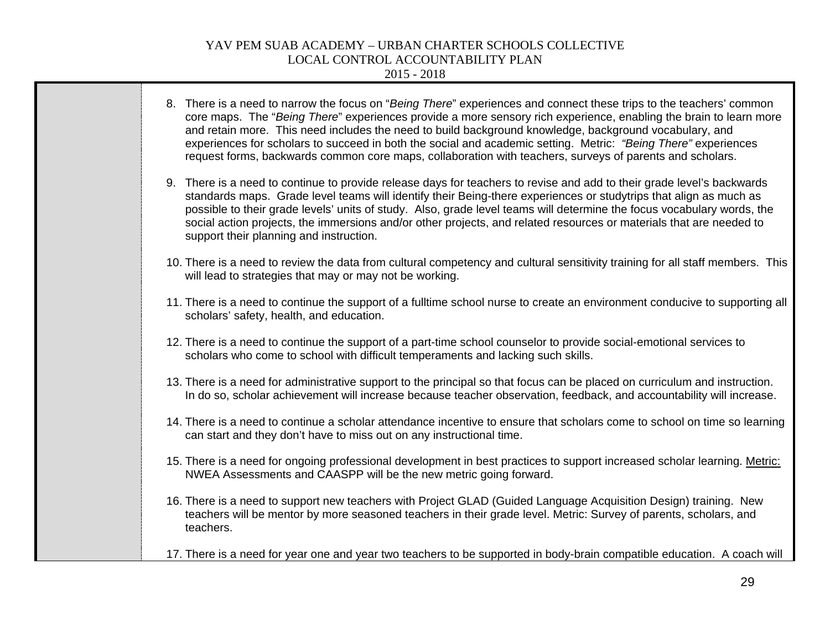2015 - 2018

 $\overline{\phantom{a}}$ 

| 8. There is a need to narrow the focus on "Being There" experiences and connect these trips to the teachers' common<br>core maps. The "Being There" experiences provide a more sensory rich experience, enabling the brain to learn more<br>and retain more. This need includes the need to build background knowledge, background vocabulary, and<br>experiences for scholars to succeed in both the social and academic setting. Metric: "Being There" experiences<br>request forms, backwards common core maps, collaboration with teachers, surveys of parents and scholars. |
|----------------------------------------------------------------------------------------------------------------------------------------------------------------------------------------------------------------------------------------------------------------------------------------------------------------------------------------------------------------------------------------------------------------------------------------------------------------------------------------------------------------------------------------------------------------------------------|
| 9. There is a need to continue to provide release days for teachers to revise and add to their grade level's backwards<br>standards maps. Grade level teams will identify their Being-there experiences or studytrips that align as much as<br>possible to their grade levels' units of study. Also, grade level teams will determine the focus vocabulary words, the<br>social action projects, the immersions and/or other projects, and related resources or materials that are needed to<br>support their planning and instruction.                                          |
| 10. There is a need to review the data from cultural competency and cultural sensitivity training for all staff members. This<br>will lead to strategies that may or may not be working.                                                                                                                                                                                                                                                                                                                                                                                         |
| 11. There is a need to continue the support of a fulltime school nurse to create an environment conducive to supporting all<br>scholars' safety, health, and education.                                                                                                                                                                                                                                                                                                                                                                                                          |
| 12. There is a need to continue the support of a part-time school counselor to provide social-emotional services to<br>scholars who come to school with difficult temperaments and lacking such skills.                                                                                                                                                                                                                                                                                                                                                                          |
| 13. There is a need for administrative support to the principal so that focus can be placed on curriculum and instruction.<br>In do so, scholar achievement will increase because teacher observation, feedback, and accountability will increase.                                                                                                                                                                                                                                                                                                                               |
| 14. There is a need to continue a scholar attendance incentive to ensure that scholars come to school on time so learning<br>can start and they don't have to miss out on any instructional time.                                                                                                                                                                                                                                                                                                                                                                                |
| 15. There is a need for ongoing professional development in best practices to support increased scholar learning. Metric:<br>NWEA Assessments and CAASPP will be the new metric going forward.                                                                                                                                                                                                                                                                                                                                                                                   |
| 16. There is a need to support new teachers with Project GLAD (Guided Language Acquisition Design) training. New<br>teachers will be mentor by more seasoned teachers in their grade level. Metric: Survey of parents, scholars, and<br>teachers.                                                                                                                                                                                                                                                                                                                                |
| 17. There is a need for year one and year two teachers to be supported in body-brain compatible education. A coach will                                                                                                                                                                                                                                                                                                                                                                                                                                                          |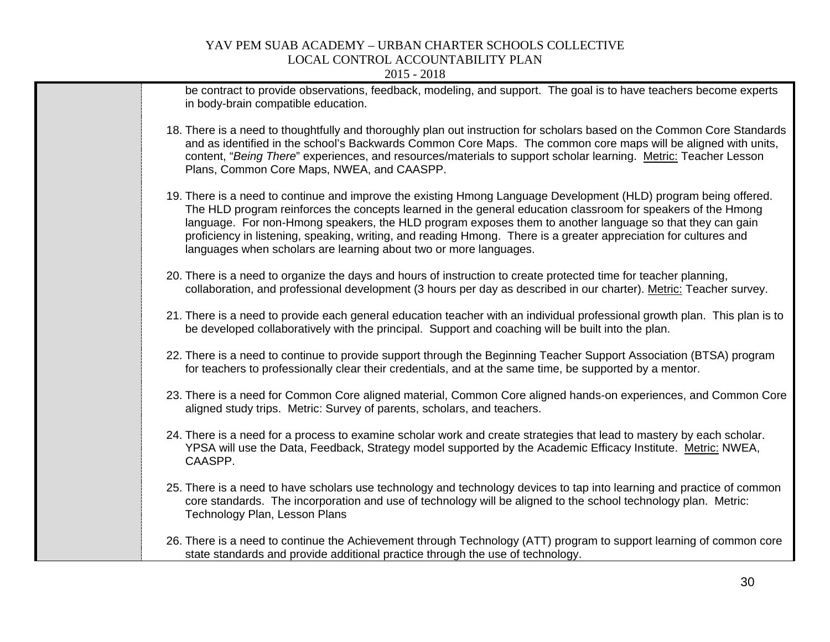| be contract to provide observations, feedback, modeling, and support. The goal is to have teachers become experts<br>in body-brain compatible education.                                                                                                                                                                                                                                                                                                                                                                              |
|---------------------------------------------------------------------------------------------------------------------------------------------------------------------------------------------------------------------------------------------------------------------------------------------------------------------------------------------------------------------------------------------------------------------------------------------------------------------------------------------------------------------------------------|
| 18. There is a need to thoughtfully and thoroughly plan out instruction for scholars based on the Common Core Standards<br>and as identified in the school's Backwards Common Core Maps. The common core maps will be aligned with units,<br>content, "Being There" experiences, and resources/materials to support scholar learning. Metric: Teacher Lesson<br>Plans, Common Core Maps, NWEA, and CAASPP.                                                                                                                            |
| 19. There is a need to continue and improve the existing Hmong Language Development (HLD) program being offered.<br>The HLD program reinforces the concepts learned in the general education classroom for speakers of the Hmong<br>language. For non-Hmong speakers, the HLD program exposes them to another language so that they can gain<br>proficiency in listening, speaking, writing, and reading Hmong. There is a greater appreciation for cultures and<br>languages when scholars are learning about two or more languages. |
| 20. There is a need to organize the days and hours of instruction to create protected time for teacher planning,<br>collaboration, and professional development (3 hours per day as described in our charter). Metric: Teacher survey.                                                                                                                                                                                                                                                                                                |
| 21. There is a need to provide each general education teacher with an individual professional growth plan. This plan is to<br>be developed collaboratively with the principal. Support and coaching will be built into the plan.                                                                                                                                                                                                                                                                                                      |
| 22. There is a need to continue to provide support through the Beginning Teacher Support Association (BTSA) program<br>for teachers to professionally clear their credentials, and at the same time, be supported by a mentor.                                                                                                                                                                                                                                                                                                        |
| 23. There is a need for Common Core aligned material, Common Core aligned hands-on experiences, and Common Core<br>aligned study trips. Metric: Survey of parents, scholars, and teachers.                                                                                                                                                                                                                                                                                                                                            |
| 24. There is a need for a process to examine scholar work and create strategies that lead to mastery by each scholar.<br>YPSA will use the Data, Feedback, Strategy model supported by the Academic Efficacy Institute. Metric: NWEA,<br>CAASPP.                                                                                                                                                                                                                                                                                      |
| 25. There is a need to have scholars use technology and technology devices to tap into learning and practice of common<br>core standards. The incorporation and use of technology will be aligned to the school technology plan. Metric:<br>Technology Plan, Lesson Plans                                                                                                                                                                                                                                                             |
| 26. There is a need to continue the Achievement through Technology (ATT) program to support learning of common core<br>state standards and provide additional practice through the use of technology.                                                                                                                                                                                                                                                                                                                                 |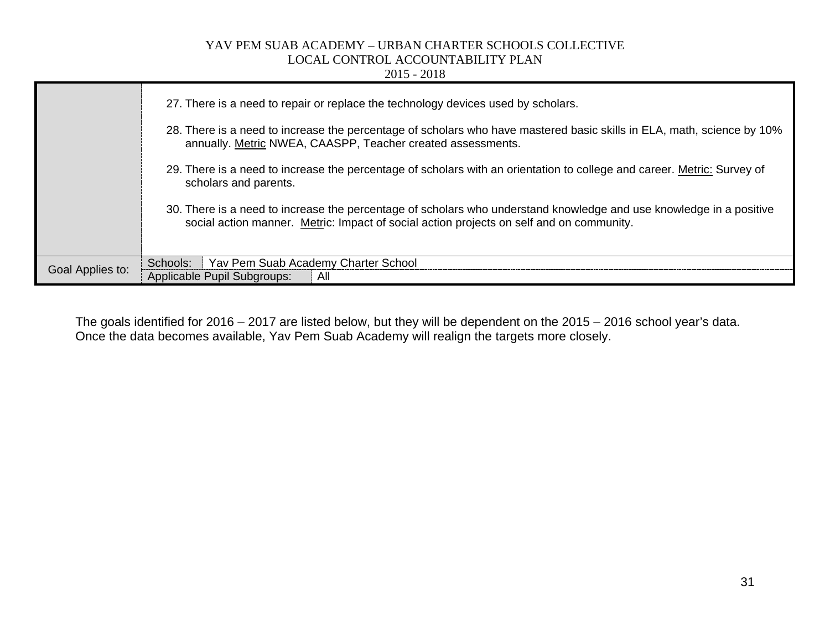|                  | $2015 - 2018$                                                                                                                                                                                                                                                                                                                                                                                                                                                                                                                                                                                                                                     |
|------------------|---------------------------------------------------------------------------------------------------------------------------------------------------------------------------------------------------------------------------------------------------------------------------------------------------------------------------------------------------------------------------------------------------------------------------------------------------------------------------------------------------------------------------------------------------------------------------------------------------------------------------------------------------|
|                  | 27. There is a need to repair or replace the technology devices used by scholars.<br>28. There is a need to increase the percentage of scholars who have mastered basic skills in ELA, math, science by 10%<br>annually. Metric NWEA, CAASPP, Teacher created assessments.<br>29. There is a need to increase the percentage of scholars with an orientation to college and career. Metric: Survey of<br>scholars and parents.<br>30. There is a need to increase the percentage of scholars who understand knowledge and use knowledge in a positive<br>social action manner. Metric: Impact of social action projects on self and on community. |
| Goal Applies to: | Yav Pem Suab Academy Charter School<br>Schools:<br>Applicable Pupil Subgroups:<br>All                                                                                                                                                                                                                                                                                                                                                                                                                                                                                                                                                             |

The goals identified for 2016 – 2017 are listed below, but they will be dependent on the 2015 – 2016 school year's data. Once the data becomes available, Yav Pem Suab Academy will realign the targets more closely.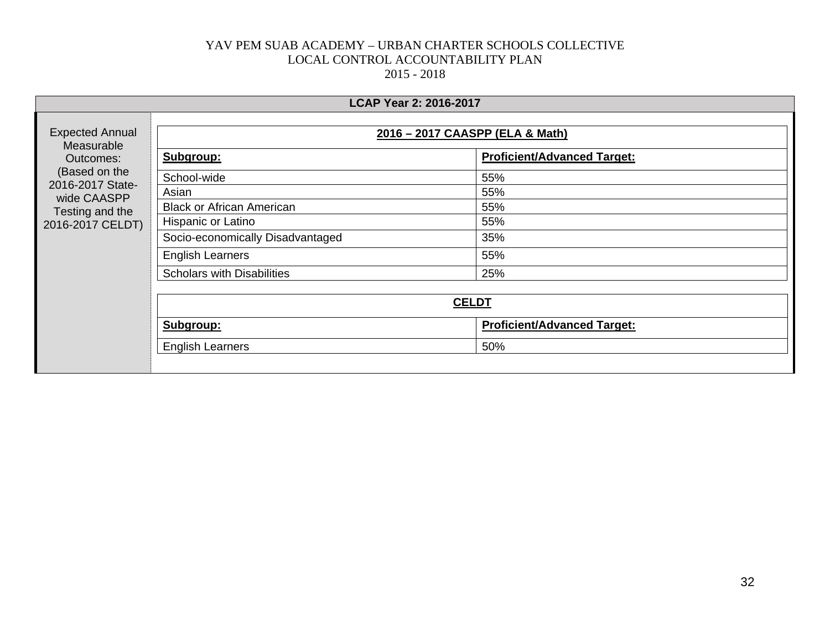| <b>LCAP Year 2: 2016-2017</b>                                                                                                                |                                   |                                    |  |  |
|----------------------------------------------------------------------------------------------------------------------------------------------|-----------------------------------|------------------------------------|--|--|
| <b>Expected Annual</b><br>Measurable<br>Outcomes:<br>(Based on the<br>2016-2017 State-<br>wide CAASPP<br>Testing and the<br>2016-2017 CELDT) | 2016 - 2017 CAASPP (ELA & Math)   |                                    |  |  |
|                                                                                                                                              | Subgroup:                         | <b>Proficient/Advanced Target:</b> |  |  |
|                                                                                                                                              | School-wide                       | 55%                                |  |  |
|                                                                                                                                              | Asian                             | 55%                                |  |  |
|                                                                                                                                              | <b>Black or African American</b>  | 55%                                |  |  |
|                                                                                                                                              | Hispanic or Latino                | 55%                                |  |  |
|                                                                                                                                              | Socio-economically Disadvantaged  | 35%                                |  |  |
|                                                                                                                                              | <b>English Learners</b>           | 55%                                |  |  |
|                                                                                                                                              | <b>Scholars with Disabilities</b> | 25%                                |  |  |
|                                                                                                                                              | <b>CELDT</b>                      |                                    |  |  |
|                                                                                                                                              | Subgroup:                         | <b>Proficient/Advanced Target:</b> |  |  |
|                                                                                                                                              | <b>English Learners</b>           | 50%                                |  |  |
|                                                                                                                                              |                                   |                                    |  |  |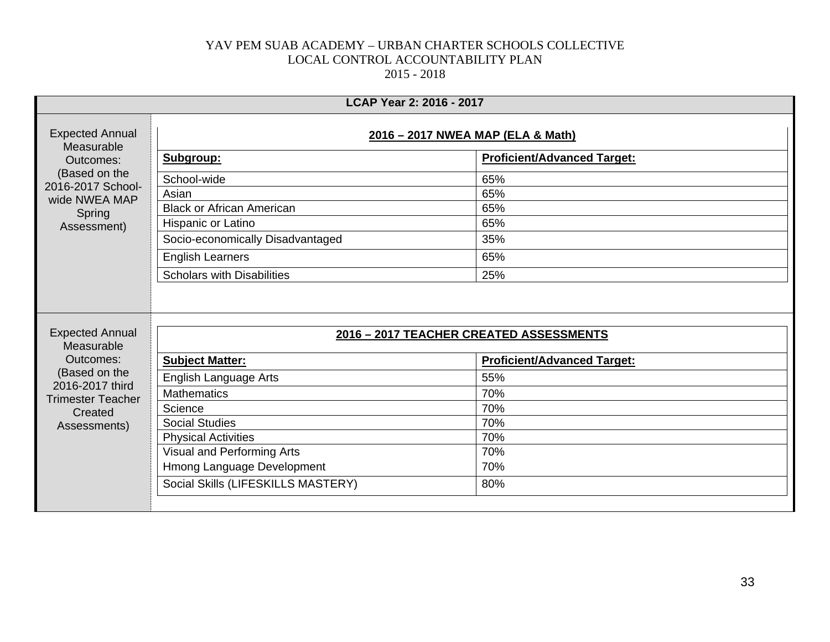|                                                                                                                                   | LCAP Year 2: 2016 - 2017                |                                    |  |
|-----------------------------------------------------------------------------------------------------------------------------------|-----------------------------------------|------------------------------------|--|
| <b>Expected Annual</b><br>Measurable<br>Outcomes:<br>(Based on the<br>2016-2017 School-<br>wide NWEA MAP<br>Spring<br>Assessment) | 2016 - 2017 NWEA MAP (ELA & Math)       |                                    |  |
|                                                                                                                                   | Subgroup:                               | <b>Proficient/Advanced Target:</b> |  |
|                                                                                                                                   | School-wide                             | 65%                                |  |
|                                                                                                                                   | Asian                                   | 65%                                |  |
|                                                                                                                                   | <b>Black or African American</b>        | 65%                                |  |
|                                                                                                                                   | Hispanic or Latino                      | 65%                                |  |
|                                                                                                                                   | Socio-economically Disadvantaged        | 35%                                |  |
|                                                                                                                                   | <b>English Learners</b>                 | 65%                                |  |
|                                                                                                                                   | <b>Scholars with Disabilities</b>       | 25%                                |  |
| <b>Expected Annual</b><br>Measurable<br>Outcomes:                                                                                 | 2016 - 2017 TEACHER CREATED ASSESSMENTS |                                    |  |
|                                                                                                                                   | <b>Subject Matter:</b>                  | <b>Proficient/Advanced Target:</b> |  |
| (Based on the<br>2016-2017 third                                                                                                  | English Language Arts                   | 55%                                |  |
| <b>Trimester Teacher</b><br>Created                                                                                               | <b>Mathematics</b>                      | 70%                                |  |
|                                                                                                                                   | Science                                 | 70%                                |  |
| Assessments)                                                                                                                      | <b>Social Studies</b>                   | 70%                                |  |
|                                                                                                                                   | <b>Physical Activities</b>              | 70%                                |  |
|                                                                                                                                   | Visual and Performing Arts              | 70%                                |  |
|                                                                                                                                   | Hmong Language Development              | 70%                                |  |
|                                                                                                                                   | Social Skills (LIFESKILLS MASTERY)      | 80%                                |  |
|                                                                                                                                   |                                         |                                    |  |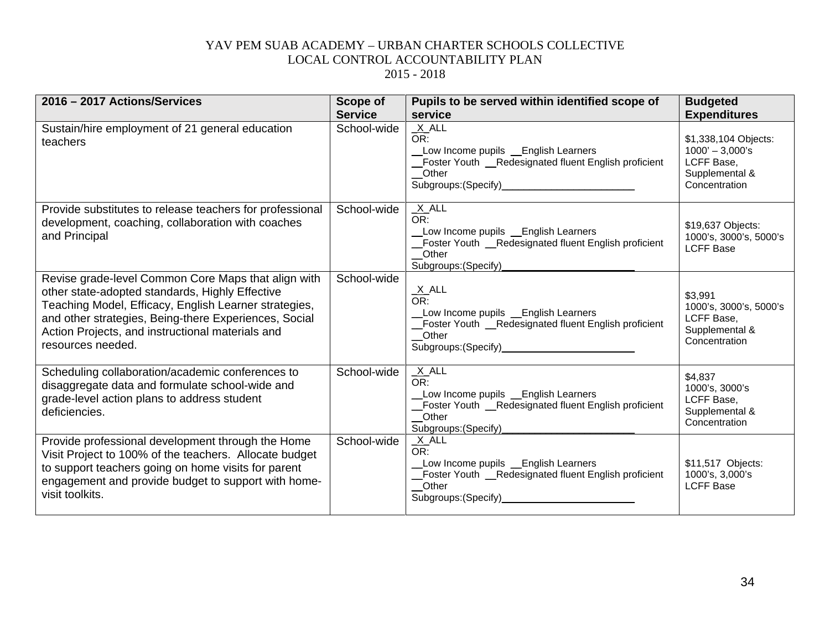| 2016 - 2017 Actions/Services                                                                                                                                                                                                                                                                      | Scope of<br><b>Service</b> | Pupils to be served within identified scope of<br>service                                                                                                                 | <b>Budgeted</b><br><b>Expenditures</b>                                                     |
|---------------------------------------------------------------------------------------------------------------------------------------------------------------------------------------------------------------------------------------------------------------------------------------------------|----------------------------|---------------------------------------------------------------------------------------------------------------------------------------------------------------------------|--------------------------------------------------------------------------------------------|
| Sustain/hire employment of 21 general education<br>teachers                                                                                                                                                                                                                                       | School-wide                | $X$ $ALL$<br>OR:<br>Low Income pupils _English Learners<br>Foster Youth _Redesignated fluent English proficient<br>Other<br>Subgroups: (Specify)<br>Subgroups: (Specify)  | \$1,338,104 Objects:<br>$1000' - 3,000's$<br>LCFF Base,<br>Supplemental &<br>Concentration |
| Provide substitutes to release teachers for professional<br>development, coaching, collaboration with coaches<br>and Principal                                                                                                                                                                    | School-wide                | $X$ ALL<br>OR:<br>Low Income pupils _ English Learners<br>Foster Youth _Redesignated fluent English proficient<br>Other<br>Subgroups: (Specify)                           | \$19,637 Objects:<br>1000's, 3000's, 5000's<br><b>LCFF Base</b>                            |
| Revise grade-level Common Core Maps that align with<br>other state-adopted standards, Highly Effective<br>Teaching Model, Efficacy, English Learner strategies,<br>and other strategies, Being-there Experiences, Social<br>Action Projects, and instructional materials and<br>resources needed. | School-wide                | $\frac{X}{OR}$ .<br>Low Income pupils Lenglish Learners<br>_Foster Youth _Redesignated fluent English proficient<br>Other<br>Subgroups: (Specify)<br>Subgroups: (Specify) | \$3,991<br>1000's, 3000's, 5000's<br>LCFF Base,<br>Supplemental &<br>Concentration         |
| Scheduling collaboration/academic conferences to<br>disaggregate data and formulate school-wide and<br>grade-level action plans to address student<br>deficiencies.                                                                                                                               | School-wide                | $X$ ALL<br>OR:<br>Low Income pupils _ English Learners<br>Foster Youth _Redesignated fluent English proficient<br>Other<br>Subgroups: (Specify)                           | \$4,837<br>1000's, 3000's<br>LCFF Base,<br>Supplemental &<br>Concentration                 |
| Provide professional development through the Home<br>Visit Project to 100% of the teachers. Allocate budget<br>to support teachers going on home visits for parent<br>engagement and provide budget to support with home-<br>visit toolkits.                                                      | School-wide                | $X$ ALL<br>OR:<br>Low Income pupils _ English Learners<br>_Foster Youth __Redesignated fluent English proficient<br>_Other<br>Subgroups: (Specify)                        | \$11,517 Objects:<br>1000's, 3,000's<br><b>LCFF Base</b>                                   |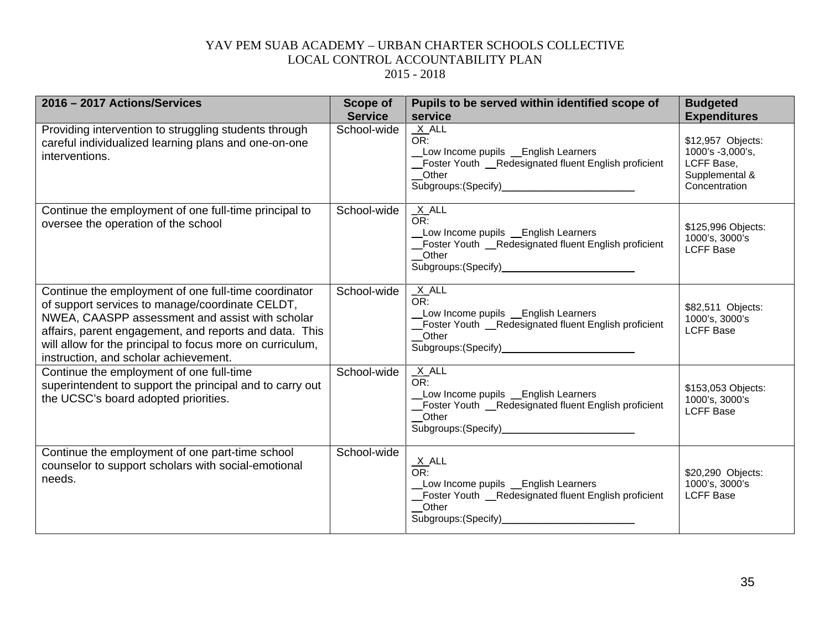| 2016 - 2017 Actions/Services                                                                                                                                                                                                                                                                                               | <b>Scope of</b><br><b>Service</b> | Pupils to be served within identified scope of<br>service                                                                                                                      | <b>Budgeted</b><br><b>Expenditures</b>                                                 |
|----------------------------------------------------------------------------------------------------------------------------------------------------------------------------------------------------------------------------------------------------------------------------------------------------------------------------|-----------------------------------|--------------------------------------------------------------------------------------------------------------------------------------------------------------------------------|----------------------------------------------------------------------------------------|
| Providing intervention to struggling students through<br>careful individualized learning plans and one-on-one<br>interventions.                                                                                                                                                                                            | School-wide                       | $X$ ALL<br>OR:<br>Low Income pupils _ English Learners<br>Foster Youth _Redesignated fluent English proficient<br>_Other                                                       | \$12,957 Objects:<br>1000's -3,000's,<br>LCFF Base,<br>Supplemental &<br>Concentration |
| Continue the employment of one full-time principal to<br>oversee the operation of the school                                                                                                                                                                                                                               | School-wide                       | $X$ ALL<br>OR:<br>Low Income pupils _ English Learners<br>Foster Youth __Redesignated fluent English proficient<br>Other                                                       | \$125,996 Objects:<br>1000's, 3000's<br><b>LCFF Base</b>                               |
| Continue the employment of one full-time coordinator<br>of support services to manage/coordinate CELDT,<br>NWEA, CAASPP assessment and assist with scholar<br>affairs, parent engagement, and reports and data. This<br>will allow for the principal to focus more on curriculum,<br>instruction, and scholar achievement. | School-wide                       | $X$ ALL<br>OR:<br>Low Income pupils _English Learners<br>Foster Youth _Redesignated fluent English proficient<br>Other                                                         | \$82,511 Objects:<br>1000's, 3000's<br><b>LCFF Base</b>                                |
| Continue the employment of one full-time<br>superintendent to support the principal and to carry out<br>the UCSC's board adopted priorities.                                                                                                                                                                               | School-wide                       | $X$ ALL<br>OR:<br>Low Income pupils _English Learners<br>Foster Youth __ Redesignated fluent English proficient<br>Other<br>Subgroups: (Specify)______________________________ | \$153,053 Objects:<br>1000's, 3000's<br><b>LCFF Base</b>                               |
| Continue the employment of one part-time school<br>counselor to support scholars with social-emotional<br>needs.                                                                                                                                                                                                           | School-wide                       | $\frac{X}{OR}$ ALL<br>Low Income pupils _ English Learners<br>Foster Youth _Redesignated fluent English proficient<br>Other<br>Subgroups: (Specify)_                           | \$20,290 Objects:<br>1000's, 3000's<br><b>LCFF Base</b>                                |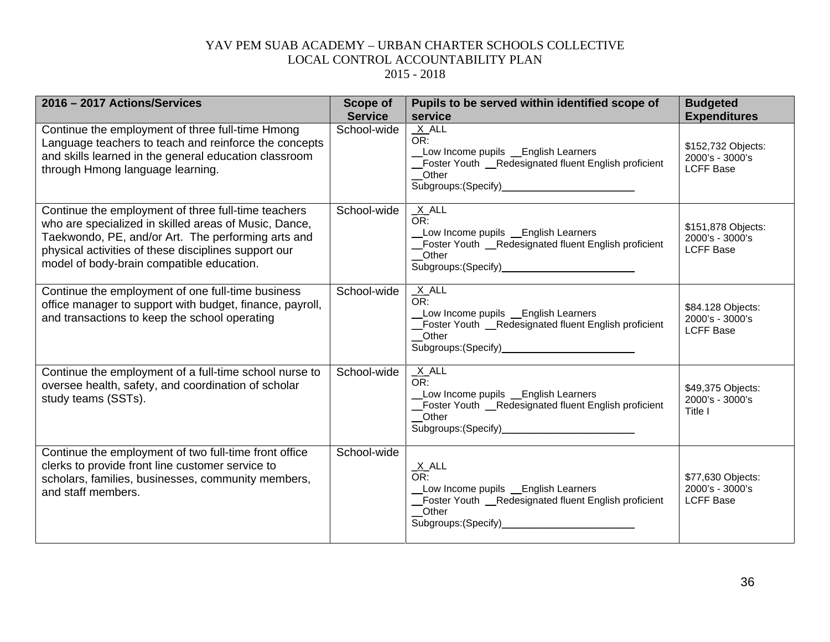| 2016 - 2017 Actions/Services                                                                                                                                                                                                                                            | <b>Scope of</b><br><b>Service</b> | Pupils to be served within identified scope of<br>service                                                                                         | <b>Budgeted</b><br><b>Expenditures</b>                    |
|-------------------------------------------------------------------------------------------------------------------------------------------------------------------------------------------------------------------------------------------------------------------------|-----------------------------------|---------------------------------------------------------------------------------------------------------------------------------------------------|-----------------------------------------------------------|
| Continue the employment of three full-time Hmong<br>Language teachers to teach and reinforce the concepts<br>and skills learned in the general education classroom<br>through Hmong language learning.                                                                  | School-wide                       | $X$ ALL<br>OR:<br>Low Income pupils _ English Learners<br>Foster Youth _Redesignated fluent English proficient<br>Other                           | \$152,732 Objects:<br>2000's - 3000's<br><b>LCFF Base</b> |
| Continue the employment of three full-time teachers<br>who are specialized in skilled areas of Music, Dance,<br>Taekwondo, PE, and/or Art. The performing arts and<br>physical activities of these disciplines support our<br>model of body-brain compatible education. | School-wide                       | $X$ ALL<br>OR:<br>Low Income pupils _English Learners<br>Foster Youth _Redesignated fluent English proficient<br>Other                            | \$151,878 Objects:<br>2000's - 3000's<br><b>LCFF Base</b> |
| Continue the employment of one full-time business<br>office manager to support with budget, finance, payroll,<br>and transactions to keep the school operating                                                                                                          | School-wide                       | $X$ ALL<br>OR:<br>Low Income pupils Lenglish Learners<br>_Foster Youth _Redesignated fluent English proficient<br>Other                           | \$84.128 Objects:<br>2000's - 3000's<br><b>LCFF Base</b>  |
| Continue the employment of a full-time school nurse to<br>oversee health, safety, and coordination of scholar<br>study teams (SSTs).                                                                                                                                    | School-wide                       | $X$ ALL<br>OR:<br>Low Income pupils Lenglish Learners<br>_Foster Youth __Redesignated fluent English proficient<br>Other                          | \$49,375 Objects:<br>2000's - 3000's<br>Title I           |
| Continue the employment of two full-time front office<br>clerks to provide front line customer service to<br>scholars, families, businesses, community members,<br>and staff members.                                                                                   | School-wide                       | $\frac{X}{OR}$ .<br>Low Income pupils _ English Learners<br>Foster Youth _Redesignated fluent English proficient<br>Other<br>Subgroups: (Specify) | \$77,630 Objects:<br>2000's - 3000's<br><b>LCFF Base</b>  |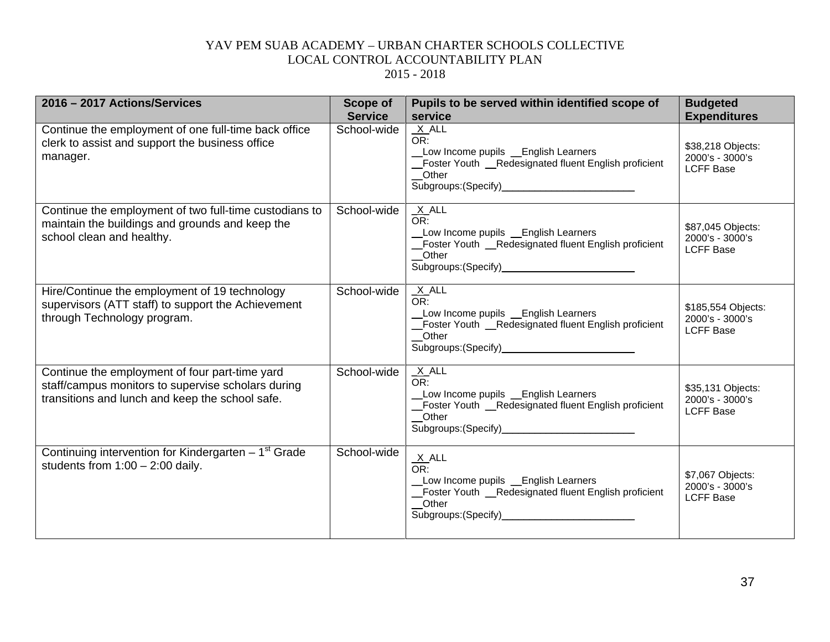| 2016 - 2017 Actions/Services                                                                                                                            | <b>Scope of</b><br><b>Service</b> | Pupils to be served within identified scope of<br>service                                                                                                                      | <b>Budgeted</b><br><b>Expenditures</b>                    |
|---------------------------------------------------------------------------------------------------------------------------------------------------------|-----------------------------------|--------------------------------------------------------------------------------------------------------------------------------------------------------------------------------|-----------------------------------------------------------|
| Continue the employment of one full-time back office<br>clerk to assist and support the business office<br>manager.                                     | School-wide                       | $X$ ALL<br>OR:<br>Low Income pupils _English Learners<br>Foster Youth __Redesignated fluent English proficient<br>Other                                                        | \$38,218 Objects:<br>2000's - 3000's<br><b>LCFF Base</b>  |
| Continue the employment of two full-time custodians to<br>maintain the buildings and grounds and keep the<br>school clean and healthy.                  | School-wide                       | $X$ ALL<br>OR:<br>_Low Income pupils __English Learners<br>Foster Youth _Redesignated fluent English proficient<br>Other                                                       | \$87,045 Objects:<br>2000's - 3000's<br><b>LCFF Base</b>  |
| Hire/Continue the employment of 19 technology<br>supervisors (ATT staff) to support the Achievement<br>through Technology program.                      | School-wide                       | $X$ ALL<br>OR:<br>Low Income pupils Lenglish Learners<br>Foster Youth _Redesignated fluent English proficient<br>Other                                                         | \$185,554 Objects:<br>2000's - 3000's<br><b>LCFF Base</b> |
| Continue the employment of four part-time yard<br>staff/campus monitors to supervise scholars during<br>transitions and lunch and keep the school safe. | School-wide                       | $X$ ALL<br>OR:<br>Low Income pupils _ English Learners<br>Foster Youth _Redesignated fluent English proficient<br>Other<br>Subgroups: (Specify)_______________________________ | \$35,131 Objects:<br>2000's - 3000's<br><b>LCFF Base</b>  |
| Continuing intervention for Kindergarten - 1 <sup>st</sup> Grade<br>students from $1:00 - 2:00$ daily.                                                  | School-wide                       | $\frac{X}{OR}$ .<br>Low Income pupils _ English Learners<br>Foster Youth _Redesignated fluent English proficient<br>Other                                                      | \$7,067 Objects:<br>2000's - 3000's<br><b>LCFF Base</b>   |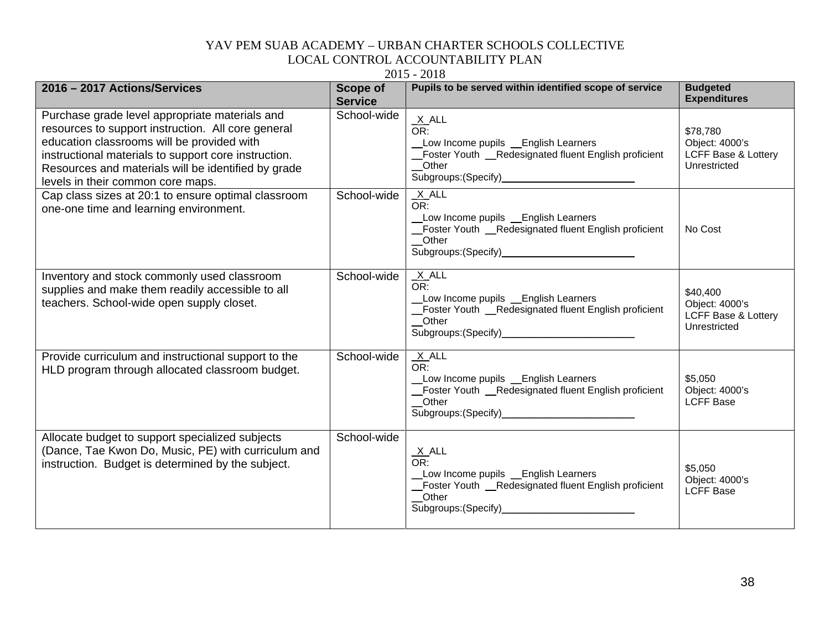|                                                                                                                                                                                                                                                                                                        |                                   | $2013 - 2010$                                                                                                                                       |                                                                              |
|--------------------------------------------------------------------------------------------------------------------------------------------------------------------------------------------------------------------------------------------------------------------------------------------------------|-----------------------------------|-----------------------------------------------------------------------------------------------------------------------------------------------------|------------------------------------------------------------------------------|
| 2016 - 2017 Actions/Services                                                                                                                                                                                                                                                                           | <b>Scope of</b><br><b>Service</b> | Pupils to be served within identified scope of service                                                                                              | <b>Budgeted</b><br><b>Expenditures</b>                                       |
| Purchase grade level appropriate materials and<br>resources to support instruction. All core general<br>education classrooms will be provided with<br>instructional materials to support core instruction.<br>Resources and materials will be identified by grade<br>levels in their common core maps. | School-wide                       | $\frac{X}{OR}$ .<br>Low Income pupils _ English Learners<br>_Foster Youth _Redesignated fluent English proficient<br>Other                          | \$78,780<br>Object: 4000's<br>LCFF Base & Lottery<br>Unrestricted            |
| Cap class sizes at 20:1 to ensure optimal classroom<br>one-one time and learning environment.                                                                                                                                                                                                          | School-wide                       | $X$ ALL<br>OR:<br>_Low Income pupils __English Learners<br>Foster Youth _Redesignated fluent English proficient<br>Other                            | No Cost                                                                      |
| Inventory and stock commonly used classroom<br>supplies and make them readily accessible to all<br>teachers. School-wide open supply closet.                                                                                                                                                           | School-wide                       | $X$ ALL<br>OR:<br>Low Income pupils _English Learners<br>_Foster Youth _Redesignated fluent English proficient<br>Other                             | \$40,400<br>Object: 4000's<br><b>LCFF Base &amp; Lottery</b><br>Unrestricted |
| Provide curriculum and instructional support to the<br>HLD program through allocated classroom budget.                                                                                                                                                                                                 | School-wide                       | $X$ ALL<br>OR:<br>Low Income pupils __English Learners<br>Foster Youth _Redesignated fluent English proficient<br>Other                             | \$5,050<br>Object: 4000's<br><b>LCFF Base</b>                                |
| Allocate budget to support specialized subjects<br>(Dance, Tae Kwon Do, Music, PE) with curriculum and<br>instruction. Budget is determined by the subject.                                                                                                                                            | School-wide                       | $\frac{X}{OR}$ .<br>Low Income pupils _ English Learners<br>_Foster Youth _Redesignated fluent English proficient<br>_Other<br>Subgroups: (Specify) | \$5,050<br>Object: 4000's<br><b>LCFF Base</b>                                |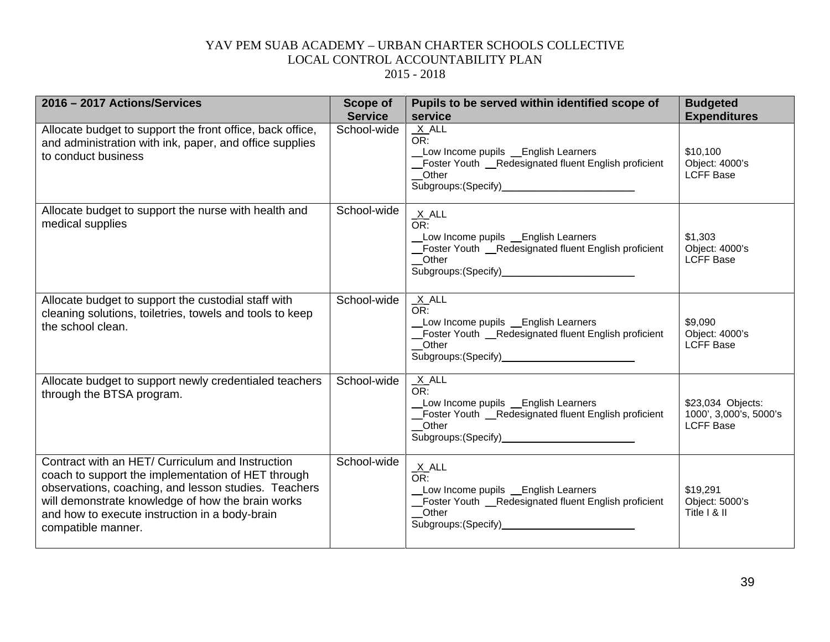| 2016 - 2017 Actions/Services                                                                                                                                                                                                                                                                | <b>Scope of</b><br><b>Service</b> | Pupils to be served within identified scope of<br>service                                                                 | <b>Budgeted</b><br><b>Expenditures</b>                          |
|---------------------------------------------------------------------------------------------------------------------------------------------------------------------------------------------------------------------------------------------------------------------------------------------|-----------------------------------|---------------------------------------------------------------------------------------------------------------------------|-----------------------------------------------------------------|
| Allocate budget to support the front office, back office,<br>and administration with ink, paper, and office supplies<br>to conduct business                                                                                                                                                 | School-wide                       | $X$ $ALL$<br>OR:<br>Low Income pupils _English Learners<br>Foster Youth __Redesignated fluent English proficient<br>Other | \$10,100<br>Object: 4000's<br><b>LCFF Base</b>                  |
| Allocate budget to support the nurse with health and<br>medical supplies                                                                                                                                                                                                                    | School-wide                       | $X$ ALL<br>OR:<br>Low Income pupils _ English Learners<br>Foster Youth _Redesignated fluent English proficient<br>Other   | \$1,303<br>Object: 4000's<br><b>LCFF Base</b>                   |
| Allocate budget to support the custodial staff with<br>cleaning solutions, toiletries, towels and tools to keep<br>the school clean.                                                                                                                                                        | School-wide                       | $X$ ALL<br>OR:<br>Low Income pupils _ English Learners<br>Foster Youth __Redesignated fluent English proficient<br>Other  | \$9,090<br>Object: 4000's<br><b>LCFF Base</b>                   |
| Allocate budget to support newly credentialed teachers<br>through the BTSA program.                                                                                                                                                                                                         | School-wide                       | $X$ ALL<br>OR:<br>Low Income pupils _English Learners<br>_Foster Youth _Redesignated fluent English proficient<br>Other   | \$23,034 Objects:<br>1000', 3,000's, 5000's<br><b>LCFF Base</b> |
| Contract with an HET/ Curriculum and Instruction<br>coach to support the implementation of HET through<br>observations, coaching, and lesson studies. Teachers<br>will demonstrate knowledge of how the brain works<br>and how to execute instruction in a body-brain<br>compatible manner. | School-wide                       | X ALL<br>OR:<br>Low Income pupils _English Learners<br>Foster Youth _Redesignated fluent English proficient<br>Other      | \$19,291<br>Object: 5000's<br>Title I & II                      |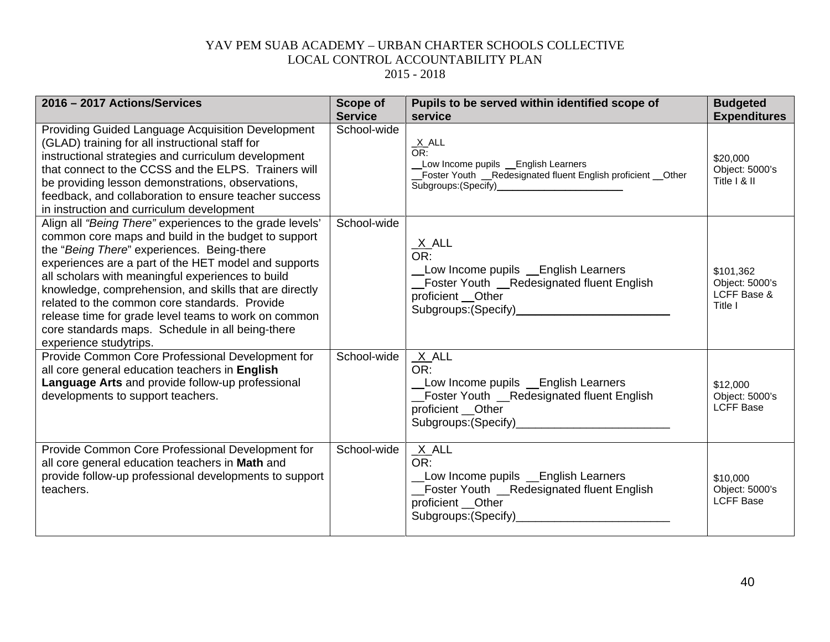| 2016 - 2017 Actions/Services                                                                                                                                                                                                                                                                                                                                                                                                                                                                                                | <b>Scope of</b> | Pupils to be served within identified scope of                                                                                            | <b>Budgeted</b>                                       |
|-----------------------------------------------------------------------------------------------------------------------------------------------------------------------------------------------------------------------------------------------------------------------------------------------------------------------------------------------------------------------------------------------------------------------------------------------------------------------------------------------------------------------------|-----------------|-------------------------------------------------------------------------------------------------------------------------------------------|-------------------------------------------------------|
|                                                                                                                                                                                                                                                                                                                                                                                                                                                                                                                             | <b>Service</b>  | service                                                                                                                                   | <b>Expenditures</b>                                   |
| Providing Guided Language Acquisition Development<br>(GLAD) training for all instructional staff for<br>instructional strategies and curriculum development<br>that connect to the CCSS and the ELPS. Trainers will<br>be providing lesson demonstrations, observations,<br>feedback, and collaboration to ensure teacher success<br>in instruction and curriculum development                                                                                                                                              | School-wide     | $\frac{X}{OR}$ .<br>Low Income pupils _English Learners<br>_Foster Youth __Redesignated fluent English proficient __Other                 | \$20,000<br>Object: 5000's<br>Title I & II            |
| Align all "Being There" experiences to the grade levels'<br>common core maps and build in the budget to support<br>the "Being There" experiences. Being-there<br>experiences are a part of the HET model and supports<br>all scholars with meaningful experiences to build<br>knowledge, comprehension, and skills that are directly<br>related to the common core standards. Provide<br>release time for grade level teams to work on common<br>core standards maps. Schedule in all being-there<br>experience studytrips. | School-wide     | $\frac{X}{OR}$ .<br>Low Income pupils Lenglish Learners<br>Foster Youth _Redesignated fluent English<br>proficient __Other                | \$101,362<br>Object: 5000's<br>LCFF Base &<br>Title I |
| Provide Common Core Professional Development for<br>all core general education teachers in English<br>Language Arts and provide follow-up professional<br>developments to support teachers.                                                                                                                                                                                                                                                                                                                                 | School-wide     | $X$ ALL<br>OR:<br>Low Income pupils Learners<br>_Foster Youth _Redesignated fluent English<br>proficient __Other                          | \$12,000<br>Object: 5000's<br><b>LCFF Base</b>        |
| Provide Common Core Professional Development for<br>all core general education teachers in Math and<br>provide follow-up professional developments to support<br>teachers.                                                                                                                                                                                                                                                                                                                                                  | School-wide     | $X$ ALL<br>OR:<br>Low Income pupils Learners<br>_Foster Youth _Redesignated fluent English<br>proficient __Other<br>Subgroups: (Specify)_ | \$10,000<br>Object: 5000's<br><b>LCFF Base</b>        |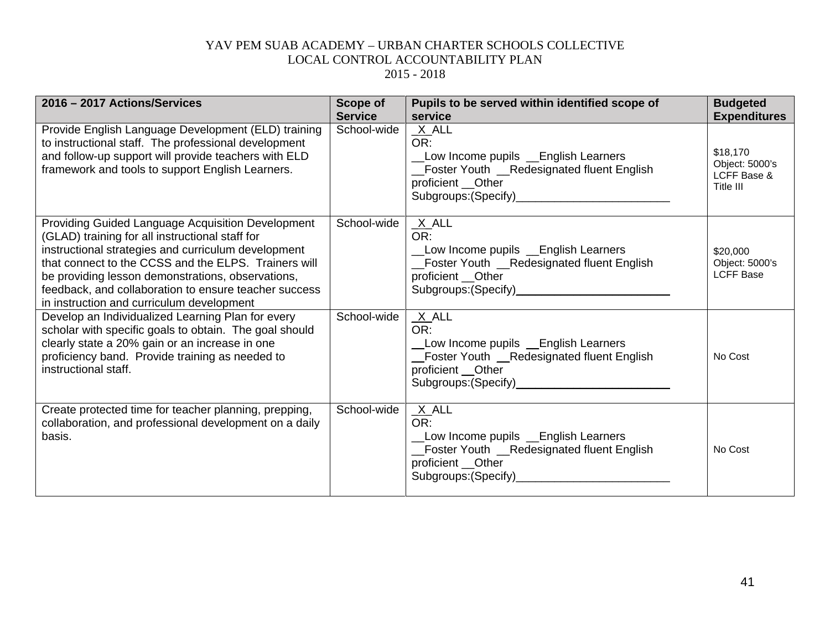| 2016 - 2017 Actions/Services                                                                                                                                                                                                                                                                                                                                                          | Scope of<br><b>Service</b> | Pupils to be served within identified scope of<br>service                                                                                                                 | <b>Budgeted</b><br><b>Expenditures</b>                 |
|---------------------------------------------------------------------------------------------------------------------------------------------------------------------------------------------------------------------------------------------------------------------------------------------------------------------------------------------------------------------------------------|----------------------------|---------------------------------------------------------------------------------------------------------------------------------------------------------------------------|--------------------------------------------------------|
| Provide English Language Development (ELD) training<br>to instructional staff. The professional development<br>and follow-up support will provide teachers with ELD<br>framework and tools to support English Learners.                                                                                                                                                               | School-wide                | $X$ ALL<br>OR:<br>Low Income pupils _English Learners<br>Foster Youth __Redesignated fluent English<br>proficient __Other<br>Subgroups: (Specify)<br>Subgroups: (Specify) | \$18,170<br>Object: 5000's<br>LCFF Base &<br>Title III |
| <b>Providing Guided Language Acquisition Development</b><br>(GLAD) training for all instructional staff for<br>instructional strategies and curriculum development<br>that connect to the CCSS and the ELPS. Trainers will<br>be providing lesson demonstrations, observations,<br>feedback, and collaboration to ensure teacher success<br>in instruction and curriculum development | School-wide                | $X$ ALL<br>OR:<br>Low Income pupils Lenglish Learners<br>_Foster Youth __Redesignated fluent English<br>proficient __Other                                                | \$20,000<br>Object: 5000's<br><b>LCFF Base</b>         |
| Develop an Individualized Learning Plan for every<br>scholar with specific goals to obtain. The goal should<br>clearly state a 20% gain or an increase in one<br>proficiency band. Provide training as needed to<br>instructional staff.                                                                                                                                              | School-wide                | $X$ ALL<br>OR:<br>Low Income pupils Lenglish Learners<br>Foster Youth __Redesignated fluent English<br>proficient __Other                                                 | No Cost                                                |
| Create protected time for teacher planning, prepping,<br>collaboration, and professional development on a daily<br>basis.                                                                                                                                                                                                                                                             | School-wide                | $X$ ALL<br>OR:<br>Low Income pupils Lenglish Learners<br>_Foster Youth __Redesignated fluent English<br>proficient __Other                                                | No Cost                                                |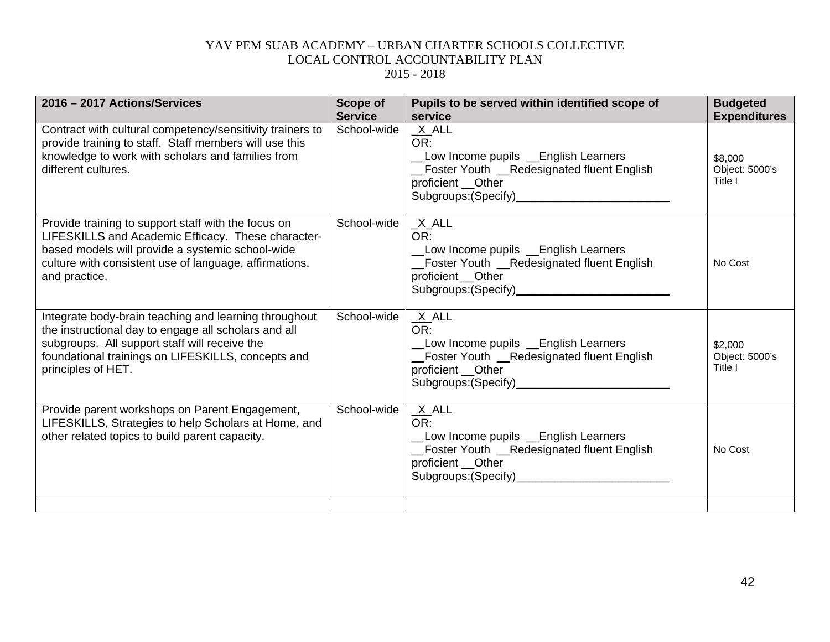| 2016 - 2017 Actions/Services                                                                                                                                                                                                               | Scope of<br><b>Service</b> | Pupils to be served within identified scope of<br>service                                                                  | <b>Budgeted</b><br><b>Expenditures</b> |
|--------------------------------------------------------------------------------------------------------------------------------------------------------------------------------------------------------------------------------------------|----------------------------|----------------------------------------------------------------------------------------------------------------------------|----------------------------------------|
| Contract with cultural competency/sensitivity trainers to<br>provide training to staff. Staff members will use this<br>knowledge to work with scholars and families from<br>different cultures.                                            | School-wide                | $X$ ALL<br>OR:<br>Low Income pupils Lenglish Learners<br>_Foster Youth __Redesignated fluent English<br>proficient __Other | \$8,000<br>Object: 5000's<br>Title I   |
| Provide training to support staff with the focus on<br>LIFESKILLS and Academic Efficacy. These character-<br>based models will provide a systemic school-wide<br>culture with consistent use of language, affirmations,<br>and practice.   | School-wide                | $X$ ALL<br>OR:<br>Low Income pupils Lenglish Learners<br>_Foster Youth _Redesignated fluent English<br>proficient __Other  | No Cost                                |
| Integrate body-brain teaching and learning throughout<br>the instructional day to engage all scholars and all<br>subgroups. All support staff will receive the<br>foundational trainings on LIFESKILLS, concepts and<br>principles of HET. | School-wide                | $X$ ALL<br>OR:<br>Low Income pupils _English Learners<br>Foster Youth _Redesignated fluent English<br>proficient __Other   | \$2,000<br>Object: 5000's<br>Title I   |
| Provide parent workshops on Parent Engagement,<br>LIFESKILLS, Strategies to help Scholars at Home, and<br>other related topics to build parent capacity.                                                                                   | School-wide                | $X$ ALL<br>OR:<br>Low Income pupils Lenglish Learners<br>_Foster Youth _Redesignated fluent English<br>proficient __Other  | No Cost                                |
|                                                                                                                                                                                                                                            |                            |                                                                                                                            |                                        |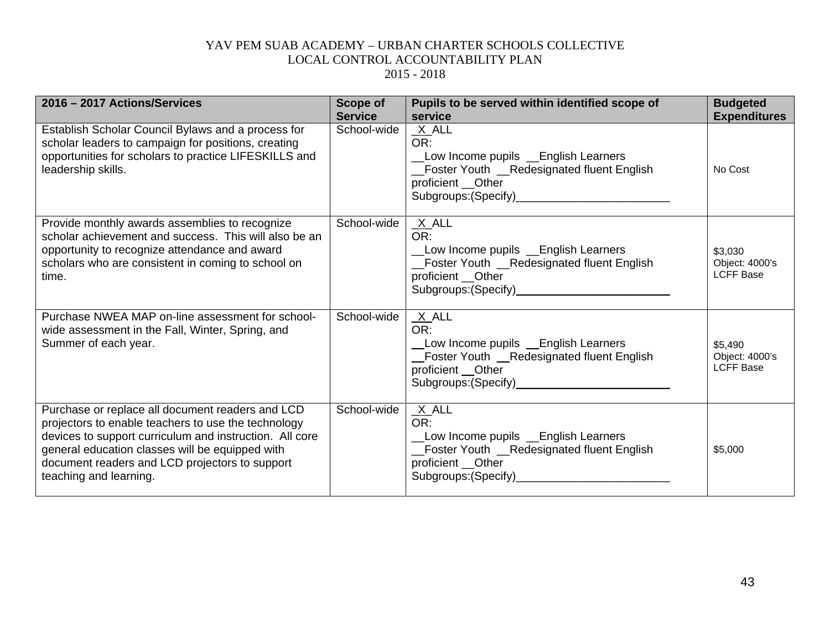| 2016 - 2017 Actions/Services                                                                                                                                                                                                                                                                      | <b>Scope of</b><br><b>Service</b> | Pupils to be served within identified scope of<br>service                                                                                                                 | <b>Budgeted</b><br><b>Expenditures</b>        |
|---------------------------------------------------------------------------------------------------------------------------------------------------------------------------------------------------------------------------------------------------------------------------------------------------|-----------------------------------|---------------------------------------------------------------------------------------------------------------------------------------------------------------------------|-----------------------------------------------|
| Establish Scholar Council Bylaws and a process for<br>scholar leaders to campaign for positions, creating<br>opportunities for scholars to practice LIFESKILLS and<br>leadership skills.                                                                                                          | School-wide                       | $X$ ALL<br>OR:<br>Low Income pupils Lenglish Learners<br>Foster Youth _Redesignated fluent English<br>proficient __Other<br>Subgroups: (Specify)<br>Subgroups: (Specify)  | No Cost                                       |
| Provide monthly awards assemblies to recognize<br>scholar achievement and success. This will also be an<br>opportunity to recognize attendance and award<br>scholars who are consistent in coming to school on<br>time.                                                                           | School-wide                       | $X$ ALL<br>OR:<br>Low Income pupils Lenglish Learners<br>_Foster Youth _Redesignated fluent English<br>proficient __Other                                                 | \$3,030<br>Object: 4000's<br><b>LCFF Base</b> |
| Purchase NWEA MAP on-line assessment for school-<br>wide assessment in the Fall, Winter, Spring, and<br>Summer of each year.                                                                                                                                                                      | School-wide                       | $X$ ALL<br>OR:<br>Low Income pupils Lenglish Learners<br>_Foster Youth _Redesignated fluent English<br>proficient __Other<br>Subgroups: (Specify)<br>Subgroups: (Specify) | \$5,490<br>Object: 4000's<br><b>LCFF Base</b> |
| Purchase or replace all document readers and LCD<br>projectors to enable teachers to use the technology<br>devices to support curriculum and instruction. All core<br>general education classes will be equipped with<br>document readers and LCD projectors to support<br>teaching and learning. | School-wide                       | $X$ ALL<br>OR:<br>Low Income pupils Lenglish Learners<br>Foster Youth _Redesignated fluent English<br>proficient __Other<br>Subgroups: (Specify)                          | \$5,000                                       |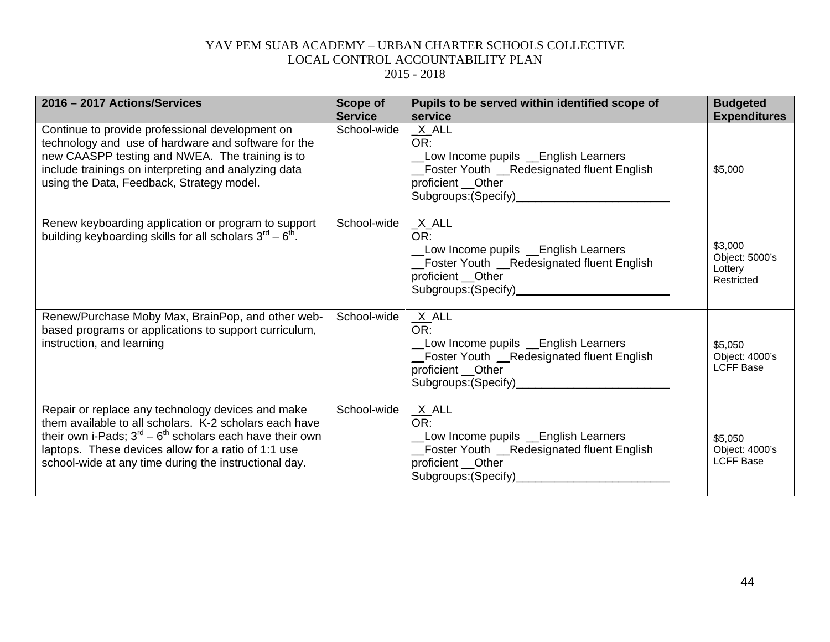| 2016 - 2017 Actions/Services                                                                                                                                                                                                                                                                      | <b>Scope of</b><br><b>Service</b> | Pupils to be served within identified scope of<br>service                                                                                                                | <b>Budgeted</b><br><b>Expenditures</b>             |
|---------------------------------------------------------------------------------------------------------------------------------------------------------------------------------------------------------------------------------------------------------------------------------------------------|-----------------------------------|--------------------------------------------------------------------------------------------------------------------------------------------------------------------------|----------------------------------------------------|
| Continue to provide professional development on<br>technology and use of hardware and software for the<br>new CAASPP testing and NWEA. The training is to<br>include trainings on interpreting and analyzing data<br>using the Data, Feedback, Strategy model.                                    | School-wide                       | $X$ ALL<br>OR:<br>Low Income pupils Lenglish Learners<br>Foster Youth _Redesignated fluent English<br>proficient __Other<br>Subgroups: (Specify)<br>Subgroups: (Specify) | \$5,000                                            |
| Renew keyboarding application or program to support<br>building keyboarding skills for all scholars $3^{\text{rd}} - 6^{\text{th}}$ .                                                                                                                                                             | School-wide                       | $X$ ALL<br>OR:<br>Low Income pupils Learners<br>_Foster Youth __Redesignated fluent English<br>proficient __Other                                                        | \$3,000<br>Object: 5000's<br>Lottery<br>Restricted |
| Renew/Purchase Moby Max, BrainPop, and other web-<br>based programs or applications to support curriculum,<br>instruction, and learning                                                                                                                                                           | School-wide                       | $X$ ALL<br>OR:<br>Low Income pupils Learners<br>Foster Youth __Redesignated fluent English<br>proficient Other                                                           | \$5,050<br>Object: 4000's<br><b>LCFF Base</b>      |
| Repair or replace any technology devices and make<br>them available to all scholars. K-2 scholars each have<br>their own i-Pads; $3^{rd}$ – $6^{th}$ scholars each have their own<br>laptops. These devices allow for a ratio of 1:1 use<br>school-wide at any time during the instructional day. | School-wide                       | $X$ ALL<br>OR:<br>Low Income pupils Lenglish Learners<br>_Foster Youth _Redesignated fluent English<br>proficient __Other                                                | \$5,050<br>Object: 4000's<br><b>LCFF Base</b>      |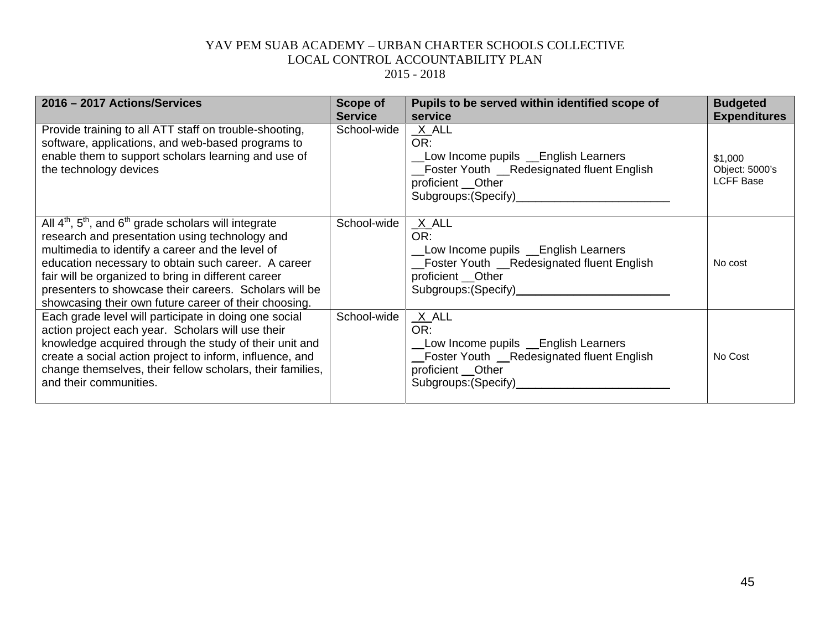| 2016 - 2017 Actions/Services                                                                                                                                                                                                                                                                                                                                                                       | <b>Scope of</b><br><b>Service</b> | Pupils to be served within identified scope of<br>service                                                                                                        | <b>Budgeted</b><br><b>Expenditures</b>        |
|----------------------------------------------------------------------------------------------------------------------------------------------------------------------------------------------------------------------------------------------------------------------------------------------------------------------------------------------------------------------------------------------------|-----------------------------------|------------------------------------------------------------------------------------------------------------------------------------------------------------------|-----------------------------------------------|
| Provide training to all ATT staff on trouble-shooting,<br>software, applications, and web-based programs to<br>enable them to support scholars learning and use of<br>the technology devices                                                                                                                                                                                                       | School-wide                       | $X$ ALL<br>OR:<br>Low Income pupils Lenglish Learners<br>_Foster Youth _Redesignated fluent English<br>proficient __Other<br>Subgroups: (Specify)____________    | \$1,000<br>Object: 5000's<br><b>LCFF Base</b> |
| All $4th$ , $5th$ , and $6th$ grade scholars will integrate<br>research and presentation using technology and<br>multimedia to identify a career and the level of<br>education necessary to obtain such career. A career<br>fair will be organized to bring in different career<br>presenters to showcase their careers. Scholars will be<br>showcasing their own future career of their choosing. | School-wide                       | $X$ ALL<br>OR:<br>Low Income pupils Lenglish Learners<br>_Foster Youth _Redesignated fluent English<br>proficient __Other<br>Subgroups: (Specify)_______________ | No cost                                       |
| Each grade level will participate in doing one social<br>action project each year. Scholars will use their<br>knowledge acquired through the study of their unit and<br>create a social action project to inform, influence, and<br>change themselves, their fellow scholars, their families,<br>and their communities.                                                                            | School-wide                       | $X$ ALL<br>OR:<br>Low Income pupils Lenglish Learners<br>Foster Youth __Redesignated fluent English<br>proficient __Other<br>Subgroups: (Specify)____________    | No Cost                                       |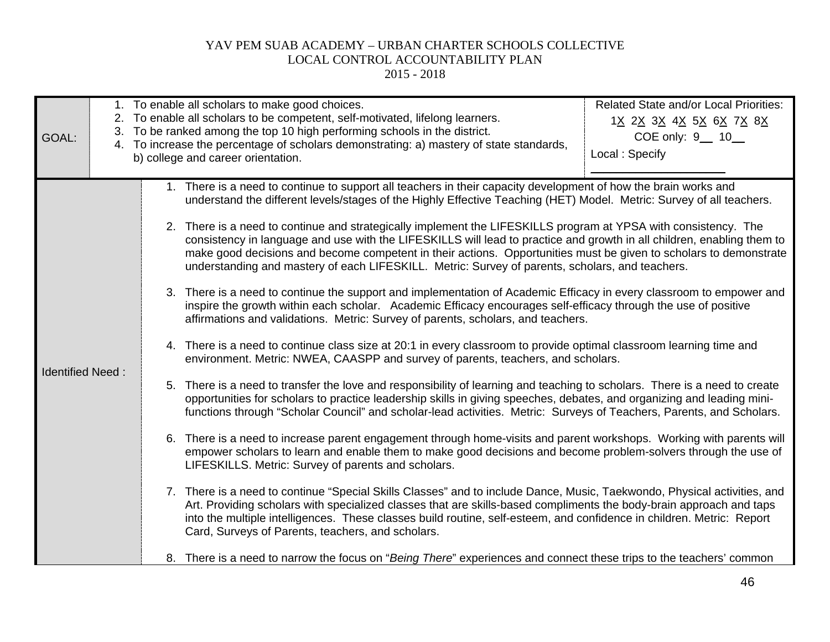| GOAL:                   | Related State and/or Local Priorities:<br>1. To enable all scholars to make good choices.<br>2. To enable all scholars to be competent, self-motivated, lifelong learners.<br>1 <u>X 2X 3X 4X 5X 6X 7X 8X</u><br>3. To be ranked among the top 10 high performing schools in the district.<br>COE only: 9 __ 10__<br>4. To increase the percentage of scholars demonstrating: a) mastery of state standards,<br>Local: Specify<br>b) college and career orientation.                                                                                                                                                                                                                                                                                                                                                                                                                                                                                                                                                                                                                                                                                                                                                                                                                                                                                                                                                                                                                                                                                                                                                                                                                                                                                                                                                                                                                                                                                                                                                                                                                                                                                                                                                                                                                                                                                                                                                                                                                           |
|-------------------------|------------------------------------------------------------------------------------------------------------------------------------------------------------------------------------------------------------------------------------------------------------------------------------------------------------------------------------------------------------------------------------------------------------------------------------------------------------------------------------------------------------------------------------------------------------------------------------------------------------------------------------------------------------------------------------------------------------------------------------------------------------------------------------------------------------------------------------------------------------------------------------------------------------------------------------------------------------------------------------------------------------------------------------------------------------------------------------------------------------------------------------------------------------------------------------------------------------------------------------------------------------------------------------------------------------------------------------------------------------------------------------------------------------------------------------------------------------------------------------------------------------------------------------------------------------------------------------------------------------------------------------------------------------------------------------------------------------------------------------------------------------------------------------------------------------------------------------------------------------------------------------------------------------------------------------------------------------------------------------------------------------------------------------------------------------------------------------------------------------------------------------------------------------------------------------------------------------------------------------------------------------------------------------------------------------------------------------------------------------------------------------------------------------------------------------------------------------------------------------------------|
| <b>Identified Need:</b> | 1. There is a need to continue to support all teachers in their capacity development of how the brain works and<br>understand the different levels/stages of the Highly Effective Teaching (HET) Model. Metric: Survey of all teachers.<br>2. There is a need to continue and strategically implement the LIFESKILLS program at YPSA with consistency. The<br>consistency in language and use with the LIFESKILLS will lead to practice and growth in all children, enabling them to<br>make good decisions and become competent in their actions. Opportunities must be given to scholars to demonstrate<br>understanding and mastery of each LIFESKILL. Metric: Survey of parents, scholars, and teachers.<br>3. There is a need to continue the support and implementation of Academic Efficacy in every classroom to empower and<br>inspire the growth within each scholar. Academic Efficacy encourages self-efficacy through the use of positive<br>affirmations and validations. Metric: Survey of parents, scholars, and teachers.<br>4. There is a need to continue class size at 20:1 in every classroom to provide optimal classroom learning time and<br>environment. Metric: NWEA, CAASPP and survey of parents, teachers, and scholars.<br>5. There is a need to transfer the love and responsibility of learning and teaching to scholars. There is a need to create<br>opportunities for scholars to practice leadership skills in giving speeches, debates, and organizing and leading mini-<br>functions through "Scholar Council" and scholar-lead activities. Metric: Surveys of Teachers, Parents, and Scholars.<br>6. There is a need to increase parent engagement through home-visits and parent workshops. Working with parents will<br>empower scholars to learn and enable them to make good decisions and become problem-solvers through the use of<br>LIFESKILLS. Metric: Survey of parents and scholars.<br>7. There is a need to continue "Special Skills Classes" and to include Dance, Music, Taekwondo, Physical activities, and<br>Art. Providing scholars with specialized classes that are skills-based compliments the body-brain approach and taps<br>into the multiple intelligences. These classes build routine, self-esteem, and confidence in children. Metric: Report<br>Card, Surveys of Parents, teachers, and scholars.<br>8. There is a need to narrow the focus on "Being There" experiences and connect these trips to the teachers' common |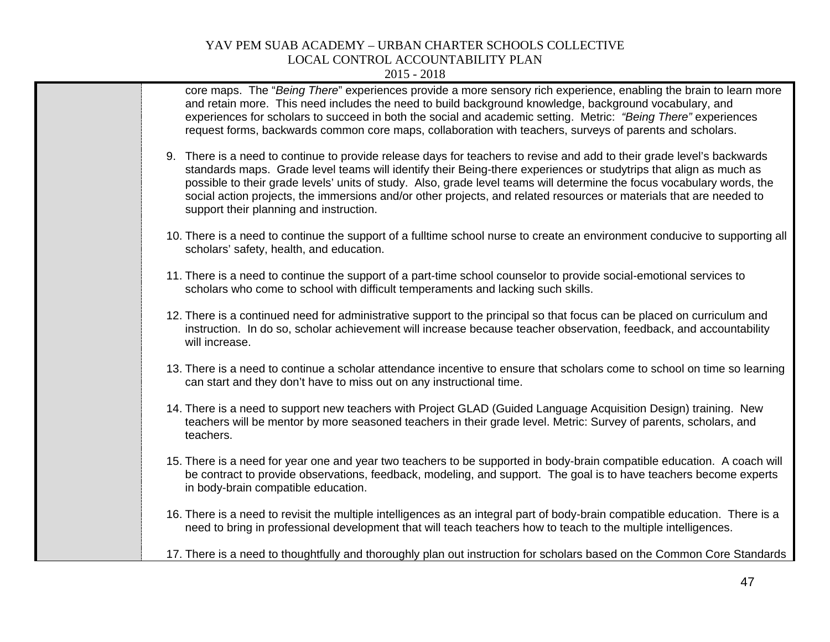| core maps. The "Being There" experiences provide a more sensory rich experience, enabling the brain to learn more<br>and retain more. This need includes the need to build background knowledge, background vocabulary, and<br>experiences for scholars to succeed in both the social and academic setting. Metric: "Being There" experiences<br>request forms, backwards common core maps, collaboration with teachers, surveys of parents and scholars.                                                                               |
|-----------------------------------------------------------------------------------------------------------------------------------------------------------------------------------------------------------------------------------------------------------------------------------------------------------------------------------------------------------------------------------------------------------------------------------------------------------------------------------------------------------------------------------------|
| 9. There is a need to continue to provide release days for teachers to revise and add to their grade level's backwards<br>standards maps. Grade level teams will identify their Being-there experiences or studytrips that align as much as<br>possible to their grade levels' units of study. Also, grade level teams will determine the focus vocabulary words, the<br>social action projects, the immersions and/or other projects, and related resources or materials that are needed to<br>support their planning and instruction. |
| 10. There is a need to continue the support of a fulltime school nurse to create an environment conducive to supporting all<br>scholars' safety, health, and education.                                                                                                                                                                                                                                                                                                                                                                 |
| 11. There is a need to continue the support of a part-time school counselor to provide social-emotional services to<br>scholars who come to school with difficult temperaments and lacking such skills.                                                                                                                                                                                                                                                                                                                                 |
| 12. There is a continued need for administrative support to the principal so that focus can be placed on curriculum and<br>instruction. In do so, scholar achievement will increase because teacher observation, feedback, and accountability<br>will increase.                                                                                                                                                                                                                                                                         |
| 13. There is a need to continue a scholar attendance incentive to ensure that scholars come to school on time so learning<br>can start and they don't have to miss out on any instructional time.                                                                                                                                                                                                                                                                                                                                       |
| 14. There is a need to support new teachers with Project GLAD (Guided Language Acquisition Design) training. New<br>teachers will be mentor by more seasoned teachers in their grade level. Metric: Survey of parents, scholars, and<br>teachers.                                                                                                                                                                                                                                                                                       |
| 15. There is a need for year one and year two teachers to be supported in body-brain compatible education. A coach will<br>be contract to provide observations, feedback, modeling, and support. The goal is to have teachers become experts<br>in body-brain compatible education.                                                                                                                                                                                                                                                     |
| 16. There is a need to revisit the multiple intelligences as an integral part of body-brain compatible education. There is a<br>need to bring in professional development that will teach teachers how to teach to the multiple intelligences.                                                                                                                                                                                                                                                                                          |
| 17. There is a need to thoughtfully and thoroughly plan out instruction for scholars based on the Common Core Standards                                                                                                                                                                                                                                                                                                                                                                                                                 |
|                                                                                                                                                                                                                                                                                                                                                                                                                                                                                                                                         |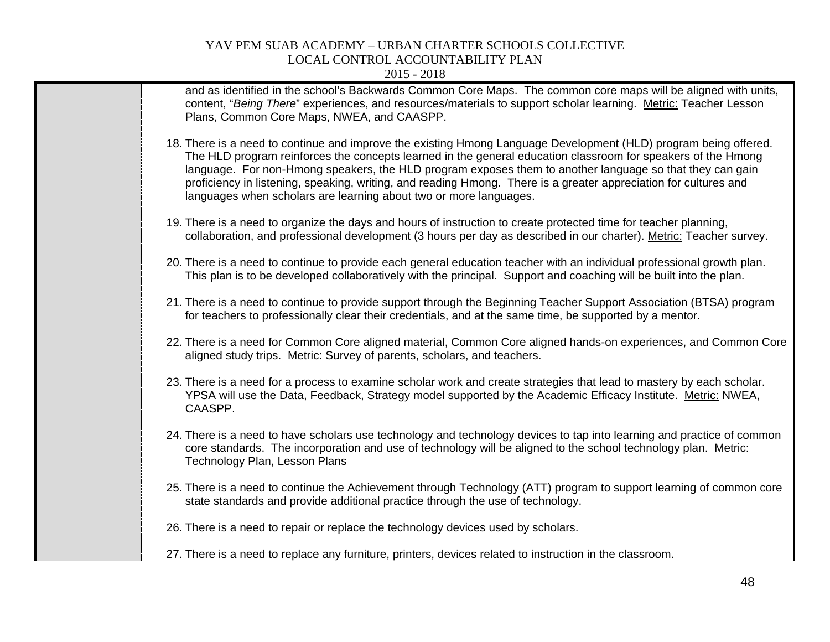| and as identified in the school's Backwards Common Core Maps. The common core maps will be aligned with units,<br>content, "Being There" experiences, and resources/materials to support scholar learning. Metric: Teacher Lesson<br>Plans, Common Core Maps, NWEA, and CAASPP.                                                                                                                                                                                                                                                       |
|---------------------------------------------------------------------------------------------------------------------------------------------------------------------------------------------------------------------------------------------------------------------------------------------------------------------------------------------------------------------------------------------------------------------------------------------------------------------------------------------------------------------------------------|
| 18. There is a need to continue and improve the existing Hmong Language Development (HLD) program being offered.<br>The HLD program reinforces the concepts learned in the general education classroom for speakers of the Hmong<br>language. For non-Hmong speakers, the HLD program exposes them to another language so that they can gain<br>proficiency in listening, speaking, writing, and reading Hmong. There is a greater appreciation for cultures and<br>languages when scholars are learning about two or more languages. |
| 19. There is a need to organize the days and hours of instruction to create protected time for teacher planning,<br>collaboration, and professional development (3 hours per day as described in our charter). Metric: Teacher survey.                                                                                                                                                                                                                                                                                                |
| 20. There is a need to continue to provide each general education teacher with an individual professional growth plan.<br>This plan is to be developed collaboratively with the principal. Support and coaching will be built into the plan.                                                                                                                                                                                                                                                                                          |
| 21. There is a need to continue to provide support through the Beginning Teacher Support Association (BTSA) program<br>for teachers to professionally clear their credentials, and at the same time, be supported by a mentor.                                                                                                                                                                                                                                                                                                        |
| 22. There is a need for Common Core aligned material, Common Core aligned hands-on experiences, and Common Core<br>aligned study trips. Metric: Survey of parents, scholars, and teachers.                                                                                                                                                                                                                                                                                                                                            |
| 23. There is a need for a process to examine scholar work and create strategies that lead to mastery by each scholar.<br>YPSA will use the Data, Feedback, Strategy model supported by the Academic Efficacy Institute. Metric: NWEA,<br>CAASPP.                                                                                                                                                                                                                                                                                      |
| 24. There is a need to have scholars use technology and technology devices to tap into learning and practice of common<br>core standards. The incorporation and use of technology will be aligned to the school technology plan. Metric:<br>Technology Plan, Lesson Plans                                                                                                                                                                                                                                                             |
| 25. There is a need to continue the Achievement through Technology (ATT) program to support learning of common core<br>state standards and provide additional practice through the use of technology.                                                                                                                                                                                                                                                                                                                                 |
| 26. There is a need to repair or replace the technology devices used by scholars.                                                                                                                                                                                                                                                                                                                                                                                                                                                     |
| 27. There is a need to replace any furniture, printers, devices related to instruction in the classroom.                                                                                                                                                                                                                                                                                                                                                                                                                              |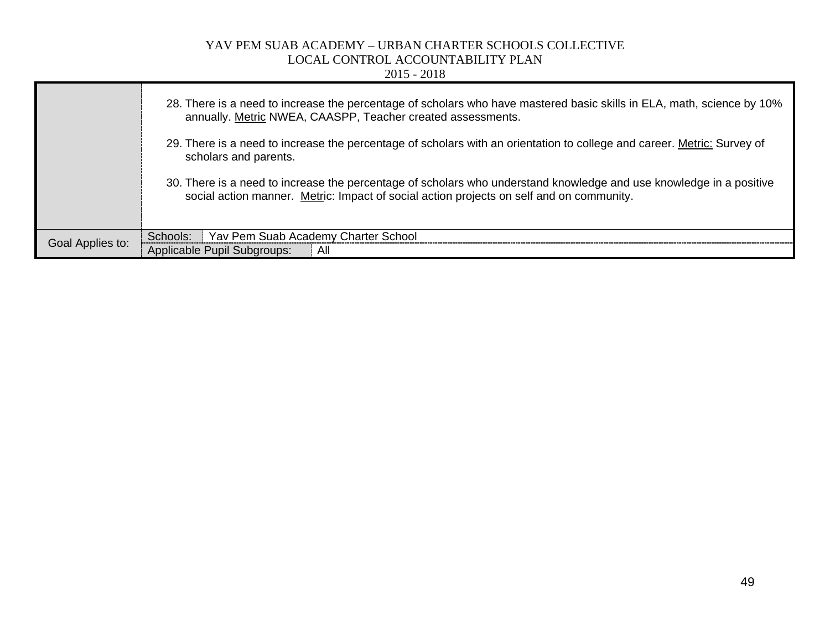|                  | $2015 - 2018$                                                                                                                                                                                                   |
|------------------|-----------------------------------------------------------------------------------------------------------------------------------------------------------------------------------------------------------------|
|                  | 28. There is a need to increase the percentage of scholars who have mastered basic skills in ELA, math, science by 10%<br>annually. Metric NWEA, CAASPP, Teacher created assessments.                           |
|                  | 29. There is a need to increase the percentage of scholars with an orientation to college and career. Metric: Survey of<br>scholars and parents.                                                                |
|                  | 30. There is a need to increase the percentage of scholars who understand knowledge and use knowledge in a positive<br>social action manner. Metric: Impact of social action projects on self and on community. |
|                  | Yav Pem Suab Academy Charter School<br>Schools:                                                                                                                                                                 |
| Goal Applies to: | Applicable Pupil Subgroups:<br>All                                                                                                                                                                              |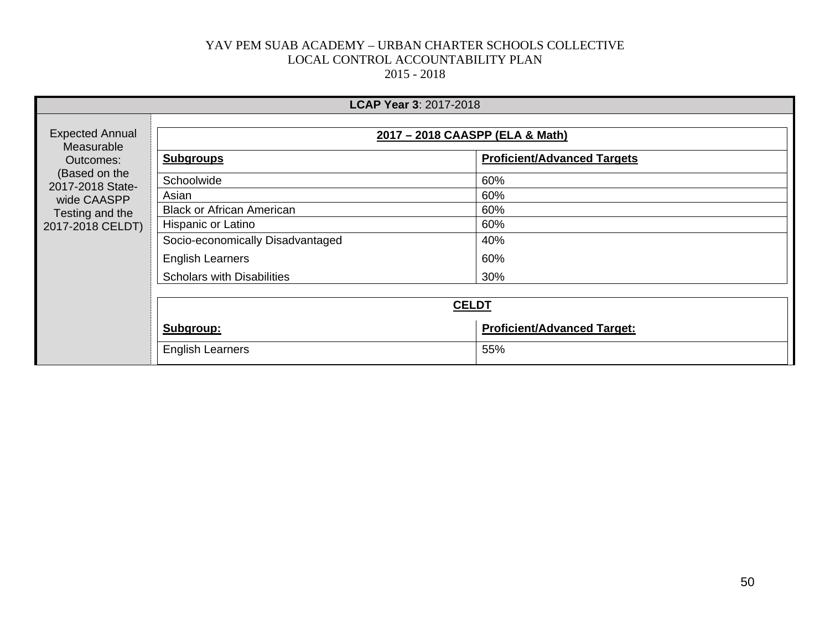|                                                   | <b>LCAP Year 3: 2017-2018</b>     |                                    |  |  |  |  |
|---------------------------------------------------|-----------------------------------|------------------------------------|--|--|--|--|
| <b>Expected Annual</b><br>Measurable<br>Outcomes: | 2017 - 2018 CAASPP (ELA & Math)   |                                    |  |  |  |  |
|                                                   | <b>Subgroups</b>                  | <b>Proficient/Advanced Targets</b> |  |  |  |  |
| (Based on the<br>2017-2018 State-                 | Schoolwide                        | 60%                                |  |  |  |  |
| wide CAASPP                                       | Asian                             | 60%                                |  |  |  |  |
| Testing and the                                   | <b>Black or African American</b>  | 60%                                |  |  |  |  |
| 2017-2018 CELDT)                                  | Hispanic or Latino                | 60%                                |  |  |  |  |
|                                                   | Socio-economically Disadvantaged  | 40%                                |  |  |  |  |
|                                                   | <b>English Learners</b>           | 60%                                |  |  |  |  |
|                                                   | <b>Scholars with Disabilities</b> | 30%                                |  |  |  |  |
|                                                   |                                   |                                    |  |  |  |  |
|                                                   | <b>CELDT</b>                      |                                    |  |  |  |  |
|                                                   | Subgroup:                         | <b>Proficient/Advanced Target:</b> |  |  |  |  |
|                                                   | <b>English Learners</b>           | 55%                                |  |  |  |  |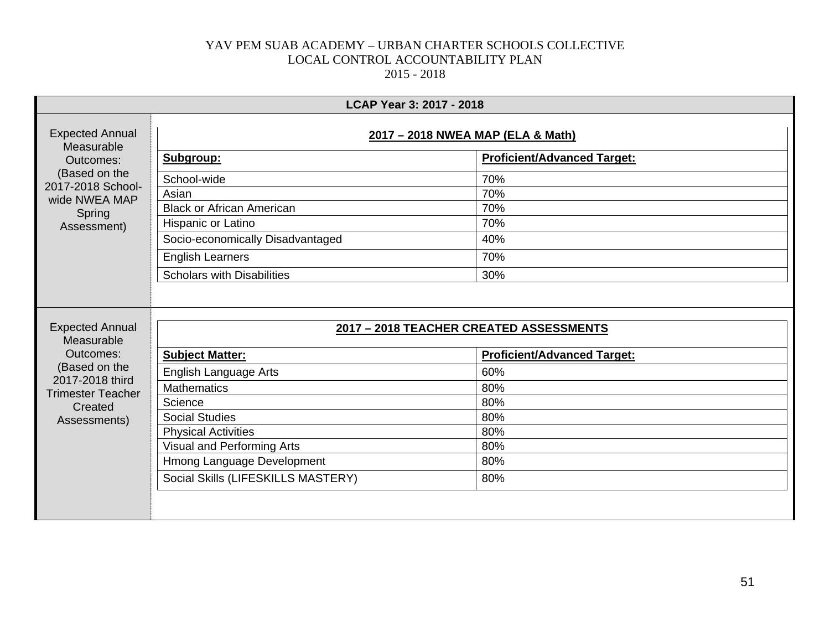|                                                                    |                                         | LCAP Year 3: 2017 - 2018           |  |
|--------------------------------------------------------------------|-----------------------------------------|------------------------------------|--|
| <b>Expected Annual</b><br>Measurable<br>Outcomes:<br>(Based on the | 2017 - 2018 NWEA MAP (ELA & Math)       |                                    |  |
|                                                                    | Subgroup:                               | <b>Proficient/Advanced Target:</b> |  |
|                                                                    | School-wide                             | 70%                                |  |
| 2017-2018 School-<br>wide NWEA MAP                                 | Asian                                   | 70%                                |  |
| Spring                                                             | <b>Black or African American</b>        | 70%                                |  |
| Assessment)                                                        | Hispanic or Latino                      | 70%                                |  |
|                                                                    | Socio-economically Disadvantaged        | 40%                                |  |
|                                                                    | <b>English Learners</b>                 | 70%                                |  |
|                                                                    | <b>Scholars with Disabilities</b>       | 30%                                |  |
| <b>Expected Annual</b><br>Measurable                               | 2017 - 2018 TEACHER CREATED ASSESSMENTS |                                    |  |
| Outcomes:                                                          | <b>Subject Matter:</b>                  | <b>Proficient/Advanced Target:</b> |  |
| (Based on the                                                      | English Language Arts                   | 60%                                |  |
| 2017-2018 third<br><b>Trimester Teacher</b>                        | <b>Mathematics</b>                      | 80%                                |  |
| Created                                                            | Science                                 | 80%                                |  |
| Assessments)                                                       | <b>Social Studies</b>                   | 80%                                |  |
|                                                                    | <b>Physical Activities</b>              | 80%                                |  |
|                                                                    | Visual and Performing Arts              | 80%                                |  |
|                                                                    | Hmong Language Development              | 80%                                |  |
|                                                                    | Social Skills (LIFESKILLS MASTERY)      | 80%                                |  |
|                                                                    |                                         |                                    |  |
|                                                                    |                                         |                                    |  |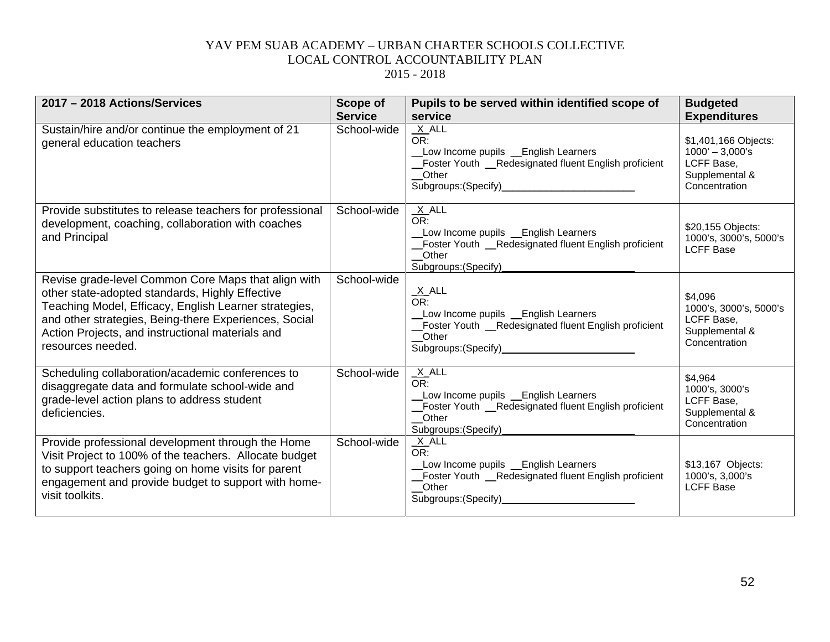| 2017 - 2018 Actions/Services                                                                                                                                                                                                                                                                      | <b>Scope of</b><br><b>Service</b> | Pupils to be served within identified scope of                                                                                                                            | <b>Budgeted</b>                                                                            |
|---------------------------------------------------------------------------------------------------------------------------------------------------------------------------------------------------------------------------------------------------------------------------------------------------|-----------------------------------|---------------------------------------------------------------------------------------------------------------------------------------------------------------------------|--------------------------------------------------------------------------------------------|
|                                                                                                                                                                                                                                                                                                   |                                   | service                                                                                                                                                                   | <b>Expenditures</b>                                                                        |
| Sustain/hire and/or continue the employment of 21<br>general education teachers                                                                                                                                                                                                                   | School-wide                       | $X$ $ALL$<br>OR:<br>Low Income pupils _ English Learners<br>Foster Youth _Redesignated fluent English proficient<br>Other<br>Subgroups: (Specify)<br>Subgroups: (Specify) | \$1,401,166 Objects:<br>$1000' - 3,000's$<br>LCFF Base,<br>Supplemental &<br>Concentration |
| Provide substitutes to release teachers for professional<br>development, coaching, collaboration with coaches<br>and Principal                                                                                                                                                                    | School-wide                       | $\frac{X}{OR}$ .<br>Low Income pupils _ English Learners<br>Foster Youth _Redesignated fluent English proficient<br>Other<br>Subgroups: (Specify)                         | \$20,155 Objects:<br>1000's, 3000's, 5000's<br><b>LCFF Base</b>                            |
| Revise grade-level Common Core Maps that align with<br>other state-adopted standards, Highly Effective<br>Teaching Model, Efficacy, English Learner strategies,<br>and other strategies, Being-there Experiences, Social<br>Action Projects, and instructional materials and<br>resources needed. | School-wide                       | $\frac{X}{OR}$ .<br>Low Income pupils _English Learners<br>_Foster Youth _Redesignated fluent English proficient<br>Other<br>Subgroups: (Specify)<br>Subgroups: (Specify) | \$4,096<br>1000's, 3000's, 5000's<br>LCFF Base,<br>Supplemental &<br>Concentration         |
| Scheduling collaboration/academic conferences to<br>disaggregate data and formulate school-wide and<br>grade-level action plans to address student<br>deficiencies.                                                                                                                               | School-wide                       | $X$ ALL<br>OR:<br>Low Income pupils _ English Learners<br>Foster Youth __Redesignated fluent English proficient<br>Other<br>Subgroups: (Specify)                          | \$4,964<br>1000's, 3000's<br>LCFF Base,<br>Supplemental &<br>Concentration                 |
| Provide professional development through the Home<br>Visit Project to 100% of the teachers. Allocate budget<br>to support teachers going on home visits for parent<br>engagement and provide budget to support with home-<br>visit toolkits.                                                      | School-wide                       | $X$ ALL<br>OR:<br>Low Income pupils _ English Learners<br>Foster Youth _Redesignated fluent English proficient<br>_Other<br>Subgroups: (Specify)                          | \$13,167 Objects:<br>1000's, 3,000's<br><b>LCFF Base</b>                                   |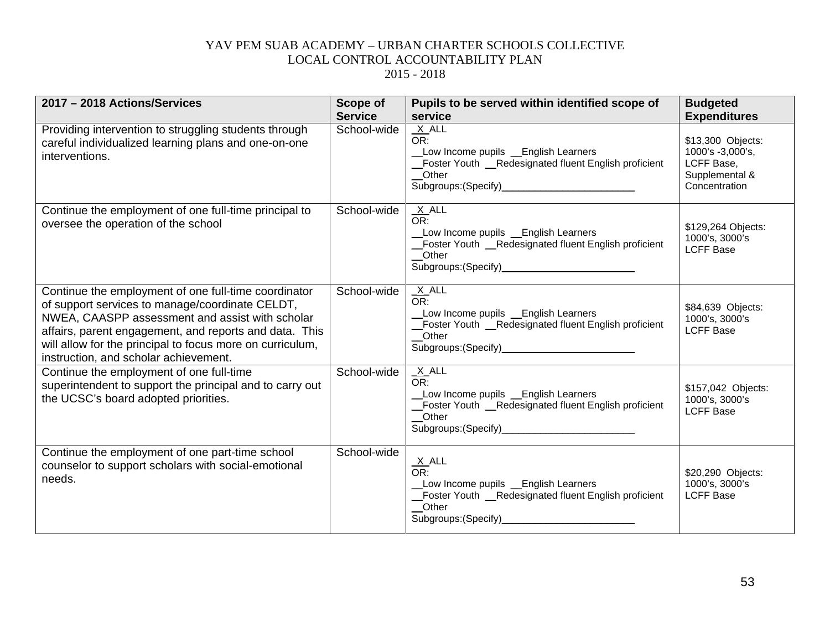| 2017 - 2018 Actions/Services                                                                                                                                                                                                                                                                                               | Scope of<br><b>Service</b> | Pupils to be served within identified scope of<br>service                                                                                                                     | <b>Budgeted</b><br><b>Expenditures</b>                                                 |
|----------------------------------------------------------------------------------------------------------------------------------------------------------------------------------------------------------------------------------------------------------------------------------------------------------------------------|----------------------------|-------------------------------------------------------------------------------------------------------------------------------------------------------------------------------|----------------------------------------------------------------------------------------|
| Providing intervention to struggling students through<br>careful individualized learning plans and one-on-one<br>interventions.                                                                                                                                                                                            | School-wide                | $X$ ALL<br>OR:<br>_Low Income pupils __English Learners<br>Foster Youth __Redesignated fluent English proficient<br>Other                                                     | \$13,300 Objects:<br>1000's -3,000's,<br>LCFF Base,<br>Supplemental &<br>Concentration |
| Continue the employment of one full-time principal to<br>oversee the operation of the school                                                                                                                                                                                                                               | School-wide                | $X$ ALL<br>OR:<br>Low Income pupils _English Learners<br>Foster Youth _Redesignated fluent English proficient<br>Other                                                        | \$129,264 Objects:<br>1000's, 3000's<br><b>LCFF Base</b>                               |
| Continue the employment of one full-time coordinator<br>of support services to manage/coordinate CELDT,<br>NWEA, CAASPP assessment and assist with scholar<br>affairs, parent engagement, and reports and data. This<br>will allow for the principal to focus more on curriculum,<br>instruction, and scholar achievement. | School-wide                | $X$ ALL<br>OR:<br>Low Income pupils _ English Learners<br>Foster Youth _Redesignated fluent English proficient<br>Other<br>Subgroups: (Specify)______________________________ | \$84,639 Objects:<br>1000's, 3000's<br><b>LCFF Base</b>                                |
| Continue the employment of one full-time<br>superintendent to support the principal and to carry out<br>the UCSC's board adopted priorities.                                                                                                                                                                               | School-wide                | $X$ ALL<br>OR:<br>Low Income pupils Learners<br>_Foster Youth _Redesignated fluent English proficient<br>_Other<br>Subgroups: (Specify)______________________________         | \$157,042 Objects:<br>1000's, 3000's<br><b>LCFF Base</b>                               |
| Continue the employment of one part-time school<br>counselor to support scholars with social-emotional<br>needs.                                                                                                                                                                                                           | School-wide                | $\frac{X}{OR}$ .<br>Low Income pupils _ English Learners<br>Foster Youth _Redesignated fluent English proficient<br>Other<br>Subgroups: (Specify)                             | \$20,290 Objects:<br>1000's, 3000's<br><b>LCFF Base</b>                                |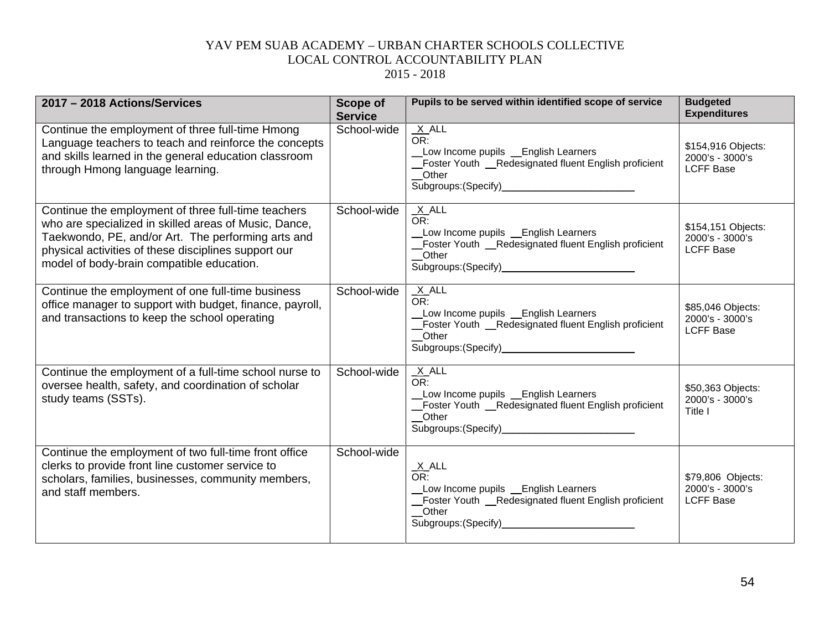| 2017 - 2018 Actions/Services                                                                                                                                                                                                                                            | <b>Scope of</b><br><b>Service</b> | Pupils to be served within identified scope of service                                                                                            | <b>Budgeted</b><br><b>Expenditures</b>                    |
|-------------------------------------------------------------------------------------------------------------------------------------------------------------------------------------------------------------------------------------------------------------------------|-----------------------------------|---------------------------------------------------------------------------------------------------------------------------------------------------|-----------------------------------------------------------|
| Continue the employment of three full-time Hmong<br>Language teachers to teach and reinforce the concepts<br>and skills learned in the general education classroom<br>through Hmong language learning.                                                                  | School-wide                       | $X$ ALL<br>OR:<br>Low Income pupils _English Learners<br>Foster Youth __Redesignated fluent English proficient<br>Other                           | \$154,916 Objects:<br>2000's - 3000's<br><b>LCFF Base</b> |
| Continue the employment of three full-time teachers<br>who are specialized in skilled areas of Music, Dance,<br>Taekwondo, PE, and/or Art. The performing arts and<br>physical activities of these disciplines support our<br>model of body-brain compatible education. | School-wide                       | $X$ ALL<br>OR:<br>Low Income pupils _English Learners<br>Foster Youth _Redesignated fluent English proficient<br>Other                            | \$154,151 Objects:<br>2000's - 3000's<br><b>LCFF Base</b> |
| Continue the employment of one full-time business<br>office manager to support with budget, finance, payroll,<br>and transactions to keep the school operating                                                                                                          | School-wide                       | $X$ ALL<br>OR:<br>Low Income pupils _ English Learners<br>Foster Youth _Redesignated fluent English proficient<br>Other                           | \$85,046 Objects:<br>2000's - 3000's<br><b>LCFF Base</b>  |
| Continue the employment of a full-time school nurse to<br>oversee health, safety, and coordination of scholar<br>study teams (SSTs).                                                                                                                                    | School-wide                       | $X$ ALL<br>OR:<br>Low Income pupils Lenglish Learners<br>Foster Youth __Redesignated fluent English proficient<br>Other                           | \$50,363 Objects:<br>2000's - 3000's<br>Title I           |
| Continue the employment of two full-time front office<br>clerks to provide front line customer service to<br>scholars, families, businesses, community members,<br>and staff members.                                                                                   | School-wide                       | $\frac{X}{OR}$ .<br>Low Income pupils _ English Learners<br>Foster Youth _Redesignated fluent English proficient<br>Other<br>Subgroups: (Specify) | \$79,806 Objects:<br>2000's - 3000's<br><b>LCFF Base</b>  |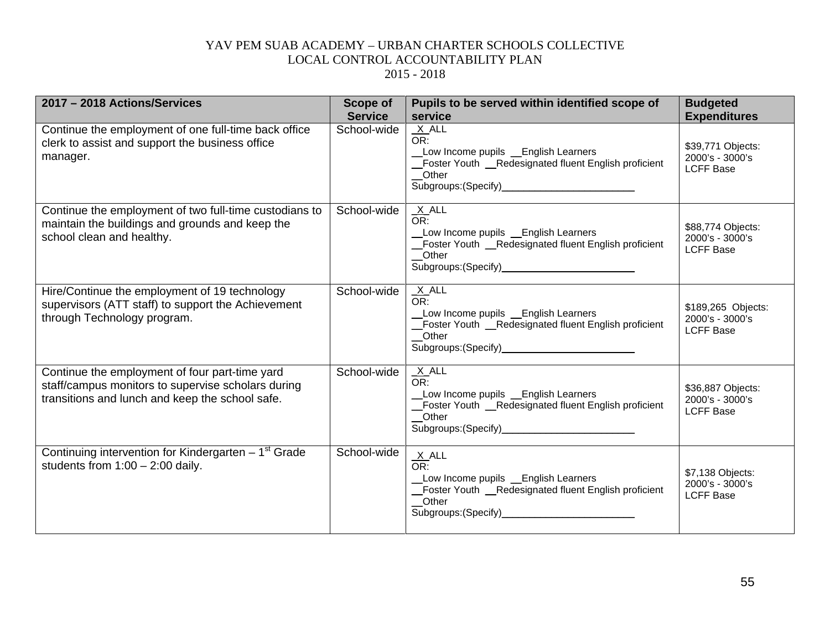| 2017 - 2018 Actions/Services                                                                                                                            | <b>Scope of</b><br><b>Service</b> | Pupils to be served within identified scope of<br>service                                                                 | <b>Budgeted</b><br><b>Expenditures</b>                    |
|---------------------------------------------------------------------------------------------------------------------------------------------------------|-----------------------------------|---------------------------------------------------------------------------------------------------------------------------|-----------------------------------------------------------|
| Continue the employment of one full-time back office<br>clerk to assist and support the business office<br>manager.                                     | School-wide                       | $X$ ALL<br>OR:<br>_Low Income pupils __English Learners<br>_Foster Youth _Redesignated fluent English proficient<br>Other | \$39,771 Objects:<br>2000's - 3000's<br><b>LCFF Base</b>  |
| Continue the employment of two full-time custodians to<br>maintain the buildings and grounds and keep the<br>school clean and healthy.                  | School-wide                       | $X$ ALL<br>OR:<br>Low Income pupils _ English Learners<br>Foster Youth _Redesignated fluent English proficient<br>Other   | \$88,774 Objects:<br>2000's - 3000's<br><b>LCFF Base</b>  |
| Hire/Continue the employment of 19 technology<br>supervisors (ATT staff) to support the Achievement<br>through Technology program.                      | School-wide                       | $X$ ALL<br>OR:<br>Low Income pupils _English Learners<br>Foster Youth _Redesignated fluent English proficient<br>Other    | \$189,265 Objects:<br>2000's - 3000's<br><b>LCFF Base</b> |
| Continue the employment of four part-time yard<br>staff/campus monitors to supervise scholars during<br>transitions and lunch and keep the school safe. | School-wide                       | $X$ ALL<br>$OR^-$<br>Low Income pupils Lenglish Learners<br>Foster Youth _Redesignated fluent English proficient<br>Other | \$36,887 Objects:<br>2000's - 3000's<br><b>LCFF Base</b>  |
| Continuing intervention for Kindergarten - 1 <sup>st</sup> Grade<br>students from $1:00 - 2:00$ daily.                                                  | School-wide                       | $X$ ALL<br>OR:<br>Low Income pupils _English Learners<br>_Foster Youth _Redesignated fluent English proficient<br>Other   | \$7,138 Objects:<br>2000's - 3000's<br><b>LCFF Base</b>   |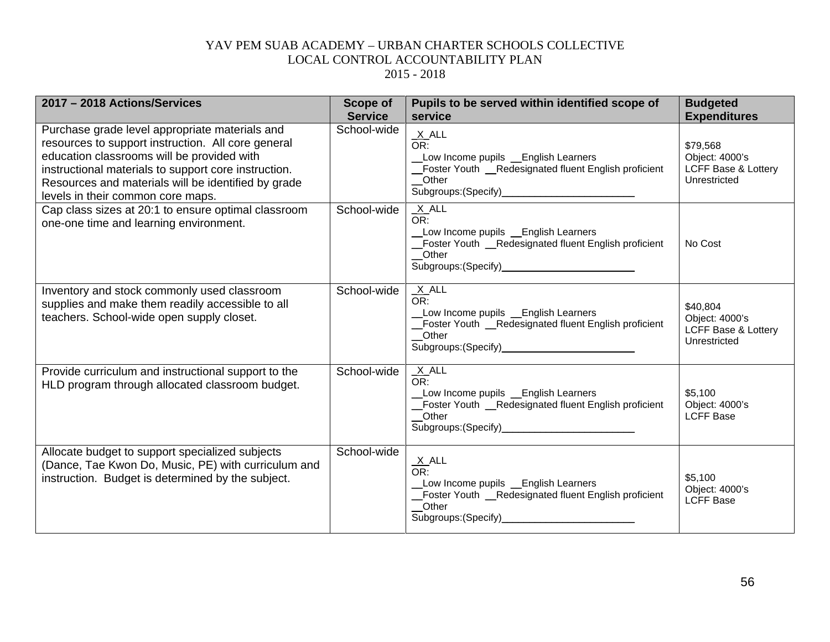| 2017 - 2018 Actions/Services                                                                                                                                                                                                                                                                           | <b>Scope of</b><br><b>Service</b> | Pupils to be served within identified scope of<br>service                                                                                                                      | <b>Budgeted</b><br><b>Expenditures</b>                            |
|--------------------------------------------------------------------------------------------------------------------------------------------------------------------------------------------------------------------------------------------------------------------------------------------------------|-----------------------------------|--------------------------------------------------------------------------------------------------------------------------------------------------------------------------------|-------------------------------------------------------------------|
| Purchase grade level appropriate materials and<br>resources to support instruction. All core general<br>education classrooms will be provided with<br>instructional materials to support core instruction.<br>Resources and materials will be identified by grade<br>levels in their common core maps. | School-wide                       | $X$ ALL<br>OR:<br>Low Income pupils _English Learners<br>Foster Youth _Redesignated fluent English proficient<br>Other                                                         | \$79,568<br>Object: 4000's<br>LCFF Base & Lottery<br>Unrestricted |
| Cap class sizes at 20:1 to ensure optimal classroom<br>one-one time and learning environment.                                                                                                                                                                                                          | School-wide                       | $X$ ALL<br>OR:<br>Low Income pupils _ English Learners<br>Foster Youth __Redesignated fluent English proficient<br>Other<br>Subgroups: (Specify)______________________________ | No Cost                                                           |
| Inventory and stock commonly used classroom<br>supplies and make them readily accessible to all<br>teachers. School-wide open supply closet.                                                                                                                                                           | School-wide                       | $X$ ALL<br>OR:<br>Low Income pupils _ English Learners<br>Foster Youth __Redesignated fluent English proficient<br>Other                                                       | \$40,804<br>Object: 4000's<br>LCFF Base & Lottery<br>Unrestricted |
| Provide curriculum and instructional support to the<br>HLD program through allocated classroom budget.                                                                                                                                                                                                 | School-wide                       | $X$ ALL<br>OR:<br>Low Income pupils _ English Learners<br>Foster Youth __Redesignated fluent English proficient<br>Other                                                       | \$5,100<br>Object: 4000's<br><b>LCFF Base</b>                     |
| Allocate budget to support specialized subjects<br>(Dance, Tae Kwon Do, Music, PE) with curriculum and<br>instruction. Budget is determined by the subject.                                                                                                                                            | School-wide                       | $X$ ALL<br>OR:<br>Low Income pupils _ English Learners<br>_Foster Youth _Redesignated fluent English proficient<br>Other                                                       | \$5,100<br>Object: 4000's<br><b>LCFF Base</b>                     |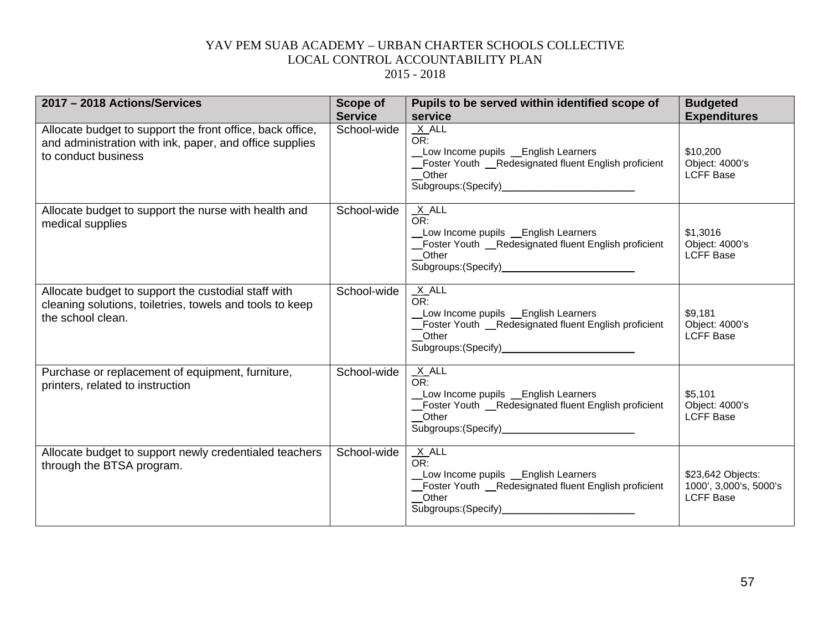| 2017 - 2018 Actions/Services                                                                                                                | <b>Scope of</b><br><b>Service</b> | Pupils to be served within identified scope of<br>service                                                                                                                      | <b>Budgeted</b><br><b>Expenditures</b>                          |
|---------------------------------------------------------------------------------------------------------------------------------------------|-----------------------------------|--------------------------------------------------------------------------------------------------------------------------------------------------------------------------------|-----------------------------------------------------------------|
| Allocate budget to support the front office, back office,<br>and administration with ink, paper, and office supplies<br>to conduct business | School-wide                       | $X$ $ALL$<br>OR:<br>Low Income pupils _ English Learners<br>_Foster Youth _Redesignated fluent English proficient<br>_Other                                                    | \$10,200<br>Object: 4000's<br><b>LCFF Base</b>                  |
| Allocate budget to support the nurse with health and<br>medical supplies                                                                    | School-wide                       | $X$ ALL<br>OR:<br>Low Income pupils Lenglish Learners<br>Foster Youth _Redesignated fluent English proficient<br>Other                                                         | \$1,3016<br>Object: 4000's<br><b>LCFF Base</b>                  |
| Allocate budget to support the custodial staff with<br>cleaning solutions, toiletries, towels and tools to keep<br>the school clean.        | School-wide                       | $X$ ALL<br>OR:<br>Low Income pupils _English Learners<br>_Foster Youth _Redesignated fluent English proficient<br>Other                                                        | \$9,181<br>Object: 4000's<br><b>LCFF Base</b>                   |
| Purchase or replacement of equipment, furniture,<br>printers, related to instruction                                                        | School-wide                       | $X$ ALL<br>OR:<br>Low Income pupils _English Learners<br>_Foster Youth _Redesignated fluent English proficient<br>Other<br>Subgroups: (Specify)_______________________________ | \$5,101<br>Object: 4000's<br><b>LCFF Base</b>                   |
| Allocate budget to support newly credentialed teachers<br>through the BTSA program.                                                         | School-wide                       | $X$ ALL<br>OR:<br>Low Income pupils _ English Learners<br>_Foster Youth _Redesignated fluent English proficient<br>Other<br>Subgroups: (Specify)                               | \$23,642 Objects:<br>1000', 3,000's, 5000's<br><b>LCFF Base</b> |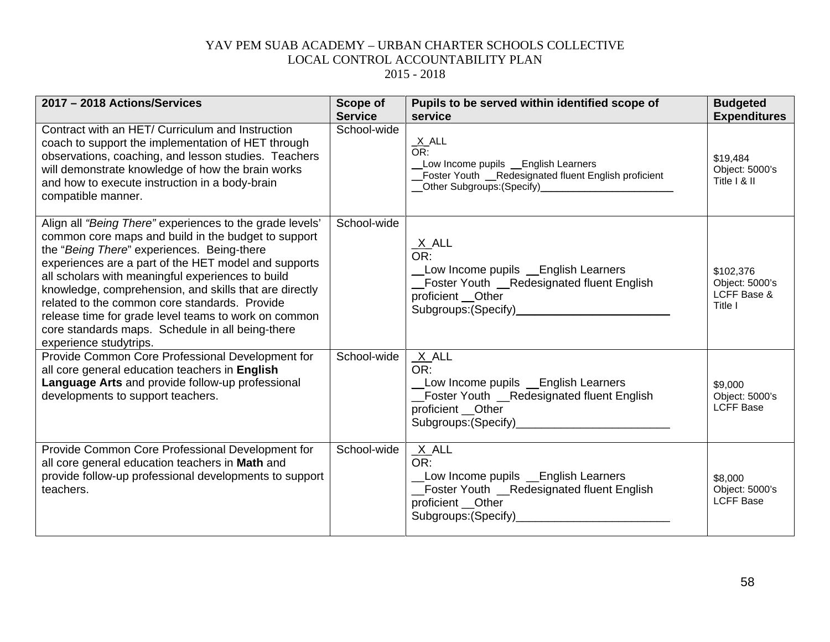| 2017 - 2018 Actions/Services                                                                                                                                                                                                                                                                                                                                                                                                                                                                                                | <b>Scope of</b><br><b>Service</b> | Pupils to be served within identified scope of<br>service                                                                                                              | <b>Budgeted</b><br><b>Expenditures</b>                |
|-----------------------------------------------------------------------------------------------------------------------------------------------------------------------------------------------------------------------------------------------------------------------------------------------------------------------------------------------------------------------------------------------------------------------------------------------------------------------------------------------------------------------------|-----------------------------------|------------------------------------------------------------------------------------------------------------------------------------------------------------------------|-------------------------------------------------------|
| Contract with an HET/ Curriculum and Instruction<br>coach to support the implementation of HET through<br>observations, coaching, and lesson studies. Teachers<br>will demonstrate knowledge of how the brain works<br>and how to execute instruction in a body-brain<br>compatible manner.                                                                                                                                                                                                                                 | School-wide                       | $\frac{X}{OR}$ .<br>Low Income pupils _English Learners<br>_Foster Youth _Redesignated fluent English proficient<br>__Other Subgroups:(Specify)_______________________ | \$19,484<br>Object: 5000's<br>Title I & II            |
| Align all "Being There" experiences to the grade levels'<br>common core maps and build in the budget to support<br>the "Being There" experiences. Being-there<br>experiences are a part of the HET model and supports<br>all scholars with meaningful experiences to build<br>knowledge, comprehension, and skills that are directly<br>related to the common core standards. Provide<br>release time for grade level teams to work on common<br>core standards maps. Schedule in all being-there<br>experience studytrips. | School-wide                       | $\frac{X}{OR}$ .<br>Low Income pupils Lenglish Learners<br>Foster Youth _Redesignated fluent English<br>proficient __Other                                             | \$102,376<br>Object: 5000's<br>LCFF Base &<br>Title I |
| Provide Common Core Professional Development for<br>all core general education teachers in English<br>Language Arts and provide follow-up professional<br>developments to support teachers.                                                                                                                                                                                                                                                                                                                                 | School-wide                       | $X$ ALL<br>OR:<br>Low Income pupils Learners<br>Foster Youth _Redesignated fluent English<br>proficient __Other                                                        | \$9,000<br>Object: 5000's<br><b>LCFF Base</b>         |
| Provide Common Core Professional Development for<br>all core general education teachers in Math and<br>provide follow-up professional developments to support<br>teachers.                                                                                                                                                                                                                                                                                                                                                  | School-wide                       | $X$ ALL<br>OR:<br>Low Income pupils Learners<br>_Foster Youth _Redesignated fluent English<br>proficient __Other                                                       | \$8,000<br>Object: 5000's<br><b>LCFF Base</b>         |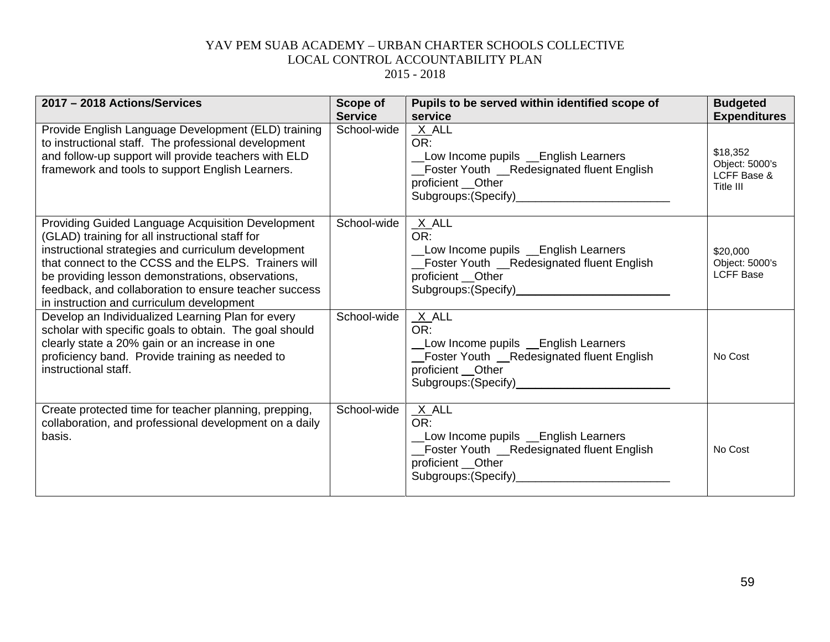| 2017 - 2018 Actions/Services                                                                                                                                                                                                                                                                                                                                                          | Scope of<br><b>Service</b> | Pupils to be served within identified scope of<br>service                                                                                          | <b>Budgeted</b><br><b>Expenditures</b>                 |
|---------------------------------------------------------------------------------------------------------------------------------------------------------------------------------------------------------------------------------------------------------------------------------------------------------------------------------------------------------------------------------------|----------------------------|----------------------------------------------------------------------------------------------------------------------------------------------------|--------------------------------------------------------|
| Provide English Language Development (ELD) training<br>to instructional staff. The professional development<br>and follow-up support will provide teachers with ELD<br>framework and tools to support English Learners.                                                                                                                                                               | School-wide                | $X$ $ALL$<br>OR:<br>Low Income pupils _English Learners<br>Foster Youth __Redesignated fluent English<br>proficient __Other                        | \$18,352<br>Object: 5000's<br>LCFF Base &<br>Title III |
| <b>Providing Guided Language Acquisition Development</b><br>(GLAD) training for all instructional staff for<br>instructional strategies and curriculum development<br>that connect to the CCSS and the ELPS. Trainers will<br>be providing lesson demonstrations, observations,<br>feedback, and collaboration to ensure teacher success<br>in instruction and curriculum development | School-wide                | $X$ ALL<br>OR:<br>Low Income pupils Lenglish Learners<br>_Foster Youth __Redesignated fluent English<br>proficient __Other                         | \$20,000<br>Object: 5000's<br><b>LCFF Base</b>         |
| Develop an Individualized Learning Plan for every<br>scholar with specific goals to obtain. The goal should<br>clearly state a 20% gain or an increase in one<br>proficiency band. Provide training as needed to<br>instructional staff.                                                                                                                                              | School-wide                | $X$ ALL<br>OR:<br>Low Income pupils Lenglish Learners<br>Foster Youth _Redesignated fluent English<br>proficient __Other                           | No Cost                                                |
| Create protected time for teacher planning, prepping,<br>collaboration, and professional development on a daily<br>basis.                                                                                                                                                                                                                                                             | School-wide                | X ALL<br>OR:<br>Low Income pupils _ English Learners<br>_Foster Youth __Redesignated fluent English<br>proficient __Other<br>Subgroups: (Specify)_ | No Cost                                                |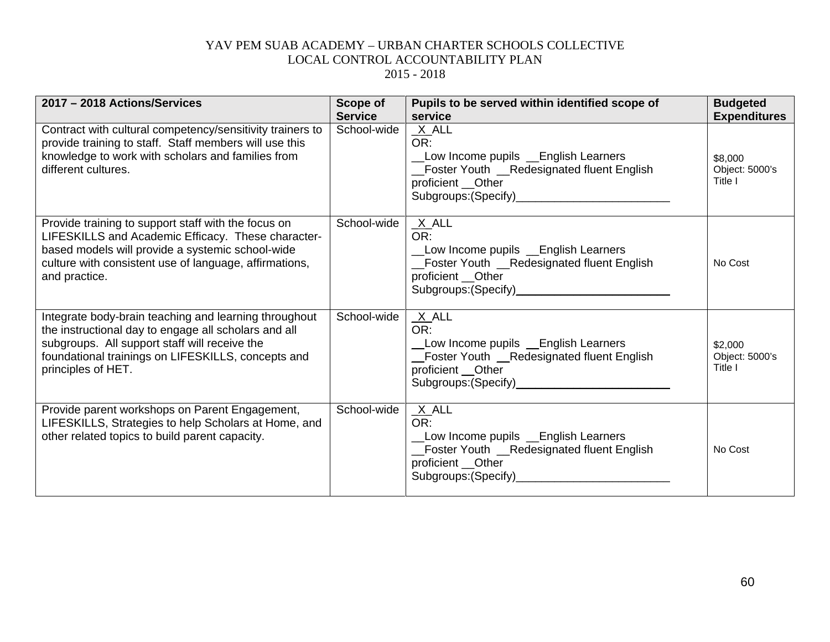| 2017 - 2018 Actions/Services                                                                                                                                                                                                               | Scope of<br><b>Service</b> | Pupils to be served within identified scope of<br>service                                                                                                                | <b>Budgeted</b><br><b>Expenditures</b> |
|--------------------------------------------------------------------------------------------------------------------------------------------------------------------------------------------------------------------------------------------|----------------------------|--------------------------------------------------------------------------------------------------------------------------------------------------------------------------|----------------------------------------|
| Contract with cultural competency/sensitivity trainers to<br>provide training to staff. Staff members will use this<br>knowledge to work with scholars and families from<br>different cultures.                                            | School-wide                | $X$ ALL<br>OR:<br>Low Income pupils Lenglish Learners<br>Foster Youth _Redesignated fluent English<br>proficient __Other<br>Subgroups: (Specify)<br>Subgroups: (Specify) | \$8,000<br>Object: 5000's<br>Title I   |
| Provide training to support staff with the focus on<br>LIFESKILLS and Academic Efficacy. These character-<br>based models will provide a systemic school-wide<br>culture with consistent use of language, affirmations,<br>and practice.   | School-wide                | $X$ ALL<br>OR:<br>Low Income pupils Learners<br>_Foster Youth __Redesignated fluent English<br>proficient __Other<br>Subgroups: (Specify)<br>Subgroups: (Specify)        | No Cost                                |
| Integrate body-brain teaching and learning throughout<br>the instructional day to engage all scholars and all<br>subgroups. All support staff will receive the<br>foundational trainings on LIFESKILLS, concepts and<br>principles of HET. | School-wide                | $X$ ALL<br>OR:<br>Low Income pupils Lenglish Learners<br>Foster Youth __Redesignated fluent English<br>proficient Other                                                  | \$2,000<br>Object: 5000's<br>Title I   |
| Provide parent workshops on Parent Engagement,<br>LIFESKILLS, Strategies to help Scholars at Home, and<br>other related topics to build parent capacity.                                                                                   | School-wide                | $X$ ALL<br>OR:<br>Low Income pupils Lenglish Learners<br>Foster Youth _Redesignated fluent English<br>proficient __Other                                                 | No Cost                                |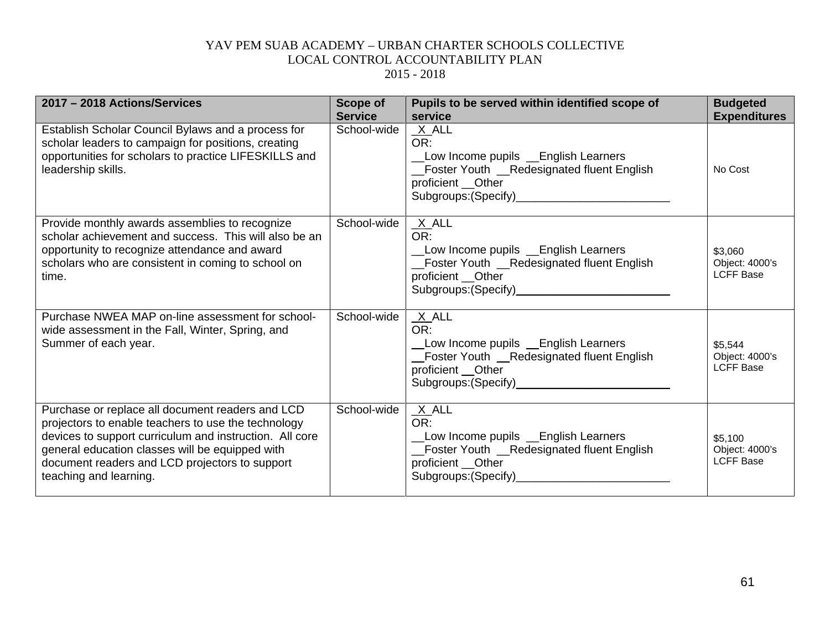| 2017 - 2018 Actions/Services                                                                                                                                                                                                                                                                      | <b>Scope of</b><br><b>Service</b> | Pupils to be served within identified scope of<br>service                                                                                        | <b>Budgeted</b><br><b>Expenditures</b>        |
|---------------------------------------------------------------------------------------------------------------------------------------------------------------------------------------------------------------------------------------------------------------------------------------------------|-----------------------------------|--------------------------------------------------------------------------------------------------------------------------------------------------|-----------------------------------------------|
| Establish Scholar Council Bylaws and a process for<br>scholar leaders to campaign for positions, creating<br>opportunities for scholars to practice LIFESKILLS and<br>leadership skills.                                                                                                          | School-wide                       | $X$ ALL<br>OR:<br>Low Income pupils Lenglish Learners<br>Foster Youth _Redesignated fluent English<br>proficient __Other                         | No Cost                                       |
| Provide monthly awards assemblies to recognize<br>scholar achievement and success. This will also be an<br>opportunity to recognize attendance and award<br>scholars who are consistent in coming to school on<br>time.                                                                           | School-wide                       | $X$ ALL<br>OR:<br>Low Income pupils Lenglish Learners<br>Foster Youth _Redesignated fluent English<br>proficient __Other                         | \$3,060<br>Object: 4000's<br><b>LCFF Base</b> |
| Purchase NWEA MAP on-line assessment for school-<br>wide assessment in the Fall, Winter, Spring, and<br>Summer of each year.                                                                                                                                                                      | School-wide                       | $X$ ALL<br>OR:<br>Low Income pupils Lenglish Learners<br>_Foster Youth _Redesignated fluent English<br>proficient __Other                        | \$5,544<br>Object: 4000's<br><b>LCFF Base</b> |
| Purchase or replace all document readers and LCD<br>projectors to enable teachers to use the technology<br>devices to support curriculum and instruction. All core<br>general education classes will be equipped with<br>document readers and LCD projectors to support<br>teaching and learning. | School-wide                       | $X$ ALL<br>OR:<br>Low Income pupils Lenglish Learners<br>Foster Youth _Redesignated fluent English<br>proficient __Other<br>Subgroups: (Specify) | \$5,100<br>Object: 4000's<br><b>LCFF Base</b> |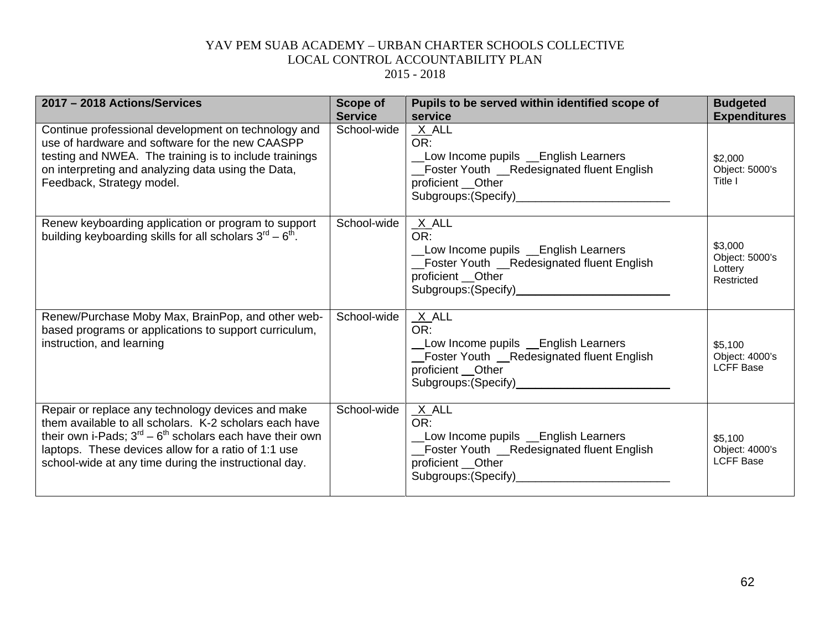| 2017 - 2018 Actions/Services                                                                                                                                                                                                                                                                             | Scope of<br><b>Service</b> | Pupils to be served within identified scope of<br>service                                                                                                                  | <b>Budgeted</b><br><b>Expenditures</b>             |
|----------------------------------------------------------------------------------------------------------------------------------------------------------------------------------------------------------------------------------------------------------------------------------------------------------|----------------------------|----------------------------------------------------------------------------------------------------------------------------------------------------------------------------|----------------------------------------------------|
| Continue professional development on technology and<br>use of hardware and software for the new CAASPP<br>testing and NWEA. The training is to include trainings<br>on interpreting and analyzing data using the Data,<br>Feedback, Strategy model.                                                      | School-wide                | $X$ $ALL$<br>OR:<br>Low Income pupils Lenglish Learners<br>Foster Youth _Redesignated fluent English<br>proficient __Other                                                 | \$2,000<br>Object: 5000's<br>Title I               |
| Renew keyboarding application or program to support<br>building keyboarding skills for all scholars $3^{\text{rd}} - 6^{\text{th}}$ .                                                                                                                                                                    | School-wide                | $X$ ALL<br>OR:<br>Low Income pupils Lenglish Learners<br>_Foster Youth __Redesignated fluent English<br>proficient __Other<br>Subgroups: (Specify)<br>Subgroups: (Specify) | \$3,000<br>Object: 5000's<br>Lottery<br>Restricted |
| Renew/Purchase Moby Max, BrainPop, and other web-<br>based programs or applications to support curriculum,<br>instruction, and learning                                                                                                                                                                  | School-wide                | $X$ ALL<br>OR:<br>Low Income pupils Lenglish Learners<br>Foster Youth __Redesignated fluent English<br>proficient Other<br>Subgroups: (Specify)<br>Subgroups: (Specify)    | \$5,100<br>Object: 4000's<br><b>LCFF Base</b>      |
| Repair or replace any technology devices and make<br>them available to all scholars. K-2 scholars each have<br>their own i-Pads; $3^{rd}$ – 6 <sup>th</sup> scholars each have their own<br>laptops. These devices allow for a ratio of 1:1 use<br>school-wide at any time during the instructional day. | School-wide                | $X$ ALL<br>OR:<br>Low Income pupils Lenglish Learners<br>Foster Youth _Redesignated fluent English<br>proficient __Other                                                   | \$5,100<br>Object: 4000's<br><b>LCFF Base</b>      |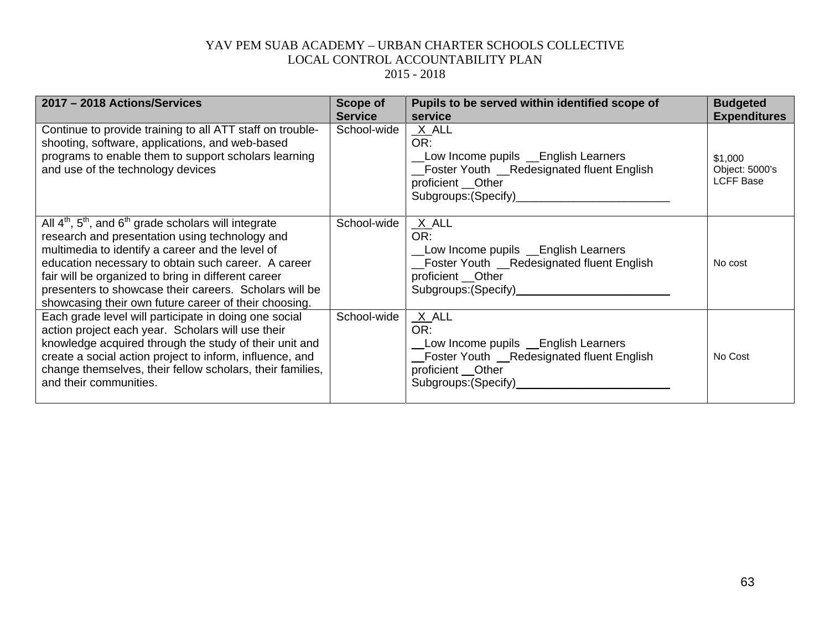| 2017 - 2018 Actions/Services                                                                                                                                                                                                                                                                                                                                                                       | <b>Scope of</b><br><b>Service</b> | Pupils to be served within identified scope of<br>service                                                                                                        | <b>Budgeted</b><br><b>Expenditures</b>        |
|----------------------------------------------------------------------------------------------------------------------------------------------------------------------------------------------------------------------------------------------------------------------------------------------------------------------------------------------------------------------------------------------------|-----------------------------------|------------------------------------------------------------------------------------------------------------------------------------------------------------------|-----------------------------------------------|
| Continue to provide training to all ATT staff on trouble-<br>shooting, software, applications, and web-based<br>programs to enable them to support scholars learning<br>and use of the technology devices                                                                                                                                                                                          | School-wide                       | $X$ ALL<br>OR:<br>Low Income pupils Lenglish Learners<br>_Foster Youth _Redesignated fluent English<br>proficient __Other<br>Subgroups: (Specify)______________  | \$1,000<br>Object: 5000's<br><b>LCFF Base</b> |
| All $4th$ , $5th$ , and $6th$ grade scholars will integrate<br>research and presentation using technology and<br>multimedia to identify a career and the level of<br>education necessary to obtain such career. A career<br>fair will be organized to bring in different career<br>presenters to showcase their careers. Scholars will be<br>showcasing their own future career of their choosing. | School-wide                       | $X$ ALL<br>OR:<br>Low Income pupils Lenglish Learners<br>_Foster Youth __Redesignated fluent English<br>proficient __Other                                       | No cost                                       |
| Each grade level will participate in doing one social<br>action project each year. Scholars will use their<br>knowledge acquired through the study of their unit and<br>create a social action project to inform, influence, and<br>change themselves, their fellow scholars, their families,<br>and their communities.                                                                            | School-wide                       | $X$ ALL<br>OR:<br>Low Income pupils Lenglish Learners<br>_Foster Youth _Redesignated fluent English<br>proficient __Other<br>Subgroups: (Specify)_______________ | No Cost                                       |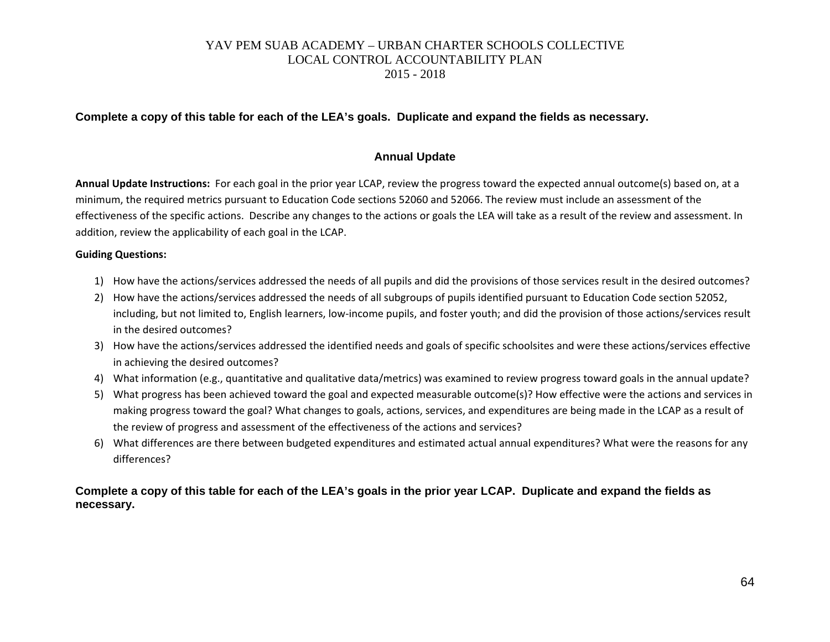#### **Complete a copy of this table for each of the LEA's goals. Duplicate and expand the fields as necessary.**

#### **Annual Update**

**Annual Update Instructions:** For each goal in the prior year LCAP, review the progress toward the expected annual outcome(s) based on, at a minimum, the required metrics pursuant to Education Code sections 52060 and 52066. The review must include an assessment of the effectiveness of the specific actions. Describe any changes to the actions or goals the LEA will take as a result of the review and assessment. In addition, review the applicability of each goal in the LCAP.

#### **Guiding Questions:**

- 1) How have the actions/services addressed the needs of all pupils and did the provisions of those services result in the desired outcomes?
- 2) How have the actions/services addressed the needs of all subgroups of pupils identified pursuant to Education Code section 52052, including, but not limited to, English learners, low-income pupils, and foster youth; and did the provision of those actions/services result in the desired outcomes?
- 3) How have the actions/services addressed the identified needs and goals of specific schoolsites and were these actions/services effective in achieving the desired outcomes?
- 4) What information (e.g., quantitative and qualitative data/metrics) was examined to review progress toward goals in the annual update?
- 5) What progress has been achieved toward the goal and expected measurable outcome(s)? How effective were the actions and services in making progress toward the goal? What changes to goals, actions, services, and expenditures are being made in the LCAP as a result of the review of progress and assessment of the effectiveness of the actions and services?
- 6) What differences are there between budgeted expenditures and estimated actual annual expenditures? What were the reasons for any differences?

#### **Complete a copy of this table for each of the LEA's goals in the prior year LCAP. Duplicate and expand the fields as necessary.**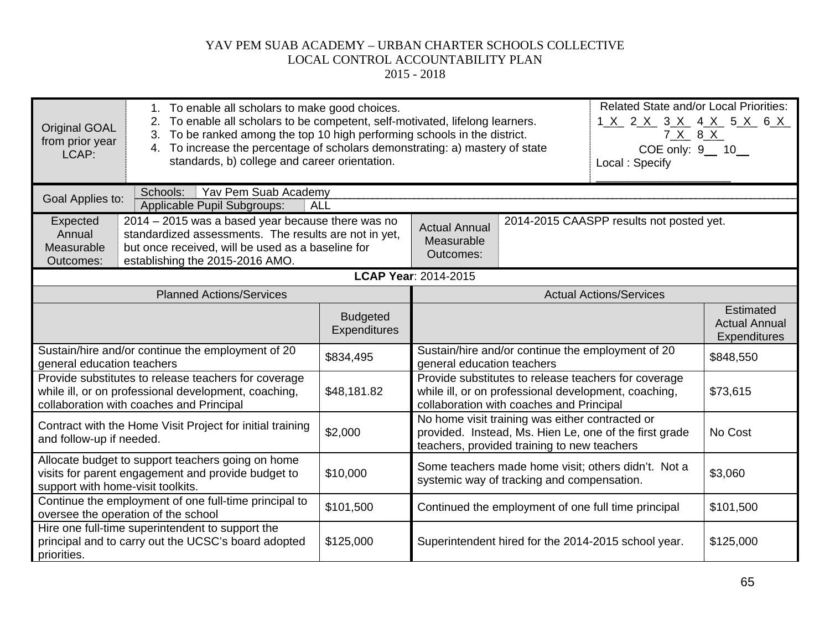| Original GOAL<br>from prior year<br>LCAP:                                                         | <b>Related State and/or Local Priorities:</b><br>1. To enable all scholars to make good choices.<br>To enable all scholars to be competent, self-motivated, lifelong learners.<br>1 <u>X</u> 2 <u>X</u> 3 <u>X</u> 4 <u>X</u> 5 <u>X</u> 6 <u>X</u><br>To be ranked among the top 10 high performing schools in the district.<br>7 X 8 X<br>3.<br>To increase the percentage of scholars demonstrating: a) mastery of state<br>4.<br>COE only: 9_ 10_<br>standards, b) college and career orientation.<br>Local: Specify |                                        |                                                 |                                                                                                  |                                                        |                                                                 |
|---------------------------------------------------------------------------------------------------|--------------------------------------------------------------------------------------------------------------------------------------------------------------------------------------------------------------------------------------------------------------------------------------------------------------------------------------------------------------------------------------------------------------------------------------------------------------------------------------------------------------------------|----------------------------------------|-------------------------------------------------|--------------------------------------------------------------------------------------------------|--------------------------------------------------------|-----------------------------------------------------------------|
| Schools:<br>Yav Pem Suab Academy<br>Goal Applies to:<br>Applicable Pupil Subgroups:<br><b>ALL</b> |                                                                                                                                                                                                                                                                                                                                                                                                                                                                                                                          |                                        |                                                 |                                                                                                  |                                                        |                                                                 |
| Expected<br>Annual<br>Measurable<br>Outcomes:                                                     | 2014 - 2015 was a based year because there was no<br>standardized assessments. The results are not in yet,<br>but once received, will be used as a baseline for<br>establishing the 2015-2016 AMO.                                                                                                                                                                                                                                                                                                                       |                                        | <b>Actual Annual</b><br>Measurable<br>Outcomes: |                                                                                                  | 2014-2015 CAASPP results not posted yet.               |                                                                 |
|                                                                                                   |                                                                                                                                                                                                                                                                                                                                                                                                                                                                                                                          |                                        | <b>LCAP Year: 2014-2015</b>                     |                                                                                                  |                                                        |                                                                 |
|                                                                                                   | <b>Planned Actions/Services</b>                                                                                                                                                                                                                                                                                                                                                                                                                                                                                          |                                        |                                                 |                                                                                                  | <b>Actual Actions/Services</b>                         |                                                                 |
|                                                                                                   |                                                                                                                                                                                                                                                                                                                                                                                                                                                                                                                          | <b>Budgeted</b><br><b>Expenditures</b> |                                                 |                                                                                                  |                                                        | <b>Estimated</b><br><b>Actual Annual</b><br><b>Expenditures</b> |
| general education teachers                                                                        | Sustain/hire and/or continue the employment of 20                                                                                                                                                                                                                                                                                                                                                                                                                                                                        | \$834,495                              | general education teachers                      | Sustain/hire and/or continue the employment of 20                                                |                                                        | \$848,550                                                       |
|                                                                                                   | Provide substitutes to release teachers for coverage<br>while ill, or on professional development, coaching,<br>collaboration with coaches and Principal                                                                                                                                                                                                                                                                                                                                                                 | \$48,181.82                            |                                                 | while ill, or on professional development, coaching,<br>collaboration with coaches and Principal | Provide substitutes to release teachers for coverage   | \$73,615                                                        |
| and follow-up if needed.                                                                          | Contract with the Home Visit Project for initial training                                                                                                                                                                                                                                                                                                                                                                                                                                                                | \$2,000                                |                                                 | No home visit training was either contracted or<br>teachers, provided training to new teachers   | provided. Instead, Ms. Hien Le, one of the first grade | No Cost                                                         |
| support with home-visit toolkits.                                                                 | Allocate budget to support teachers going on home<br>visits for parent engagement and provide budget to                                                                                                                                                                                                                                                                                                                                                                                                                  | \$10,000                               |                                                 | systemic way of tracking and compensation.                                                       | Some teachers made home visit; others didn't. Not a    | \$3,060                                                         |
|                                                                                                   | Continue the employment of one full-time principal to<br>oversee the operation of the school                                                                                                                                                                                                                                                                                                                                                                                                                             | \$101,500                              |                                                 | Continued the employment of one full time principal                                              |                                                        | \$101,500                                                       |
| priorities.                                                                                       | Hire one full-time superintendent to support the<br>principal and to carry out the UCSC's board adopted                                                                                                                                                                                                                                                                                                                                                                                                                  | \$125,000                              |                                                 |                                                                                                  | Superintendent hired for the 2014-2015 school year.    | \$125,000                                                       |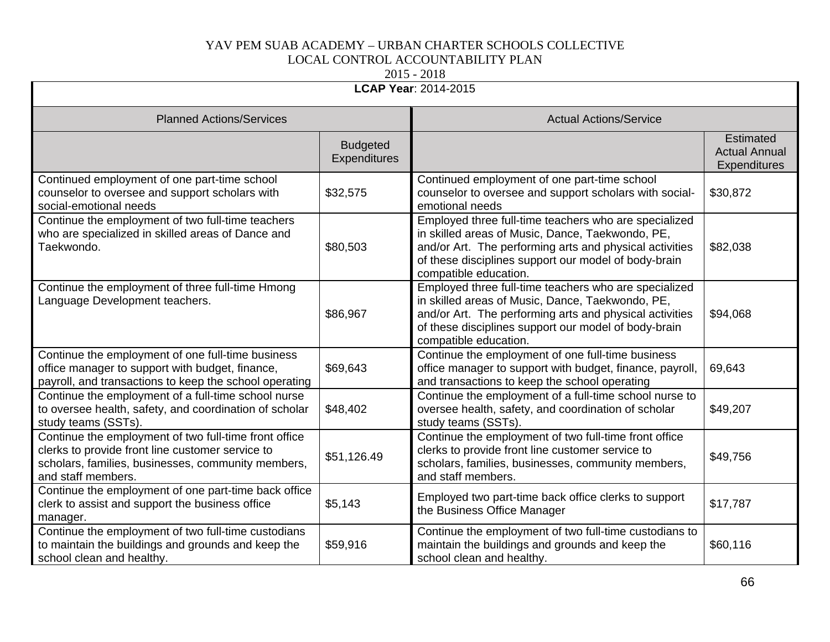| LCAP Year: 2014-2015                                                                                                                                                                  |                                 |                                                                                                                                                                                                                                                       |                                                          |
|---------------------------------------------------------------------------------------------------------------------------------------------------------------------------------------|---------------------------------|-------------------------------------------------------------------------------------------------------------------------------------------------------------------------------------------------------------------------------------------------------|----------------------------------------------------------|
| <b>Planned Actions/Services</b>                                                                                                                                                       |                                 | <b>Actual Actions/Service</b>                                                                                                                                                                                                                         |                                                          |
|                                                                                                                                                                                       | <b>Budgeted</b><br>Expenditures |                                                                                                                                                                                                                                                       | Estimated<br><b>Actual Annual</b><br><b>Expenditures</b> |
| Continued employment of one part-time school<br>counselor to oversee and support scholars with<br>social-emotional needs                                                              | \$32,575                        | Continued employment of one part-time school<br>counselor to oversee and support scholars with social-<br>emotional needs                                                                                                                             | \$30,872                                                 |
| Continue the employment of two full-time teachers<br>who are specialized in skilled areas of Dance and<br>Taekwondo.                                                                  | \$80,503                        | Employed three full-time teachers who are specialized<br>in skilled areas of Music, Dance, Taekwondo, PE,<br>and/or Art. The performing arts and physical activities<br>of these disciplines support our model of body-brain<br>compatible education. | \$82,038                                                 |
| Continue the employment of three full-time Hmong<br>Language Development teachers.                                                                                                    | \$86,967                        | Employed three full-time teachers who are specialized<br>in skilled areas of Music, Dance, Taekwondo, PE,<br>and/or Art. The performing arts and physical activities<br>of these disciplines support our model of body-brain<br>compatible education. | \$94,068                                                 |
| Continue the employment of one full-time business<br>office manager to support with budget, finance,<br>payroll, and transactions to keep the school operating                        | \$69,643                        | Continue the employment of one full-time business<br>office manager to support with budget, finance, payroll,<br>and transactions to keep the school operating                                                                                        | 69,643                                                   |
| Continue the employment of a full-time school nurse<br>to oversee health, safety, and coordination of scholar<br>study teams (SSTs).                                                  | \$48,402                        | Continue the employment of a full-time school nurse to<br>oversee health, safety, and coordination of scholar<br>study teams (SSTs).                                                                                                                  | \$49,207                                                 |
| Continue the employment of two full-time front office<br>clerks to provide front line customer service to<br>scholars, families, businesses, community members,<br>and staff members. | \$51,126.49                     | Continue the employment of two full-time front office<br>clerks to provide front line customer service to<br>scholars, families, businesses, community members,<br>and staff members.                                                                 | \$49,756                                                 |
| Continue the employment of one part-time back office<br>clerk to assist and support the business office<br>manager.                                                                   | \$5,143                         | Employed two part-time back office clerks to support<br>the Business Office Manager                                                                                                                                                                   | \$17,787                                                 |
| Continue the employment of two full-time custodians<br>to maintain the buildings and grounds and keep the<br>school clean and healthy.                                                | \$59,916                        | Continue the employment of two full-time custodians to<br>maintain the buildings and grounds and keep the<br>school clean and healthy.                                                                                                                | \$60,116                                                 |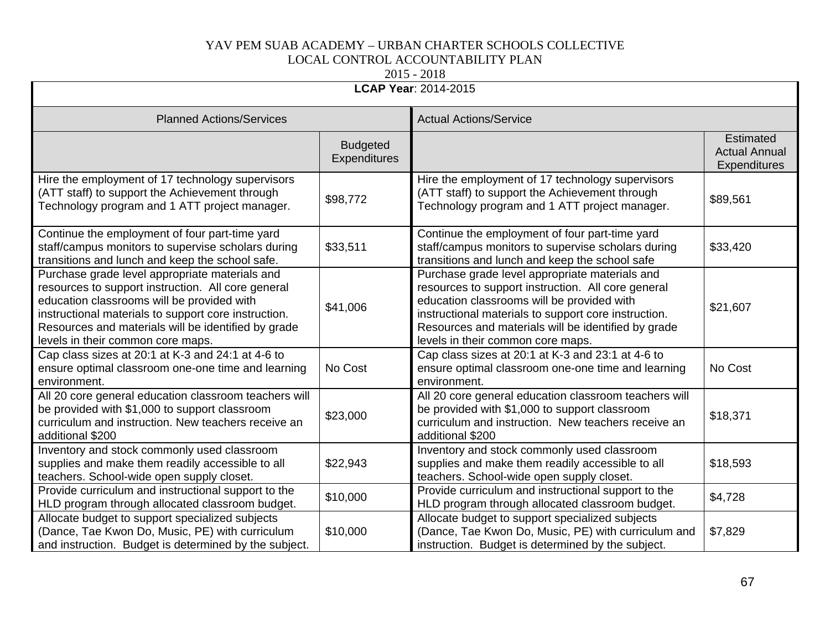| <b>LCAP Year: 2014-2015</b>                                                                                                                                                                                                                                                                            |                                 |                                                                                                                                                                                                                                                                                                        |                                                          |  |
|--------------------------------------------------------------------------------------------------------------------------------------------------------------------------------------------------------------------------------------------------------------------------------------------------------|---------------------------------|--------------------------------------------------------------------------------------------------------------------------------------------------------------------------------------------------------------------------------------------------------------------------------------------------------|----------------------------------------------------------|--|
| <b>Planned Actions/Services</b>                                                                                                                                                                                                                                                                        | <b>Actual Actions/Service</b>   |                                                                                                                                                                                                                                                                                                        |                                                          |  |
|                                                                                                                                                                                                                                                                                                        | <b>Budgeted</b><br>Expenditures |                                                                                                                                                                                                                                                                                                        | <b>Estimated</b><br><b>Actual Annual</b><br>Expenditures |  |
| Hire the employment of 17 technology supervisors<br>(ATT staff) to support the Achievement through<br>Technology program and 1 ATT project manager.                                                                                                                                                    | \$98,772                        | Hire the employment of 17 technology supervisors<br>(ATT staff) to support the Achievement through<br>Technology program and 1 ATT project manager.                                                                                                                                                    | \$89,561                                                 |  |
| Continue the employment of four part-time yard<br>staff/campus monitors to supervise scholars during<br>transitions and lunch and keep the school safe.                                                                                                                                                | \$33,511                        | Continue the employment of four part-time yard<br>staff/campus monitors to supervise scholars during<br>transitions and lunch and keep the school safe                                                                                                                                                 | \$33,420                                                 |  |
| Purchase grade level appropriate materials and<br>resources to support instruction. All core general<br>education classrooms will be provided with<br>instructional materials to support core instruction.<br>Resources and materials will be identified by grade<br>levels in their common core maps. | \$41,006                        | Purchase grade level appropriate materials and<br>resources to support instruction. All core general<br>education classrooms will be provided with<br>instructional materials to support core instruction.<br>Resources and materials will be identified by grade<br>levels in their common core maps. | \$21,607                                                 |  |
| Cap class sizes at 20:1 at K-3 and 24:1 at 4-6 to<br>ensure optimal classroom one-one time and learning<br>environment.                                                                                                                                                                                | No Cost                         | Cap class sizes at 20:1 at K-3 and 23:1 at 4-6 to<br>ensure optimal classroom one-one time and learning<br>environment.                                                                                                                                                                                | No Cost                                                  |  |
| All 20 core general education classroom teachers will<br>be provided with \$1,000 to support classroom<br>curriculum and instruction. New teachers receive an<br>additional \$200                                                                                                                      | \$23,000                        | All 20 core general education classroom teachers will<br>be provided with \$1,000 to support classroom<br>curriculum and instruction. New teachers receive an<br>additional \$200                                                                                                                      | \$18,371                                                 |  |
| Inventory and stock commonly used classroom<br>supplies and make them readily accessible to all<br>teachers. School-wide open supply closet.                                                                                                                                                           | \$22,943                        | Inventory and stock commonly used classroom<br>supplies and make them readily accessible to all<br>teachers. School-wide open supply closet.                                                                                                                                                           | \$18,593                                                 |  |
| Provide curriculum and instructional support to the<br>HLD program through allocated classroom budget.                                                                                                                                                                                                 | \$10,000                        | Provide curriculum and instructional support to the<br>HLD program through allocated classroom budget.                                                                                                                                                                                                 | \$4,728                                                  |  |
| Allocate budget to support specialized subjects<br>(Dance, Tae Kwon Do, Music, PE) with curriculum<br>and instruction. Budget is determined by the subject.                                                                                                                                            | \$10,000                        | Allocate budget to support specialized subjects<br>(Dance, Tae Kwon Do, Music, PE) with curriculum and<br>instruction. Budget is determined by the subject.                                                                                                                                            | \$7,829                                                  |  |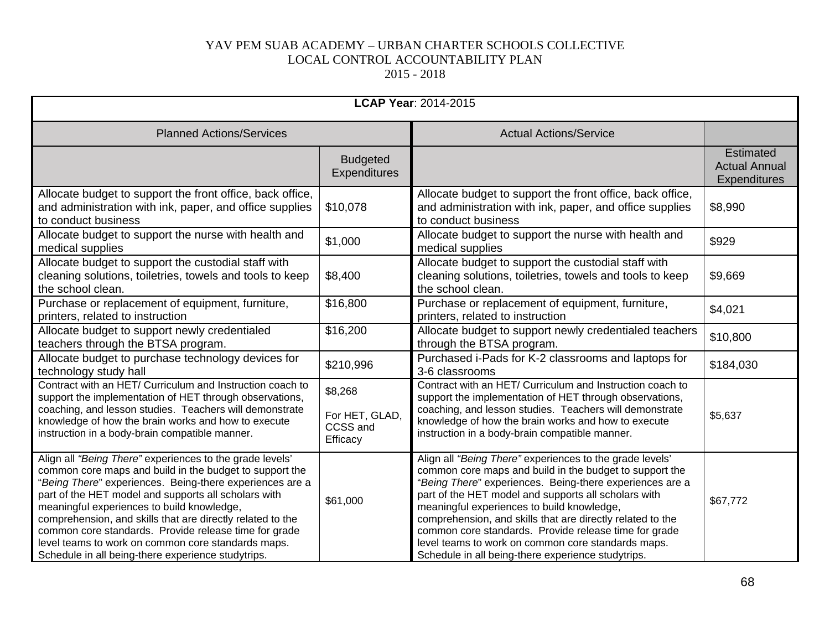| <b>LCAP Year: 2014-2015</b>                                                                                                                                                                                                                                                                                                                                                                                                                                                                                              |                                                   |                                                                                                                                                                                                                                                                                                                                                                                                                                                                                                                          |                                                          |
|--------------------------------------------------------------------------------------------------------------------------------------------------------------------------------------------------------------------------------------------------------------------------------------------------------------------------------------------------------------------------------------------------------------------------------------------------------------------------------------------------------------------------|---------------------------------------------------|--------------------------------------------------------------------------------------------------------------------------------------------------------------------------------------------------------------------------------------------------------------------------------------------------------------------------------------------------------------------------------------------------------------------------------------------------------------------------------------------------------------------------|----------------------------------------------------------|
| <b>Planned Actions/Services</b>                                                                                                                                                                                                                                                                                                                                                                                                                                                                                          |                                                   | <b>Actual Actions/Service</b>                                                                                                                                                                                                                                                                                                                                                                                                                                                                                            |                                                          |
|                                                                                                                                                                                                                                                                                                                                                                                                                                                                                                                          | <b>Budgeted</b><br>Expenditures                   |                                                                                                                                                                                                                                                                                                                                                                                                                                                                                                                          | <b>Estimated</b><br><b>Actual Annual</b><br>Expenditures |
| Allocate budget to support the front office, back office,<br>and administration with ink, paper, and office supplies<br>to conduct business                                                                                                                                                                                                                                                                                                                                                                              | \$10,078                                          | Allocate budget to support the front office, back office,<br>and administration with ink, paper, and office supplies<br>to conduct business                                                                                                                                                                                                                                                                                                                                                                              | \$8,990                                                  |
| Allocate budget to support the nurse with health and<br>medical supplies                                                                                                                                                                                                                                                                                                                                                                                                                                                 | \$1,000                                           | Allocate budget to support the nurse with health and<br>medical supplies                                                                                                                                                                                                                                                                                                                                                                                                                                                 | \$929                                                    |
| Allocate budget to support the custodial staff with<br>cleaning solutions, toiletries, towels and tools to keep<br>the school clean.                                                                                                                                                                                                                                                                                                                                                                                     | \$8,400                                           | Allocate budget to support the custodial staff with<br>cleaning solutions, toiletries, towels and tools to keep<br>the school clean.                                                                                                                                                                                                                                                                                                                                                                                     | \$9,669                                                  |
| Purchase or replacement of equipment, furniture,<br>printers, related to instruction                                                                                                                                                                                                                                                                                                                                                                                                                                     | \$16,800                                          | Purchase or replacement of equipment, furniture,<br>printers, related to instruction                                                                                                                                                                                                                                                                                                                                                                                                                                     | \$4,021                                                  |
| Allocate budget to support newly credentialed<br>teachers through the BTSA program.                                                                                                                                                                                                                                                                                                                                                                                                                                      | \$16,200                                          | Allocate budget to support newly credentialed teachers<br>through the BTSA program.                                                                                                                                                                                                                                                                                                                                                                                                                                      | \$10,800                                                 |
| Allocate budget to purchase technology devices for<br>technology study hall                                                                                                                                                                                                                                                                                                                                                                                                                                              | \$210,996                                         | Purchased i-Pads for K-2 classrooms and laptops for<br>3-6 classrooms                                                                                                                                                                                                                                                                                                                                                                                                                                                    | \$184,030                                                |
| Contract with an HET/ Curriculum and Instruction coach to<br>support the implementation of HET through observations,<br>coaching, and lesson studies. Teachers will demonstrate<br>knowledge of how the brain works and how to execute<br>instruction in a body-brain compatible manner.                                                                                                                                                                                                                                 | \$8,268<br>For HET, GLAD,<br>CCSS and<br>Efficacy | Contract with an HET/ Curriculum and Instruction coach to<br>support the implementation of HET through observations,<br>coaching, and lesson studies. Teachers will demonstrate<br>knowledge of how the brain works and how to execute<br>instruction in a body-brain compatible manner.                                                                                                                                                                                                                                 | \$5,637                                                  |
| Align all "Being There" experiences to the grade levels'<br>common core maps and build in the budget to support the<br>"Being There" experiences. Being-there experiences are a<br>part of the HET model and supports all scholars with<br>meaningful experiences to build knowledge,<br>comprehension, and skills that are directly related to the<br>common core standards. Provide release time for grade<br>level teams to work on common core standards maps.<br>Schedule in all being-there experience studytrips. | \$61,000                                          | Align all "Being There" experiences to the grade levels'<br>common core maps and build in the budget to support the<br>"Being There" experiences. Being-there experiences are a<br>part of the HET model and supports all scholars with<br>meaningful experiences to build knowledge,<br>comprehension, and skills that are directly related to the<br>common core standards. Provide release time for grade<br>level teams to work on common core standards maps.<br>Schedule in all being-there experience studytrips. | \$67,772                                                 |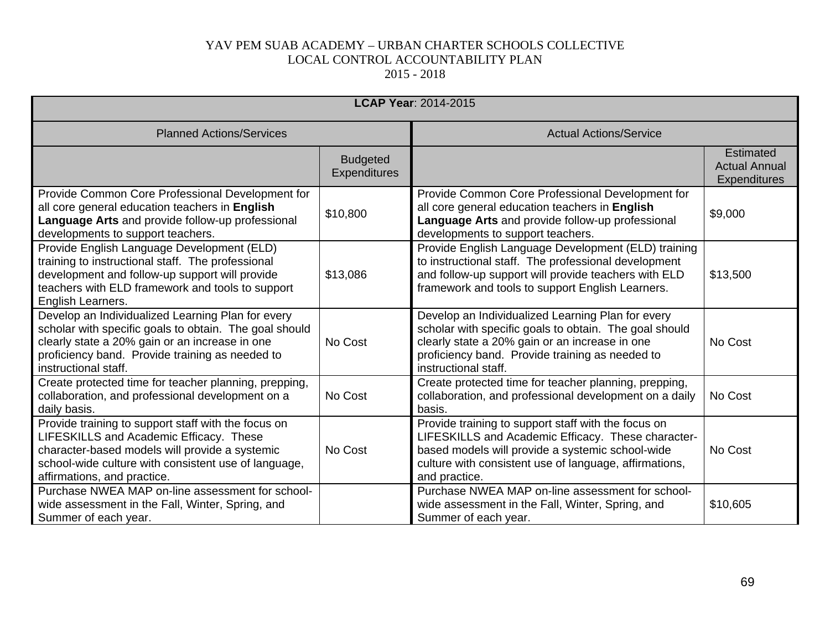| <b>LCAP Year: 2014-2015</b>                                                                                                                                                                                                              |                                        |                                                                                                                                                                                                                                          |                                                          |
|------------------------------------------------------------------------------------------------------------------------------------------------------------------------------------------------------------------------------------------|----------------------------------------|------------------------------------------------------------------------------------------------------------------------------------------------------------------------------------------------------------------------------------------|----------------------------------------------------------|
| <b>Planned Actions/Services</b>                                                                                                                                                                                                          |                                        | <b>Actual Actions/Service</b>                                                                                                                                                                                                            |                                                          |
|                                                                                                                                                                                                                                          | <b>Budgeted</b><br><b>Expenditures</b> |                                                                                                                                                                                                                                          | <b>Estimated</b><br><b>Actual Annual</b><br>Expenditures |
| Provide Common Core Professional Development for<br>all core general education teachers in English<br>Language Arts and provide follow-up professional<br>developments to support teachers.                                              | \$10,800                               | Provide Common Core Professional Development for<br>all core general education teachers in English<br>Language Arts and provide follow-up professional<br>developments to support teachers.                                              | \$9,000                                                  |
| Provide English Language Development (ELD)<br>training to instructional staff. The professional<br>development and follow-up support will provide<br>teachers with ELD framework and tools to support<br>English Learners.               | \$13,086                               | Provide English Language Development (ELD) training<br>to instructional staff. The professional development<br>and follow-up support will provide teachers with ELD<br>framework and tools to support English Learners.                  | \$13,500                                                 |
| Develop an Individualized Learning Plan for every<br>scholar with specific goals to obtain. The goal should<br>clearly state a 20% gain or an increase in one<br>proficiency band. Provide training as needed to<br>instructional staff. | No Cost                                | Develop an Individualized Learning Plan for every<br>scholar with specific goals to obtain. The goal should<br>clearly state a 20% gain or an increase in one<br>proficiency band. Provide training as needed to<br>instructional staff. | No Cost                                                  |
| Create protected time for teacher planning, prepping,<br>collaboration, and professional development on a<br>daily basis.                                                                                                                | No Cost                                | Create protected time for teacher planning, prepping,<br>collaboration, and professional development on a daily<br>basis.                                                                                                                | No Cost                                                  |
| Provide training to support staff with the focus on<br>LIFESKILLS and Academic Efficacy. These<br>character-based models will provide a systemic<br>school-wide culture with consistent use of language,<br>affirmations, and practice.  | No Cost                                | Provide training to support staff with the focus on<br>LIFESKILLS and Academic Efficacy. These character-<br>based models will provide a systemic school-wide<br>culture with consistent use of language, affirmations,<br>and practice. | No Cost                                                  |
| Purchase NWEA MAP on-line assessment for school-<br>wide assessment in the Fall, Winter, Spring, and<br>Summer of each year.                                                                                                             |                                        | Purchase NWEA MAP on-line assessment for school-<br>wide assessment in the Fall, Winter, Spring, and<br>Summer of each year.                                                                                                             | \$10,605                                                 |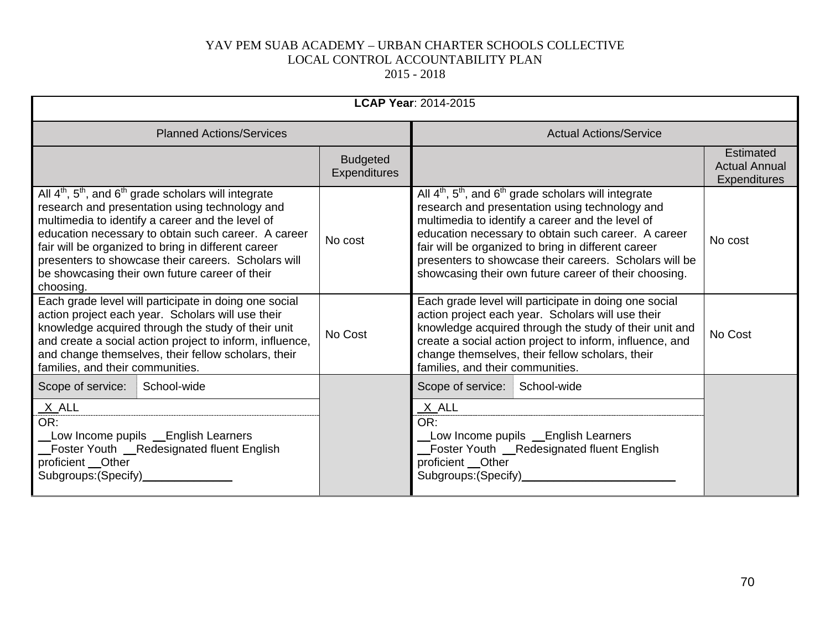| <b>LCAP Year: 2014-2015</b>                                                                                                                                                                                                                                                                                                                                                                                                         |                                        |                                                                                                                                                                                                                                                                                                                                                                                                    |                                                                 |
|-------------------------------------------------------------------------------------------------------------------------------------------------------------------------------------------------------------------------------------------------------------------------------------------------------------------------------------------------------------------------------------------------------------------------------------|----------------------------------------|----------------------------------------------------------------------------------------------------------------------------------------------------------------------------------------------------------------------------------------------------------------------------------------------------------------------------------------------------------------------------------------------------|-----------------------------------------------------------------|
| <b>Planned Actions/Services</b>                                                                                                                                                                                                                                                                                                                                                                                                     |                                        | <b>Actual Actions/Service</b>                                                                                                                                                                                                                                                                                                                                                                      |                                                                 |
|                                                                                                                                                                                                                                                                                                                                                                                                                                     | <b>Budgeted</b><br><b>Expenditures</b> |                                                                                                                                                                                                                                                                                                                                                                                                    | <b>Estimated</b><br><b>Actual Annual</b><br><b>Expenditures</b> |
| All $4^{\text{th}}$ , $5^{\text{th}}$ , and $6^{\text{th}}$ grade scholars will integrate<br>research and presentation using technology and<br>multimedia to identify a career and the level of<br>education necessary to obtain such career. A career<br>fair will be organized to bring in different career<br>presenters to showcase their careers. Scholars will<br>be showcasing their own future career of their<br>choosing. | No cost                                | All $4th$ , $5th$ , and $6th$ grade scholars will integrate<br>research and presentation using technology and<br>multimedia to identify a career and the level of<br>education necessary to obtain such career. A career<br>fair will be organized to bring in different career<br>presenters to showcase their careers. Scholars will be<br>showcasing their own future career of their choosing. | No cost                                                         |
| Each grade level will participate in doing one social<br>action project each year. Scholars will use their<br>knowledge acquired through the study of their unit<br>and create a social action project to inform, influence,<br>and change themselves, their fellow scholars, their<br>families, and their communities.                                                                                                             | No Cost                                | Each grade level will participate in doing one social<br>action project each year. Scholars will use their<br>knowledge acquired through the study of their unit and<br>create a social action project to inform, influence, and<br>change themselves, their fellow scholars, their<br>families, and their communities.                                                                            | No Cost                                                         |
| Scope of service:<br>School-wide<br>$X$ ALL<br>OR:<br>Low Income pupils _English Learners<br>Foster Youth __Redesignated fluent English<br>proficient _Other<br>Subgroups: (Specify)                                                                                                                                                                                                                                                |                                        | Scope of service:<br>School-wide<br><u>X</u> _ALL<br>OR:<br>Low Income pupils Lenglish Learners<br>Foster Youth _Redesignated fluent English<br>proficient __Other<br>Subgroups: (Specify)                                                                                                                                                                                                         |                                                                 |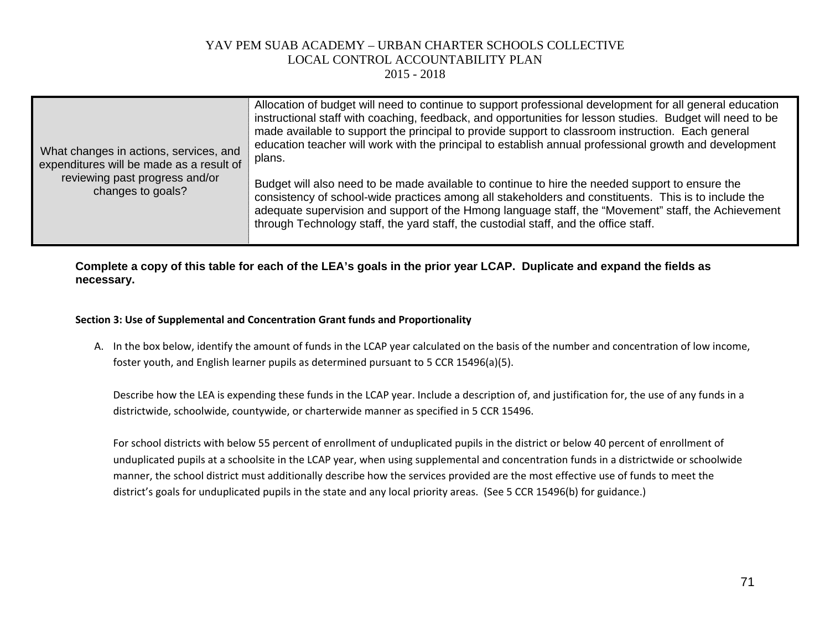2015 - 2018

| What changes in actions, services, and<br>expenditures will be made as a result of | Allocation of budget will need to continue to support professional development for all general education<br>instructional staff with coaching, feedback, and opportunities for lesson studies. Budget will need to be<br>made available to support the principal to provide support to classroom instruction. Each general<br>education teacher will work with the principal to establish annual professional growth and development<br>plans. |
|------------------------------------------------------------------------------------|------------------------------------------------------------------------------------------------------------------------------------------------------------------------------------------------------------------------------------------------------------------------------------------------------------------------------------------------------------------------------------------------------------------------------------------------|
| reviewing past progress and/or<br>changes to goals?                                | Budget will also need to be made available to continue to hire the needed support to ensure the<br>consistency of school-wide practices among all stakeholders and constituents. This is to include the<br>adequate supervision and support of the Hmong language staff, the "Movement" staff, the Achievement<br>through Technology staff, the yard staff, the custodial staff, and the office staff.                                         |

**Complete a copy of this table for each of the LEA's goals in the prior year LCAP. Duplicate and expand the fields as necessary.**

#### **Section 3: Use of Supplemental and Concentration Grant funds and Proportionality**

A. In the box below, identify the amount of funds in the LCAP year calculated on the basis of the number and concentration of low income, foster youth, and English learner pupils as determined pursuant to 5 CCR 15496(a)(5).

Describe how the LEA is expending these funds in the LCAP year. Include a description of, and justification for, the use of any funds in a districtwide, schoolwide, countywide, or charterwide manner as specified in 5 CCR 15496.

For school districts with below 55 percent of enrollment of unduplicated pupils in the district or below 40 percent of enrollment of unduplicated pupils at a schoolsite in the LCAP year, when using supplemental and concentration funds in a districtwide or schoolwide manner, the school district must additionally describe how the services provided are the most effective use of funds to meet the district's goals for unduplicated pupils in the state and any local priority areas. (See 5 CCR 15496(b) for guidance.)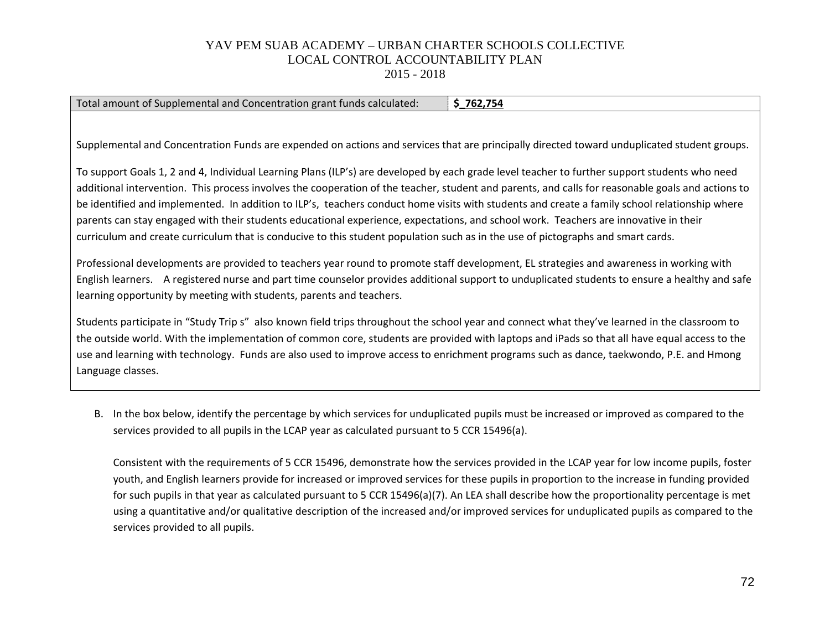2015 - 2018

| Total amount of Supplemental and Concentration grant funds calculated:<br>\$262,754                                                               |
|---------------------------------------------------------------------------------------------------------------------------------------------------|
|                                                                                                                                                   |
|                                                                                                                                                   |
| Supplemental and Concentration Funds are expended on actions and services that are principally directed toward unduplicated student groups.       |
|                                                                                                                                                   |
| To support Goals 1, 2 and 4, Individual Learning Plans (ILP's) are developed by each grade level teacher to further support students who need     |
| additional intervention. This process involves the cooperation of the teacher, student and parents, and calls for reasonable goals and actions to |
| be identified and implemented. In addition to ILP's, teachers conduct home visits with students and create a family school relationship where     |
| parents can stay engaged with their students educational experience, expectations, and school work. Teachers are innovative in their              |
| curriculum and create curriculum that is conducive to this student population such as in the use of pictographs and smart cards.                  |
|                                                                                                                                                   |
| Professional developments are provided to teachers year round to promote staff development, EL strategies and awareness in working with           |
| English learners. A registered nurse and part time counselor provides additional support to unduplicated students to ensure a healthy and safe    |
| learning opportunity by meeting with students, parents and teachers.                                                                              |
|                                                                                                                                                   |
| Students participate in "Study Trip s" also known field trips throughout the school year and connect what they've learned in the classroom to     |
| the outside world. With the implementation of common core, students are provided with laptops and iPads so that all have equal access to the      |

use and learning with technology. Funds are also used to improve access to enrichment programs such as dance, taekwondo, P.E. and Hmong Language classes.

B. In the box below, identify the percentage by which services for unduplicated pupils must be increased or improved as compared to the services provided to all pupils in the LCAP year as calculated pursuant to 5 CCR 15496(a).

Consistent with the requirements of 5 CCR 15496, demonstrate how the services provided in the LCAP year for low income pupils, foster youth, and English learners provide for increased or improved services for these pupils in proportion to the increase in funding provided for such pupils in that year as calculated pursuant to 5 CCR 15496(a)(7). An LEA shall describe how the proportionality percentage is met using a quantitative and/or qualitative description of the increased and/or improved services for unduplicated pupils as compared to the services provided to all pupils.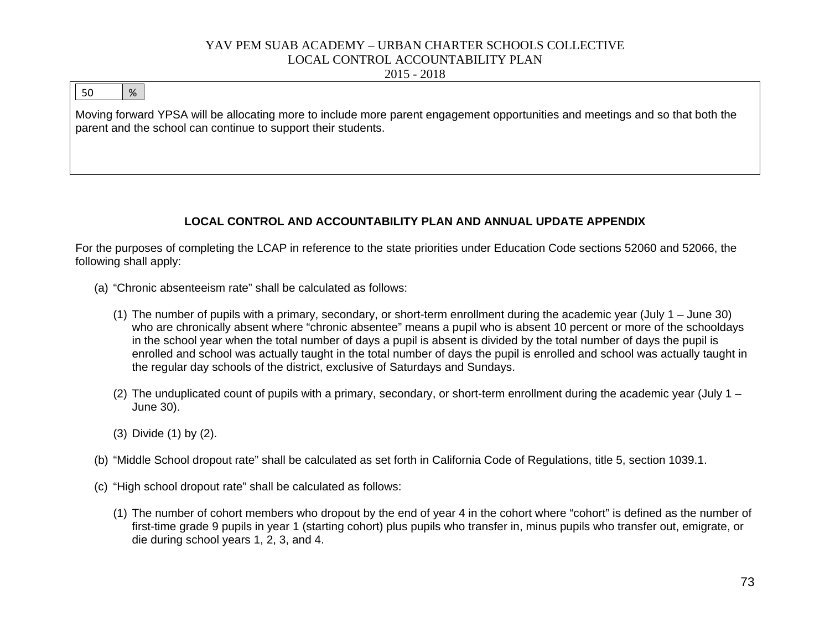# YAV PEM SUAB ACADEMY – URBAN CHARTER SCHOOLS COLLECTIVE LOCAL CONTROL ACCOUNTABILITY PLAN

2015 - 2018

### 50 %

Moving forward YPSA will be allocating more to include more parent engagement opportunities and meetings and so that both the parent and the school can continue to support their students.

## **LOCAL CONTROL AND ACCOUNTABILITY PLAN AND ANNUAL UPDATE APPENDIX**

For the purposes of completing the LCAP in reference to the state priorities under Education Code sections 52060 and 52066, the following shall apply:

- (a) "Chronic absenteeism rate" shall be calculated as follows:
	- (1) The number of pupils with a primary, secondary, or short-term enrollment during the academic year (July 1 June 30) who are chronically absent where "chronic absentee" means a pupil who is absent 10 percent or more of the schooldays in the school year when the total number of days a pupil is absent is divided by the total number of days the pupil is enrolled and school was actually taught in the total number of days the pupil is enrolled and school was actually taught in the regular day schools of the district, exclusive of Saturdays and Sundays.
	- (2) The unduplicated count of pupils with a primary, secondary, or short-term enrollment during the academic year (July  $1 -$ June 30).
	- (3) Divide (1) by (2).
- (b) "Middle School dropout rate" shall be calculated as set forth in California Code of Regulations, title 5, section 1039.1.
- (c) "High school dropout rate" shall be calculated as follows:
	- (1) The number of cohort members who dropout by the end of year 4 in the cohort where "cohort" is defined as the number of first-time grade 9 pupils in year 1 (starting cohort) plus pupils who transfer in, minus pupils who transfer out, emigrate, or die during school years 1, 2, 3, and 4.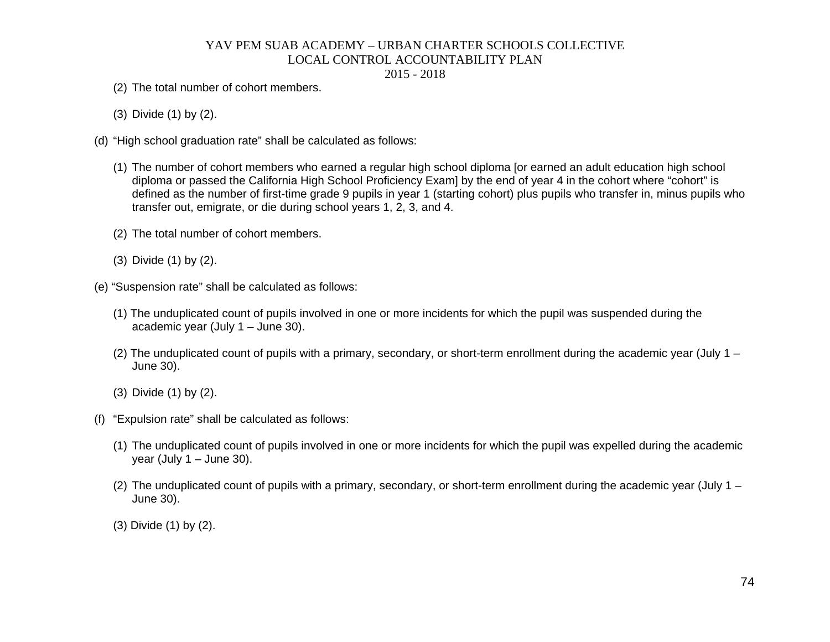# YAV PEM SUAB ACADEMY – URBAN CHARTER SCHOOLS COLLECTIVE LOCAL CONTROL ACCOUNTABILITY PLAN

#### 2015 - 2018

- (2) The total number of cohort members.
- (3) Divide (1) by (2).
- (d) "High school graduation rate" shall be calculated as follows:
	- (1) The number of cohort members who earned a regular high school diploma [or earned an adult education high school diploma or passed the California High School Proficiency Exam] by the end of year 4 in the cohort where "cohort" is defined as the number of first-time grade 9 pupils in year 1 (starting cohort) plus pupils who transfer in, minus pupils who transfer out, emigrate, or die during school years 1, 2, 3, and 4.
	- (2) The total number of cohort members.
	- (3) Divide (1) by (2).
- (e) "Suspension rate" shall be calculated as follows:
	- (1) The unduplicated count of pupils involved in one or more incidents for which the pupil was suspended during the academic year (July 1 – June 30).
	- (2) The unduplicated count of pupils with a primary, secondary, or short-term enrollment during the academic year (July  $1 -$ June 30).
	- (3) Divide (1) by (2).
- (f) "Expulsion rate" shall be calculated as follows:
	- (1) The unduplicated count of pupils involved in one or more incidents for which the pupil was expelled during the academic year (July  $1 -$  June 30).
	- (2) The unduplicated count of pupils with a primary, secondary, or short-term enrollment during the academic year (July 1 June 30).
	- (3) Divide (1) by (2).